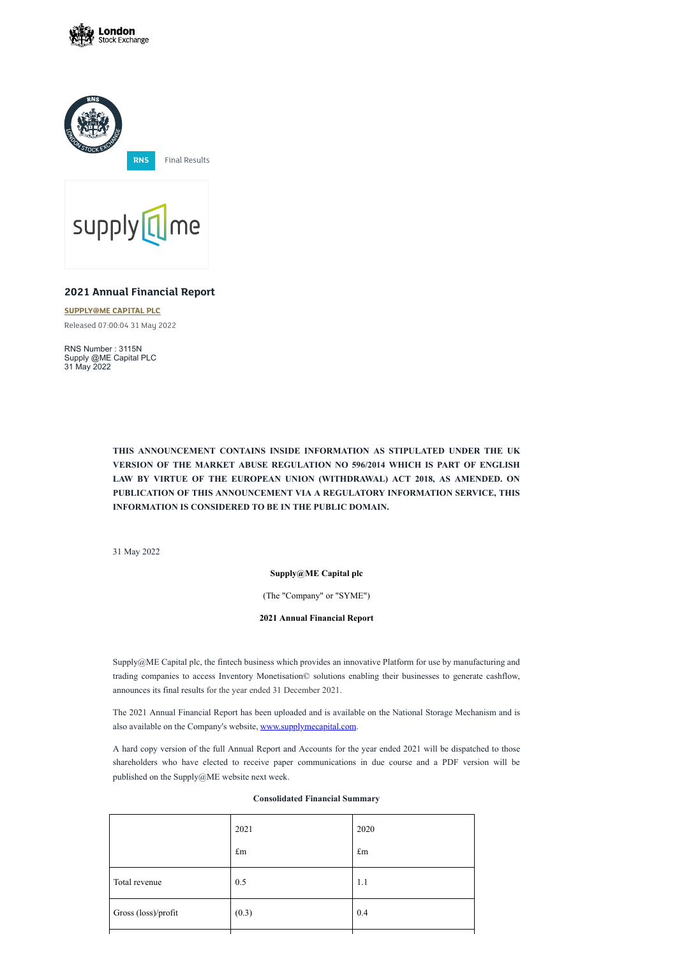





# **2021 Annual Financial Report**

**[SUPPLY@ME](https://www.londonstockexchange.com/stock/SYME/supply-me-capital-plc) CAPITAL PLC** Released 07:00:04 31 May 2022

RNS Number : 3115N Supply @ME Capital PLC 31 May 2022

> **THIS ANNOUNCEMENT CONTAINS INSIDE INFORMATION AS STIPULATED UNDER THE UK VERSION OF THE MARKET ABUSE REGULATION NO 596/2014 WHICH IS PART OF ENGLISH LAW BY VIRTUE OF THE EUROPEAN UNION (WITHDRAWAL) ACT 2018, AS AMENDED. ON PUBLICATION OF THIS ANNOUNCEMENT VIA A REGULATORY INFORMATION SERVICE, THIS INFORMATION IS CONSIDERED TO BE IN THE PUBLIC DOMAIN.**

31 May 2022

**Supply@ME Capital plc**

(The "Company" or "SYME")

**2021 Annual Financial Report**

Supply@ME Capital plc, the fintech business which provides an innovative Platform for use by manufacturing and trading companies to access Inventory Monetisation© solutions enabling their businesses to generate cashflow, announces its final results for the year ended 31 December 2021.

The 2021 Annual Financial Report has been uploaded and is available on the National Storage Mechanism and is

also available on the Company's website, [www.supplymecapital.com.](http://www.supplymecapital.com/)

A hard copy version of the full Annual Report and Accounts for the year ended 2021 will be dispatched to those shareholders who have elected to receive paper communications in due course and a PDF version will be published on the Supply@ME website next week.

# **Consolidated Financial Summary**

| $\pounds$ m | $\pounds m$ |
|-------------|-------------|
| 0.5         | 1.1         |
| (0.3)       | 0.4         |
|             |             |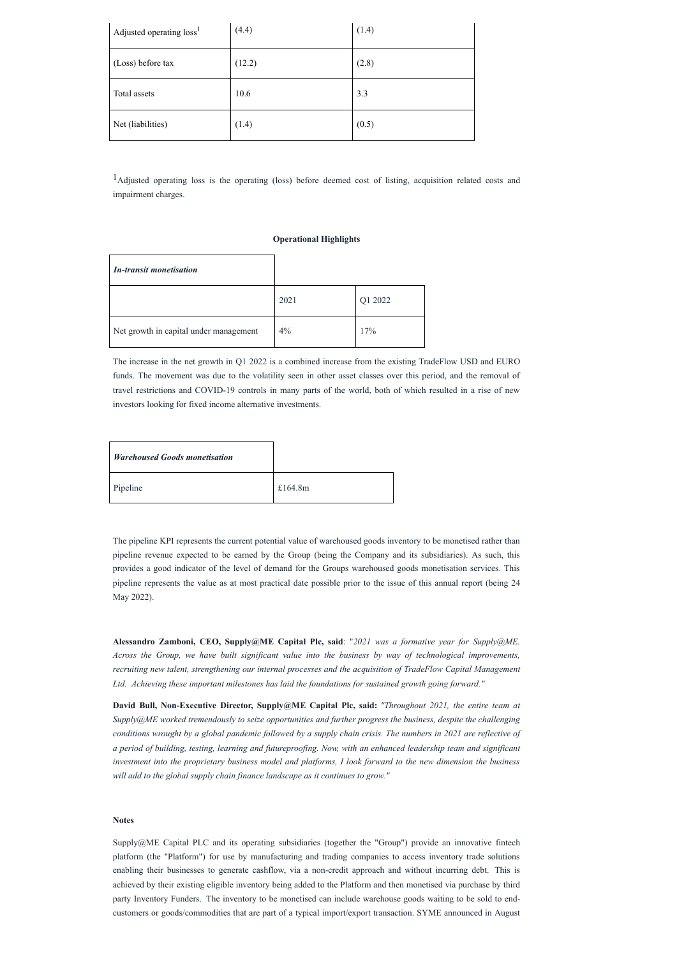| Adjusted operating loss <sup>1</sup> | (4.4)  | (1.4) |
|--------------------------------------|--------|-------|
| (Loss) before tax                    | (12.2) | (2.8) |
| Total assets                         | 10.6   | 3.3   |
| Net (liabilities)                    | (1.4)  | (0.5) |

<sup>1</sup>Adjusted operating loss is the operating (loss) before deemed cost of listing, acquisition related costs and impairment charges.

# **Operational Highlights**

| <b>In-transit monetisation</b>         |      |         |
|----------------------------------------|------|---------|
|                                        | 2021 | Q1 2022 |
| Net growth in capital under management | 4%   | 17%     |

| <b>Warehoused Goods monetisation</b> |            |
|--------------------------------------|------------|
| Pipeline                             | £164.8 $m$ |

The increase in the net growth in Q1 2022 is a combined increase from the existing TradeFlow USD and EURO funds. The movement was due to the volatility seen in other asset classes over this period, and the removal of travel restrictions and COVID-19 controls in many parts of the world, both of which resulted in a rise of new investors looking for fixed income alternative investments.

The pipeline KPI represents the current potential value of warehoused goods inventory to be monetised rather than pipeline revenue expected to be earned by the Group (being the Company and its subsidiaries). As such, this provides a good indicator of the level of demand for the Groups warehoused goods monetisation services. This pipeline represents the value as at most practical date possible prior to the issue of this annual report (being 24 May 2022).

**Alessandro Zamboni, CEO, Supply@ME Capital Plc, said**: "*2021 was a formative year for Supply@ME. Across the Group, we have built significant value into the business by way of technological improvements, recruiting new talent, strengthening our internal processes and the acquisition of TradeFlow Capital Management Ltd. Achieving these important milestones has laid the foundations for sustained growth going forward."*

**David Bull, Non-Executive Director, Supply@ME Capital Plc, said:** *"Throughout 2021, the entire team at Supply@ME worked tremendously to seize opportunities and further progress the business, despite the challenging* conditions wrought by a global pandemic followed by a supply chain crisis. The numbers in 2021 are reflective of a period of building, testing, learning and futureproofing. Now, with an enhanced leadership team and significant investment into the proprietary business model and platforms, I look forward to the new dimension the business *will add to the global supply chain finance landscape as it continues to grow."*

### **Notes**

Supply@ME Capital PLC and its operating subsidiaries (together the "Group") provide an innovative fintech platform (the "Platform") for use by manufacturing and trading companies to access inventory trade solutions enabling their businesses to generate cashflow, via a non-credit approach and without incurring debt. This is achieved by their existing eligible inventory being added to the Platform and then monetised via purchase by third party Inventory Funders. The inventory to be monetised can include warehouse goods waiting to be sold to endcustomers or goods/commodities that are part of a typical import/export transaction. SYME announced in August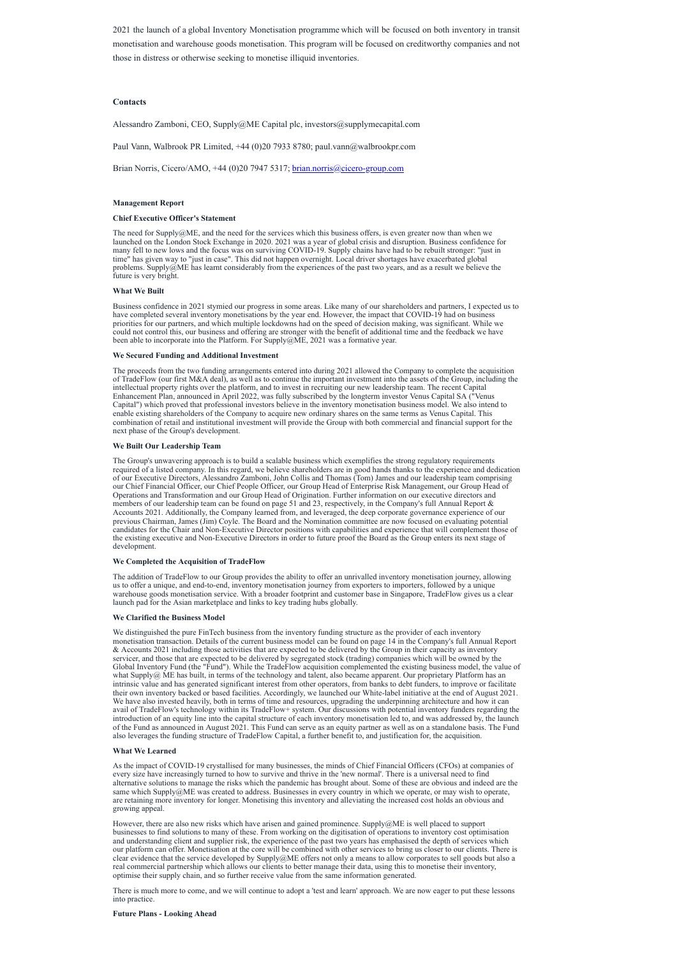2021 the launch of a global Inventory Monetisation programme which will be focused on both inventory in transit monetisation and warehouse goods monetisation. This program will be focused on creditworthy companies and not those in distress or otherwise seeking to monetise illiquid inventories.

# **Contacts**

Alessandro Zamboni, CEO, Supply@ME Capital plc, investors@supplymecapital.com

Paul Vann, Walbrook PR Limited, +44 (0)20 7933 8780; paul.vann@walbrookpr.com

Brian Norris, Cicero/AMO, +44 (0)20 7947 5317; [brian.norris@cicero-group.com](mailto:brian.norris@cicero-group.com)

# **Management Report**

# **Chief Executive Officer's Statement**

The need for Supply@ME, and the need for the services which this business offers, is even greater now than when we launched on the London Stock Exchange in 2020. 2021 was a year of global crisis and disruption. Business confidence for many fell to new lows and the focus was on surviving COVID-19. Supply chains have had to be rebuilt stronger: "just in time" has given way to "just in case". This did not happen overnight. Local driver shortages have exacerbated global problems. Supply@ME has learnt considerably from the experiences of the past two years, and as a result we believe the future is very bright.

### **What We Built**

Business confidence in 2021 stymied our progress in some areas. Like many of our shareholders and partners, I expected us to have completed several inventory monetisations by the year end. However, the impact that COVID-19 had on business priorities for our partners, and which multiple lockdowns had on the speed of decision making, was significant. While we could not control this, our business and offering are stronger with the benefit of additional time and the feedback we have been able to incorporate into the Platform. For Supply@ME, 2021 was a formative year.

# **We Secured Funding and Additional Investment**

The proceeds from the two funding arrangements entered into during 2021 allowed the Company to complete the acquisition of TradeFlow (our first M&A deal), as well as to continue the important investment into the assets of the Group, including the intellectual property rights over the platform, and to invest in recruiting our new leadership team. The recent Capital Enhancement Plan, announced in April 2022, was fully subscribed by the longterm investor Venus Capital SA ("Venus Capital") which proved that professional investors believe in the inventory monetisation business model. We also intend to enable existing shareholders of the Company to acquire new ordinary shares on the same terms as Venus Capital. This combination of retail and institutional investment will provide the Group with both commercial and financial support for the next phase of the Group's development.

# **We Built Our Leadership Team**

The Group's unwavering approach is to build a scalable business which exemplifies the strong regulatory requirements required of a listed company. In this regard, we believe shareholders are in good hands thanks to the experience and dedication of our Executive Directors, Alessandro Zamboni, John Collis and Thomas (Tom) James and our leadership team comprising our Chief Financial Officer, our Chief People Officer, our Group Head of Enterprise Risk Management, our Group Head of Operations and Transformation and our Group Head of Origination. Further information on our executive directors and members of our leadership team can be found on page 51 and 23, respectively, in the Company's full Annual Report & Accounts 2021. Additionally, the Company learned from, and leveraged, the deep corporate governance experience of our previous Chairman, James (Jim) Coyle. The Board and the Nomination committee are now focused on evaluating potential candidates for the Chair and Non-Executive Director positions with capabilities and experience that will complement those of the existing executive and Non-Executive Directors in order to future proof the Board as the Group enters its next stage of development.

# **We Completed the Acquisition of TradeFlow**

The addition of TradeFlow to our Group provides the ability to offer an unrivalled inventory monetisation journey, allowing us to offer a unique, and end-to-end, inventory monetisation journey from exporters to importers, followed by a unique warehouse goods monetisation service. With a broader footprint and customer base in Singapore, TradeFlow gives us a clear launch pad for the Asian marketplace and links to key trading hubs globally.

# **We Clarified the Business Model**

We distinguished the pure FinTech business from the inventory funding structure as the provider of each inventory monetisation transaction. Details of the current business model can be found on page 14 in the Company's full Annual Report & Accounts 2021 including those activities that are expected to be delivered by the Group in their capacity as inventory servicer, and those that are expected to be delivered by segregated stock (trading) companies which will be owned by the Global Inventory Fund (the "Fund"). While the TradeFlow acquisition complemented the existing business model, the value of what Supply@ ME has built, in terms of the technology and talent, also became apparent. Our proprietary Platform has an intrinsic value and has generated significant interest from other operators, from banks to debt funders, to improve or facilitate their own inventory backed or based facilities. Accordingly, we launched our White-label initiative at the end of August 2021. We have also invested heavily, both in terms of time and resources, upgrading the underpinning architecture and how it can avail of TradeFlow's technology within its TradeFlow+ system. Our discussions with potential inventory funders regarding the introduction of an equity line into the capital structure of each inventory monetisation led to, and was addressed by, the launch of the Fund as announced in August 2021. This Fund can serve as an equity partner as well as on a standalone basis. The Fund also leverages the funding structure of TradeFlow Capital, a further benefit to, and justification for, the acquisition.

# **What We Learned**

As the impact of COVID-19 crystallised for many businesses, the minds of Chief Financial Officers (CFOs) at companies of every size have increasingly turned to how to survive and thrive in the 'new normal'. There is a universal need to find alternative solutions to manage the risks which the pandemic has brought about. Some of these are obvious and indeed are the same which Supply@ME was created to address. Businesses in every country in which we operate, or may wish to operate, are retaining more inventory for longer. Monetising this inventory and alleviating the increased cost holds an obvious and growing appeal.

However, there are also new risks which have arisen and gained prominence. Supply@ME is well placed to support businesses to find solutions to many of these. From working on the digitisation of operations to inventory cost optimisation and understanding client and supplier risk, the experience of the past two years has emphasised the depth of services which our platform can offer. Monetisation at the core will be combined with other services to bring us closer to our clients. There is clear evidence that the service developed by Supply@ME offers not only a means to allow corporates to sell goods but also a real commercial partnership which allows our clients to better manage their data, using this to monetise their inventory, optimise their supply chain, and so further receive value from the same information generated.

There is much more to come, and we will continue to adopt a 'test and learn' approach. We are now eager to put these lessons into practice.

# **Future Plans - Looking Ahead**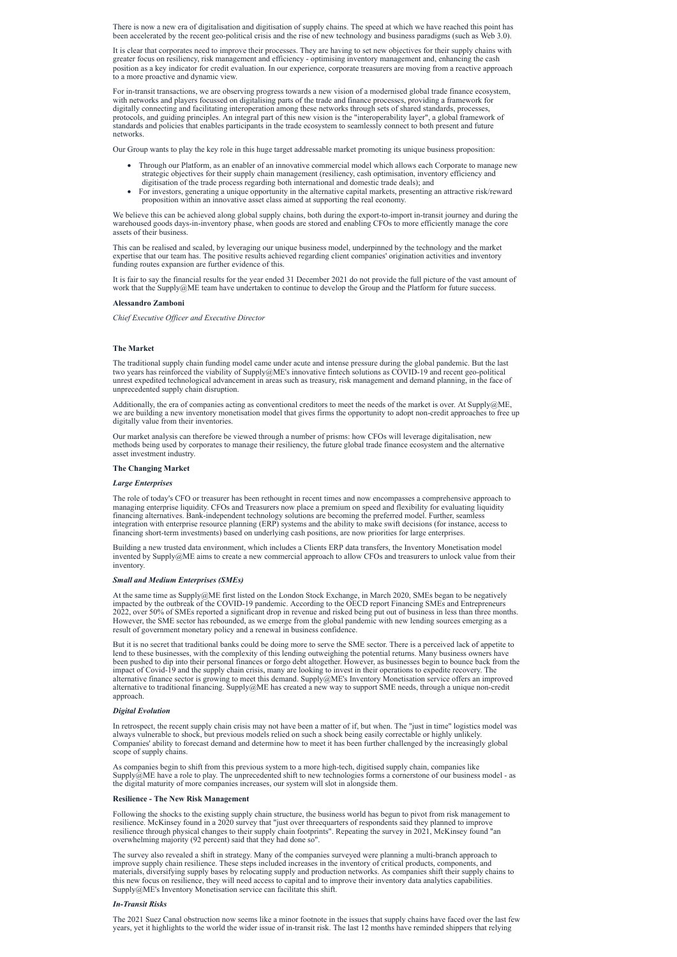There is now a new era of digitalisation and digitisation of supply chains. The speed at which we have reached this point has been accelerated by the recent geo-political crisis and the rise of new technology and business paradigms (such as Web 3.0).

It is clear that corporates need to improve their processes. They are having to set new objectives for their supply chains with greater focus on resiliency, risk management and efficiency - optimising inventory management and, enhancing the cash position as a key indicator for credit evaluation. In our experience, corporate treasurers are moving from a reactive approach to a more proactive and dynamic view.

For in-transit transactions, we are observing progress towards a new vision of a modernised global trade finance ecosystem, with networks and players focussed on digitalising parts of the trade and finance processes, providing a framework for digitally connecting and facilitating interoperation among these networks through sets of shared standards, processes, protocols, and guiding principles. An integral part of this new vision is the "interoperability layer", a global framework of standards and policies that enables participants in the trade ecosystem to seamlessly connect to both present and future networks.

It is fair to say the financial results for the year ended 31 December 2021 do not provide the full picture of the vast amount of work that the Supply@ME team have undertaken to continue to develop the Group and the Platform for future success.

Our Group wants to play the key role in this huge target addressable market promoting its unique business proposition:

- · Through our Platform, as an enabler of an innovative commercial model which allows each Corporate to manage new strategic objectives for their supply chain management (resiliency, cash optimisation, inventory efficiency and digitisation of the trade process regarding both international and domestic trade deals); and
- For investors, generating a unique opportunity in the alternative capital markets, presenting an attractive risk/reward proposition within an innovative asset class aimed at supporting the real economy.

Additionally, the era of companies acting as conventional creditors to meet the needs of the market is over. At Supply $@ME$ , we are building a new inventory monetisation model that gives firms the opportunity to adopt non-credit approaches to free up digitally value from their inventories.

We believe this can be achieved along global supply chains, both during the export-to-import in-transit journey and during the warehoused goods days-in-inventory phase, when goods are stored and enabling CFOs to more efficiently manage the core assets of their business.

This can be realised and scaled, by leveraging our unique business model, underpinned by the technology and the market expertise that our team has. The positive results achieved regarding client companies' origination activities and inventory funding routes expansion are further evidence of this.

### **Alessandro Zamboni**

*Chief Executive Of icer and Executive Director*

### **The Market**

The traditional supply chain funding model came under acute and intense pressure during the global pandemic. But the last two years has reinforced the viability of Supply@ME's innovative fintech solutions as COVID-19 and recent geo-political unrest expedited technological advancement in areas such as treasury, risk management and demand planning, in the face of unprecedented supply chain disruption.

Our market analysis can therefore be viewed through a number of prisms: how CFOs will leverage digitalisation, new methods being used by corporates to manage their resiliency, the future global trade finance ecosystem and the alternative asset investment industry.

### **The Changing Market**

### *Large Enterprises*

The role of today's CFO or treasurer has been rethought in recent times and now encompasses a comprehensive approach to managing enterprise liquidity. CFOs and Treasurers now place a premium on speed and flexibility for evaluating liquidity financing alternatives. Bank-independent technology solutions are becoming the preferred model. Further, seamless integration with enterprise resource planning (ERP) systems and the ability to make swift decisions (for instance, access to financing short-term investments) based on underlying cash positions, are now priorities for large enterprises.

Building a new trusted data environment, which includes a Clients ERP data transfers, the Inventory Monetisation model invented by Supply@ME aims to create a new commercial approach to allow CFOs and treasurers to unlock value from their inventory.

### *Small and Medium Enterprises (SMEs)*

At the same time as Supply@ME first listed on the London Stock Exchange, in March 2020, SMEs began to be negatively impacted by the outbreak of the COVID-19 pandemic. According to the OECD report Financing SMEs and Entrepreneurs 2022, over 50% of SMEs reported a significant drop in revenue and risked being put out of business in less than three months. However, the SME sector has rebounded, as we emerge from the global pandemic with new lending sources emerging as a result of government monetary policy and a renewal in business confidence.

But it is no secret that traditional banks could be doing more to serve the SME sector. There is a perceived lack of appetite to lend to these businesses, with the complexity of this lending outweighing the potential returns. Many business owners have been pushed to dip into their personal finances or forgo debt altogether. However, as businesses begin to bounce back from the impact of Covid-19 and the supply chain crisis, many are looking to invest in their operations to expedite recovery. The alternative finance sector is growing to meet this demand. Supply@ME's Inventory Monetisation service offers an improved alternative to traditional financing. Supply@ME has created a new way to support SME needs, through a unique non-credit approach.

#### *Digital Evolution*

In retrospect, the recent supply chain crisis may not have been a matter of if, but when. The "just in time" logistics model was always vulnerable to shock, but previous models relied on such a shock being easily correctable or highly unlikely. Companies' ability to forecast demand and determine how to meet it has been further challenged by the increasingly global scope of supply chains.

As companies begin to shift from this previous system to a more high-tech, digitised supply chain, companies like Supply@ME have a role to play. The unprecedented shift to new technologies forms a cornerstone of our business model - as the digital maturity of more companies increases, our system will slot in alongside them.

# **Resilience - The New Risk Management**

Following the shocks to the existing supply chain structure, the business world has begun to pivot from risk management to resilience. McKinsey found in a 2020 survey that "just over threequarters of respondents said they planned to improve resilience through physical changes to their supply chain footprints". Repeating the survey in 2021, McKinsey found "an overwhelming majority (92 percent) said that they had done so".

The survey also revealed a shift in strategy. Many of the companies surveyed were planning a multi-branch approach to improve supply chain resilience. These steps included increases in the inventory of critical products, components, and materials, diversifying supply bases by relocating supply and production networks. As companies shift their supply chains to this new focus on resilience, they will need access to capital and to improve their inventory data analytics capabilities. Supply@ME's Inventory Monetisation service can facilitate this shift.

# *In-Transit Risks*

The 2021 Suez Canal obstruction now seems like a minor footnote in the issues that supply chains have faced over the last few years, yet it highlights to the world the wider issue of in-transit risk. The last 12 months have reminded shippers that relying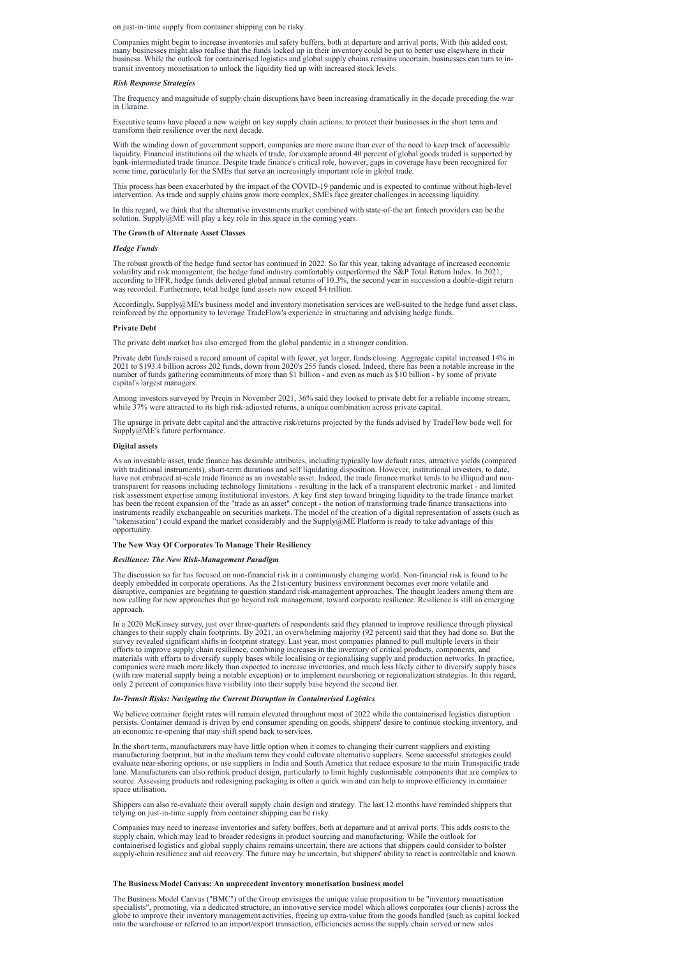on just-in-time supply from container shipping can be risky.

Companies might begin to increase inventories and safety buffers, both at departure and arrival ports. With this added cost, many businesses might also realise that the funds locked up in their inventory could be put to better use elsewhere in their business. While the outlook for containerised logistics and global supply chains remains uncertain, businesses can turn to intransit inventory monetisation to unlock the liquidity tied up with increased stock levels.

### *Risk Response Strategies*

The frequency and magnitude of supply chain disruptions have been increasing dramatically in the decade preceding the war in Ukraine.

Executive teams have placed a new weight on key supply chain actions, to protect their businesses in the short term and transform their resilience over the next decade.

In this regard, we think that the alternative investments market combined with state-of-the art fintech providers can be the solution. Supply@ME will play a key role in this space in the coming years.

With the winding down of government support, companies are more aware than ever of the need to keep track of accessible liquidity. Financial institutions oil the wheels of trade, for example around 40 percent of global goods traded is supported by bank-intermediated trade finance. Despite trade finance's critical role, however, gaps in coverage have been recognized for some time, particularly for the SMEs that serve an increasingly important role in global trade.

This process has been exacerbated by the impact of the COVID-19 pandemic and is expected to continue without high-level intervention. As trade and supply chains grow more complex, SMEs face greater challenges in accessing liquidity.

### **The Growth of Alternate Asset Classes**

### *Hedge Funds*

The robust growth of the hedge fund sector has continued in 2022. So far this year, taking advantage of increased economic volatility and risk management, the hedge fund industry comfortably outperformed the S&P Total Return Index. In 2021, according to HFR, hedge funds delivered global annual returns of 10.3%, the second year in succession a double-digit return was recorded. Furthermore, total hedge fund assets now exceed \$4 trillion.

Accordingly, Supply@ME's business model and inventory monetisation services are well-suited to the hedge fund asset class, reinforced by the opportunity to leverage TradeFlow's experience in structuring and advising hedge funds.

### **Private Debt**

The private debt market has also emerged from the global pandemic in a stronger condition.

Private debt funds raised a record amount of capital with fewer, yet larger, funds closing. Aggregate capital increased 14% in 2021 to \$193.4 billion across 202 funds, down from 2020's 255 funds closed. Indeed, there has been a notable increase in the number of funds gathering commitments of more than \$1 billion - and even as much as \$10 billion - by some of private capital's largest managers.

Among investors surveyed by Preqin in November 2021, 36% said they looked to private debt for a reliable income stream, while 37% were attracted to its high risk-adjusted returns, a unique combination across private capital.

The upsurge in private debt capital and the attractive risk/returns projected by the funds advised by TradeFlow bode well for Supply@ME's future performance.

# **Digital assets**

As an investable asset, trade finance has desirable attributes, including typically low default rates, attractive yields (compared with traditional instruments), short-term durations and self liquidating disposition. However, institutional investors, to date, have not embraced at-scale trade finance as an investable asset. Indeed, the trade finance market tends to be illiquid and nontransparent for reasons including technology limitations - resulting in the lack of a transparent electronic market - and limited risk assessment expertise among institutional investors. A key first step toward bringing liquidity to the trade finance market has been the recent expansion of the "trade as an asset" concept - the notion of transforming trade finance transactions into instruments readily exchangeable on securities markets. The model of the creation of a digital representation of assets (such as "tokenisation") could expand the market considerably and the Supply@ME Platform is ready to take advantage of this opportunity.

### **The New Way Of Corporates To Manage Their Resiliency**

### *Resilience: The New Risk-Management Paradigm*

The discussion so far has focused on non-financial risk in a continuously changing world. Non-financial risk is found to be deeply embedded in corporate operations. As the 21st-century business environment becomes ever more volatile and disruptive, companies are beginning to question standard risk-management approaches. The thought leaders among them are now calling for new approaches that go beyond risk management, toward corporate resilience. Resilience is still an emerging approach.

In a 2020 McKinsey survey, just over three-quarters of respondents said they planned to improve resilience through physical changes to their supply chain footprints. By 2021, an overwhelming majority (92 percent) said that they had done so. But the survey revealed significant shifts in footprint strategy. Last year, most companies planned to pull multiple levers in their efforts to improve supply chain resilience, combining increases in the inventory of critical products, components, and materials with efforts to diversify supply bases while localising or regionalising supply and production networks. In practice, companies were much more likely than expected to increase inventories, and much less likely either to diversify supply bases (with raw material supply being a notable exception) or to implement nearshoring or regionalization strategies. In this regard, only 2 percent of companies have visibility into their supply base beyond the second tier.

# *In-Transit Risks: Navigating the Current Disruption in Containerised Logistics*

We believe container freight rates will remain elevated throughout most of 2022 while the containerised logistics disruption

persists. Container demand is driven by end consumer spending on goods, shippers' desire to continue stocking inventory, and an economic re-opening that may shift spend back to services.

In the short term, manufacturers may have little option when it comes to changing their current suppliers and existing manufacturing footprint, but in the medium term they could cultivate alternative suppliers. Some successful strategies could evaluate near-shoring options, or use suppliers in India and South America that reduce exposure to the main Transpacific trade lane. Manufacturers can also rethink product design, particularly to limit highly customisable components that are complex to source. Assessing products and redesigning packaging is often a quick win and can help to improve efficiency in container space utilisation.

Shippers can also re-evaluate their overall supply chain design and strategy. The last 12 months have reminded shippers that relying on just-in-time supply from container shipping can be risky.

Companies may need to increase inventories and safety buffers, both at departure and at arrival ports. This adds costs to the supply chain, which may lead to broader redesigns in product sourcing and manufacturing. While the outlook for containerised logistics and global supply chains remains uncertain, there are actions that shippers could consider to bolster supply-chain resilience and aid recovery. The future may be uncertain, but shippers' ability to react is controllable and known.

### **The Business Model Canvas: An unprecedent inventory monetisation business model**

The Business Model Canvas ("BMC") of the Group envisages the unique value proposition to be "inventory monetisation specialists", promoting, via a dedicated structure, an innovative service model which allows corporates (our clients) across the globe to improve their inventory management activities, freeing up extra-value from the goods handled (such as capital locked into the warehouse or referred to an import/export transaction, efficiencies across the supply chain served or new sales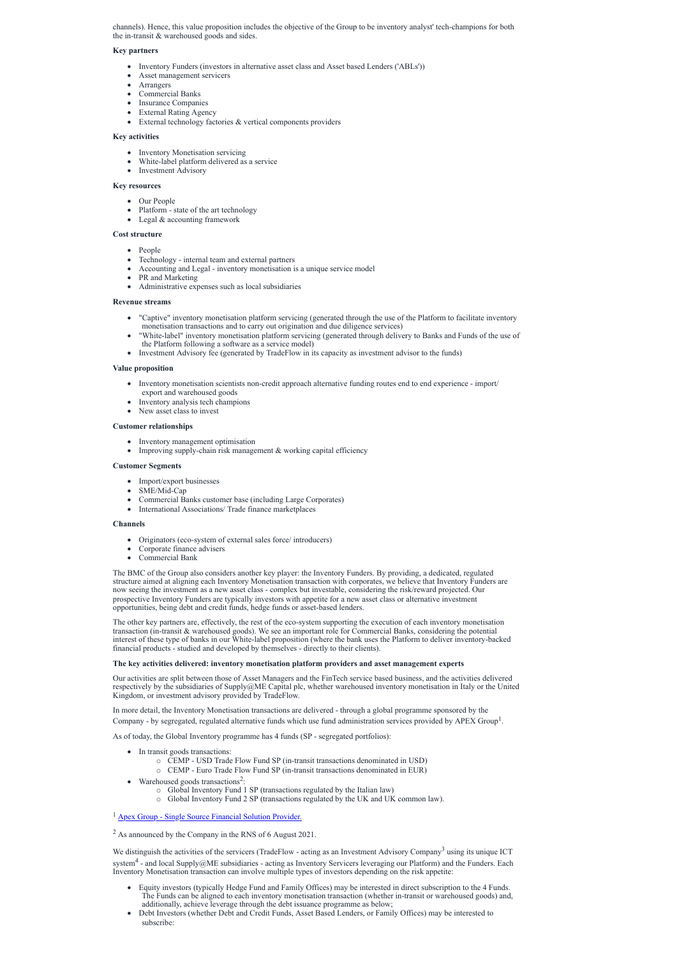channels). Hence, this value proposition includes the objective of the Group to be inventory analyst' tech-champions for both the in-transit & warehoused goods and sides.

# **Key partners**

- · Our People
- Platform state of the art technology
- Legal & accounting framework
- · Inventory Funders (investors in alternative asset class and Asset based Lenders ('ABLs'))
- Asset management servicers
- **Arrangers**
- · Commercial Banks
- Insurance Companies
- External Rating Agency
- · External technology factories & vertical components providers

# **Key activities**

- Inventory Monetisation servicing
- · White-label platform delivered as a service
- Investment Advisory

# **Key resources**

# **Cost structure**

- People
- Technology internal team and external partners
- · Accounting and Legal inventory monetisation is a unique service model
- PR and Marketing
- Administrative expenses such as local subsidiaries

- · Inventory management optimisation
- Improving supply-chain risk management & working capital efficiency

# **Revenue streams**

- Import/export businesses
- SME/Mid-Cap
- Commercial Banks customer base (including Large Corporates)
- · International Associations/ Trade finance marketplaces
- · "Captive" inventory monetisation platform servicing (generated through the use of the Platform to facilitate inventory monetisation transactions and to carry out origination and due diligence services)
- · "White-label" inventory monetisation platform servicing (generated through delivery to Banks and Funds of the use of the Platform following a software as a service model)
- · Investment Advisory fee (generated by TradeFlow in its capacity as investment advisor to the funds)

# **Value proposition**

- Inventory monetisation scientists non-credit approach alternative funding routes end to end experience import/ export and warehoused goods
- · Inventory analysis tech champions
- New asset class to invest

# **Customer relationships**

# **Customer Segments**

# **Channels**

- Originators (eco-system of external sales force/ introducers)
- · Corporate finance advisers
- Commercial Bank

- In transit goods transactions:
	- o CEMP USD Trade Flow Fund SP (in-transit transactions denominated in USD)
	- o CEMP Euro Trade Flow Fund SP (in-transit transactions denominated in EUR)
- Warehoused goods transactions<sup>2</sup>:
	- o Global Inventory Fund 1 SP (transactions regulated by the Italian law)
	- o Global Inventory Fund 2 SP (transactions regulated by the UK and UK common law).

<sup>1</sup> Apex Group - Single Source [Financial](https://www.apexgroup.com/) Solution Provider.

We distinguish the activities of the servicers (TradeFlow - acting as an Investment Advisory Company<sup>3</sup> using its unique ICT system<sup>4</sup> - and local Supply@ME subsidiaries - acting as Inventory Servicers leveraging our Platform) and the Funders. Each Inventory Monetisation transaction can involve multiple types of investors depending on the risk appetite:

The BMC of the Group also considers another key player: the Inventory Funders. By providing, a dedicated, regulated structure aimed at aligning each Inventory Monetisation transaction with corporates, we believe that Inventory Funders are now seeing the investment as a new asset class - complex but investable, considering the risk/reward projected. Our prospective Inventory Funders are typically investors with appetite for a new asset class or alternative investment opportunities, being debt and credit funds, hedge funds or asset-based lenders.

The other key partners are, effectively, the rest of the eco-system supporting the execution of each inventory monetisation transaction (in-transit & warehoused goods). We see an important role for Commercial Banks, considering the potential interest of these type of banks in our White-label proposition (where the bank uses the Platform to deliver inventory-backed financial products - studied and developed by themselves - directly to their clients).

# **The key activities delivered: inventory monetisation platform providers and asset management experts**

Our activities are split between those of Asset Managers and the FinTech service based business, and the activities delivered respectively by the subsidiaries of Supply@ME Capital plc, whether warehoused inventory monetisation in Italy or the United Kingdom, or investment advisory provided by TradeFlow.

In more detail, the Inventory Monetisation transactions are delivered - through a global programme sponsored by the Company - by segregated, regulated alternative funds which use fund administration services provided by APEX Group 1

.

As of today, the Global Inventory programme has 4 funds (SP - segregated portfolios):

<sup>2</sup> As announced by the Company in the RNS of 6 August 2021.

- · Equity investors (typically Hedge Fund and Family Offices) may be interested in direct subscription to the 4 Funds. The Funds can be aligned to each inventory monetisation transaction (whether in-transit or warehoused goods) and, additionally, achieve leverage through the debt issuance programme as below;
- Debt Investors (whether Debt and Credit Funds, Asset Based Lenders, or Family Offices) may be interested to subscribe: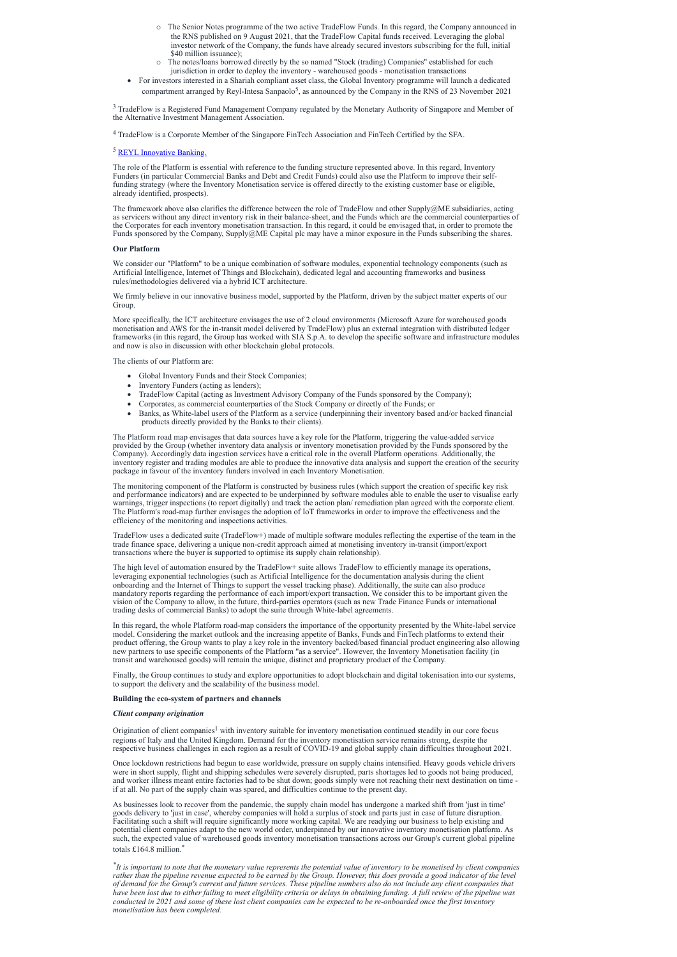- o The Senior Notes programme of the two active TradeFlow Funds. In this regard, the Company announced in the RNS published on 9 August 2021, that the TradeFlow Capital funds received. Leveraging the global investor network of the Company, the funds have already secured investors subscribing for the full, initial \$40 million issuance);
- The notes/loans borrowed directly by the so named "Stock (trading) Companies" established for each jurisdiction in order to deploy the inventory - warehoused goods - monetisation transactions
- · For investors interested in a Shariah compliant asset class, the Global Inventory programme will launch a dedicated compartment arranged by Reyl-Intesa Sanpaolo<sup>5</sup>, as announced by the Company in the RNS of 23 November 2021

<sup>3</sup> TradeFlow is a Registered Fund Management Company regulated by the Monetary Authority of Singapore and Member of the Alternative Investment Management Association.

The framework above also clarifies the difference between the role of TradeFlow and other Supply@ME subsidiaries, acting as servicers without any direct inventory risk in their balance-sheet, and the Funds which are the commercial counterparties of the Corporates for each inventory monetisation transaction. In this regard, it could be envisaged that, in order to promote the Funds sponsored by the Company, Supply@ME Capital plc may have a minor exposure in the Funds subscribing the shares.

<sup>4</sup> TradeFlow is a Corporate Member of the Singapore FinTech Association and FinTech Certified by the SFA.

# <sup>5</sup> REYL [Innovative](https://www.reyl.com/en?gclid=Cj0KCQjwxtSSBhDYARIsAEn0thRy8_j1oI1I_AdRPrv0yYg9SwNfLUd8mua3a-TlX6q150KkKIzkFz8aAorpEALw_wcB) Banking.

We consider our "Platform" to be a unique combination of software modules, exponential technology components (such as Artificial Intelligence, Internet of Things and Blockchain), dedicated legal and accounting frameworks and business rules/methodologies delivered via a hybrid ICT architecture.

The role of the Platform is essential with reference to the funding structure represented above. In this regard, Inventory Funders (in particular Commercial Banks and Debt and Credit Funds) could also use the Platform to improve their selffunding strategy (where the Inventory Monetisation service is offered directly to the existing customer base or eligible, already identified, prospects).

### **Our Platform**

We firmly believe in our innovative business model, supported by the Platform, driven by the subject matter experts of our Group.

More specifically, the ICT architecture envisages the use of 2 cloud environments (Microsoft Azure for warehoused goods monetisation and AWS for the in-transit model delivered by TradeFlow) plus an external integration with distributed ledger frameworks (in this regard, the Group has worked with SIA S.p.A. to develop the specific software and infrastructure modules and now is also in discussion with other blockchain global protocols.

The clients of our Platform are:

- · Global Inventory Funds and their Stock Companies;
- Inventory Funders (acting as lenders);
- · TradeFlow Capital (acting as Investment Advisory Company of the Funds sponsored by the Company);
- · Corporates, as commercial counterparties of the Stock Company or directly of the Funds; or
- · Banks, as White-label users of the Platform as a service (underpinning their inventory based and/or backed financial products directly provided by the Banks to their clients).

Origination of client companies<sup>1</sup> with inventory suitable for inventory monetisation continued steadily in our core focus regions of Italy and the United Kingdom. Demand for the inventory monetisation service remains strong, despite the respective business challenges in each region as a result of COVID-19 and global supply chain difficulties throughout 2021.

The Platform road map envisages that data sources have a key role for the Platform, triggering the value-added service provided by the Group (whether inventory data analysis or inventory monetisation provided by the Funds sponsored by the Company). Accordingly data ingestion services have a critical role in the overall Platform operations. Additionally, the inventory register and trading modules are able to produce the innovative data analysis and support the creation of the security package in favour of the inventory funders involved in each Inventory Monetisation.

The monitoring component of the Platform is constructed by business rules (which support the creation of specific key risk and performance indicators) and are expected to be underpinned by software modules able to enable the user to visualise early warnings, trigger inspections (to report digitally) and track the action plan/ remediation plan agreed with the corporate client. The Platform's road-map further envisages the adoption of IoT frameworks in order to improve the effectiveness and the efficiency of the monitoring and inspections activities.

 $*$ It is important to note that the monetary value represents the potential value of inventory to be monetised by client companies rather than the pipeline revenue expected to be earned by the Group. However, this does provide a good indicator of the level of demand for the Group's current and future services. These pipeline numbers also do not include any client companies that have been lost due to either failing to meet eligibility criteria or delays in obtaining funding. A full review of the pipeline was conducted in 2021 and some of these lost client companies can be expected to be re-onboarded once the first inventory *monetisation has been completed.*

TradeFlow uses a dedicated suite (TradeFlow+) made of multiple software modules reflecting the expertise of the team in the trade finance space, delivering a unique non-credit approach aimed at monetising inventory in-transit (import/export transactions where the buyer is supported to optimise its supply chain relationship).

The high level of automation ensured by the TradeFlow+ suite allows TradeFlow to efficiently manage its operations, leveraging exponential technologies (such as Artificial Intelligence for the documentation analysis during the client onboarding and the Internet of Things to support the vessel tracking phase). Additionally, the suite can also produce mandatory reports regarding the performance of each import/export transaction. We consider this to be important given the vision of the Company to allow, in the future, third-parties operators (such as new Trade Finance Funds or international trading desks of commercial Banks) to adopt the suite through White-label agreements.

In this regard, the whole Platform road-map considers the importance of the opportunity presented by the White-label service model. Considering the market outlook and the increasing appetite of Banks, Funds and FinTech platforms to extend their product offering, the Group wants to play a key role in the inventory backed/based financial product engineering also allowing new partners to use specific components of the Platform "as a service". However, the Inventory Monetisation facility (in transit and warehoused goods) will remain the unique, distinct and proprietary product of the Company.

Finally, the Group continues to study and explore opportunities to adopt blockchain and digital tokenisation into our systems, to support the delivery and the scalability of the business model.

### **Building the eco-system of partners and channels**

*Client company origination*

Once lockdown restrictions had begun to ease worldwide, pressure on supply chains intensified. Heavy goods vehicle drivers were in short supply, flight and shipping schedules were severely disrupted, parts shortages led to goods not being produced, and worker illness meant entire factories had to be shut down; goods simply were not reaching their next destination on time if at all. No part of the supply chain was spared, and difficulties continue to the present day.

As businesses look to recover from the pandemic, the supply chain model has undergone a marked shift from 'just in time' goods delivery to 'just in case', whereby companies will hold a surplus of stock and parts just in case of future disruption. Facilitating such a shift will require significantly more working capital. We are readying our business to help existing and potential client companies adapt to the new world order, underpinned by our innovative inventory monetisation platform. As such, the expected value of warehoused goods inventory monetisation transactions across our Group's current global pipeline totals £164.8 million. \*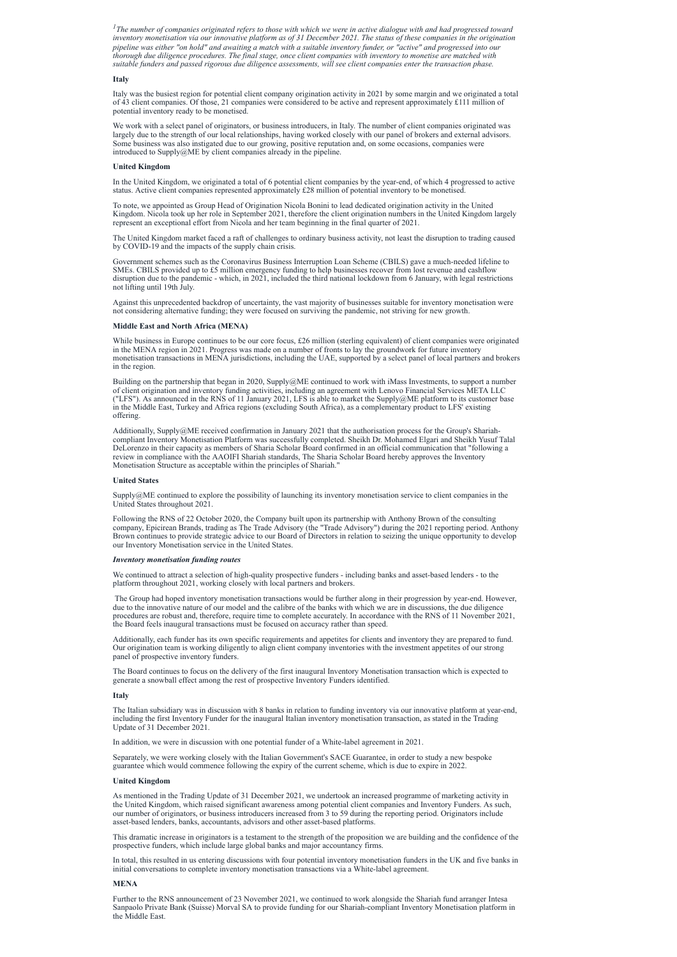${}^{1}$ The number of companies originated refers to those with which we were in active dialogue with and had progressed toward inventory monetisation via our innovative platform as of 31 December 2021. The status of these companies in the origination pipeline was either "on hold" and awaiting a match with a suitable inventory funder, or "active" and progressed into our thorough due diligence procedures. The final stage, once client companies with inventory to monetise are matched with suitable funders and passed rigorous due diligence assessments, will see client companies enter the transaction phase.

### **Italy**

Italy was the busiest region for potential client company origination activity in 2021 by some margin and we originated a total of 43 client companies. Of those, 21 companies were considered to be active and represent approximately £111 million of potential inventory ready to be monetised.

We work with a select panel of originators, or business introducers, in Italy. The number of client companies originated was largely due to the strength of our local relationships, having worked closely with our panel of brokers and external advisors. Some business was also instigated due to our growing, positive reputation and, on some occasions, companies were introduced to Supply@ME by client companies already in the pipeline.

# **United Kingdom**

In the United Kingdom, we originated a total of 6 potential client companies by the year-end, of which 4 progressed to active status. Active client companies represented approximately £28 million of potential inventory to be monetised.

While business in Europe continues to be our core focus, £26 million (sterling equivalent) of client companies were originated in the MENA region in 2021. Progress was made on a number of fronts to lay the groundwork for future inventory monetisation transactions in MENA jurisdictions, including the UAE, supported by a select panel of local partners and brokers in the region.

To note, we appointed as Group Head of Origination Nicola Bonini to lead dedicated origination activity in the United Kingdom. Nicola took up her role in September 2021, therefore the client origination numbers in the United Kingdom largely represent an exceptional effort from Nicola and her team beginning in the final quarter of 2021.

The United Kingdom market faced a raft of challenges to ordinary business activity, not least the disruption to trading caused by COVID-19 and the impacts of the supply chain crisis.

Government schemes such as the Coronavirus Business Interruption Loan Scheme (CBILS) gave a much-needed lifeline to SMEs. CBILS provided up to £5 million emergency funding to help businesses recover from lost revenue and cashflow disruption due to the pandemic - which, in 2021, included the third national lockdown from 6 January, with legal restrictions not lifting until 19th July.

Against this unprecedented backdrop of uncertainty, the vast majority of businesses suitable for inventory monetisation were not considering alternative funding; they were focused on surviving the pandemic, not striving for new growth.

# **Middle East and North Africa (MENA)**

Building on the partnership that began in 2020, Supply@ME continued to work with iMass Investments, to support a number of client origination and inventory funding activities, including an agreement with Lenovo Financial Services META LLC ("LFS"). As announced in the RNS of 11 January 2021, LFS is able to market the Supply@ME platform to its customer base in the Middle East, Turkey and Africa regions (excluding South Africa), as a complementary product to LFS' existing offering.

Additionally, Supply@ME received confirmation in January 2021 that the authorisation process for the Group's Shariahcompliant Inventory Monetisation Platform was successfully completed. Sheikh Dr. Mohamed Elgari and Sheikh Yusuf Talal DeLorenzo in their capacity as members of Sharia Scholar Board confirmed in an official communication that "following a review in compliance with the AAOIFI Shariah standards, The Sharia Scholar Board hereby approves the Inventory Monetisation Structure as acceptable within the principles of Shariah."

# **United States**

Supply@ME continued to explore the possibility of launching its inventory monetisation service to client companies in the United States throughout 2021.

Following the RNS of 22 October 2020, the Company built upon its partnership with Anthony Brown of the consulting company, Epicirean Brands, trading as The Trade Advisory (the "Trade Advisory") during the 2021 reporting period. Anthony Brown continues to provide strategic advice to our Board of Directors in relation to seizing the unique opportunity to develop our Inventory Monetisation service in the United States.

# *Inventory monetisation funding routes*

We continued to attract a selection of high-quality prospective funders - including banks and asset-based lenders - to the platform throughout 2021, working closely with local partners and brokers.

The Group had hoped inventory monetisation transactions would be further along in their progression by year-end. However, due to the innovative nature of our model and the calibre of the banks with which we are in discussions, the due diligence procedures are robust and, therefore, require time to complete accurately. In accordance with the RNS of 11 November 2021, the Board feels inaugural transactions must be focused on accuracy rather than speed.

Additionally, each funder has its own specific requirements and appetites for clients and inventory they are prepared to fund. Our origination team is working diligently to align client company inventories with the investment appetites of our strong panel of prospective inventory funders.

The Board continues to focus on the delivery of the first inaugural Inventory Monetisation transaction which is expected to generate a snowball effect among the rest of prospective Inventory Funders identified.

### **Italy**

The Italian subsidiary was in discussion with 8 banks in relation to funding inventory via our innovative platform at year-end, including the first Inventory Funder for the inaugural Italian inventory monetisation transaction, as stated in the Trading

Update of 31 December 2021.

In addition, we were in discussion with one potential funder of a White-label agreement in 2021.

Separately, we were working closely with the Italian Government's SACE Guarantee, in order to study a new bespoke guarantee which would commence following the expiry of the current scheme, which is due to expire in 2022.

# **United Kingdom**

As mentioned in the Trading Update of 31 December 2021, we undertook an increased programme of marketing activity in the United Kingdom, which raised significant awareness among potential client companies and Inventory Funders. As such, our number of originators, or business introducers increased from 3 to 59 during the reporting period. Originators include asset-based lenders, banks, accountants, advisors and other asset-based platforms.

This dramatic increase in originators is a testament to the strength of the proposition we are building and the confidence of the prospective funders, which include large global banks and major accountancy firms.

In total, this resulted in us entering discussions with four potential inventory monetisation funders in the UK and five banks in initial conversations to complete inventory monetisation transactions via a White-label agreement.

# **MENA**

Further to the RNS announcement of 23 November 2021, we continued to work alongside the Shariah fund arranger Intesa Sanpaolo Private Bank (Suisse) Morval SA to provide funding for our Shariah-compliant Inventory Monetisation platform in the Middle East.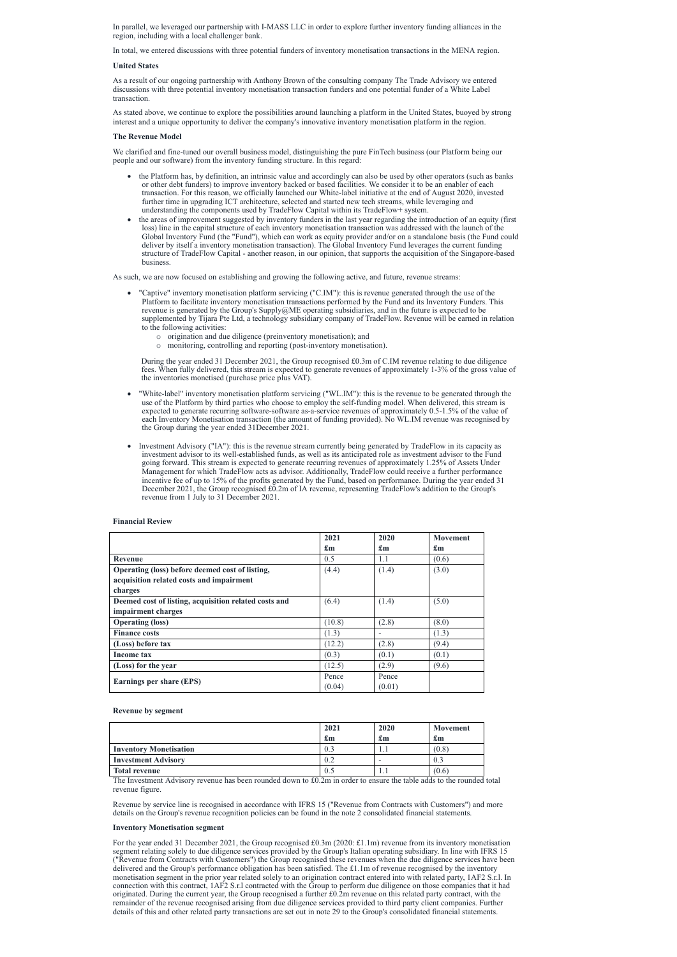In parallel, we leveraged our partnership with I-MASS LLC in order to explore further inventory funding alliances in the region, including with a local challenger bank.

In total, we entered discussions with three potential funders of inventory monetisation transactions in the MENA region.

# **United States**

As a result of our ongoing partnership with Anthony Brown of the consulting company The Trade Advisory we entered discussions with three potential inventory monetisation transaction funders and one potential funder of a White Label transaction.

As stated above, we continue to explore the possibilities around launching a platform in the United States, buoyed by strong interest and a unique opportunity to deliver the company's innovative inventory monetisation platform in the region.

# **The Revenue Model**

We clarified and fine-tuned our overall business model, distinguishing the pure FinTech business (our Platform being our people and our software) from the inventory funding structure. In this regard:

- the Platform has, by definition, an intrinsic value and accordingly can also be used by other operators (such as banks or other debt funders) to improve inventory backed or based facilities. We consider it to be an enabler of each transaction. For this reason, we officially launched our White-label initiative at the end of August 2020, invested further time in upgrading ICT architecture, selected and started new tech streams, while leveraging and understanding the components used by TradeFlow Capital within its TradeFlow+ system.
- · the areas of improvement suggested by inventory funders in the last year regarding the introduction of an equity (first loss) line in the capital structure of each inventory monetisation transaction was addressed with the launch of the Global Inventory Fund (the "Fund"), which can work as equity provider and/or on a standalone basis (the Fund could deliver by itself a inventory monetisation transaction). The Global Inventory Fund leverages the current funding structure of TradeFlow Capital - another reason, in our opinion, that supports the acquisition of the Singapore-based business.

As such, we are now focused on establishing and growing the following active, and future, revenue streams:

- · "Captive" inventory monetisation platform servicing ("C.IM"): this is revenue generated through the use of the Platform to facilitate inventory monetisation transactions performed by the Fund and its Inventory Funders. This revenue is generated by the Group's Supply@ME operating subsidiaries, and in the future is expected to be supplemented by Tijara Pte Ltd, a technology subsidiary company of TradeFlow. Revenue will be earned in relation to the following activities:
	- o origination and due diligence (preinventory monetisation); and
	- o monitoring, controlling and reporting (post-inventory monetisation).

During the year ended 31 December 2021, the Group recognised £0.3m of C.IM revenue relating to due diligence fees. When fully delivered, this stream is expected to generate revenues of approximately 1-3% of the gross value of the inventories monetised (purchase price plus VAT).

For the year ended 31 December 2021, the Group recognised £0.3m (2020: £1.1m) revenue from its inventory monetisation segment relating solely to due diligence services provided by the Group's Italian operating subsidiary. In line with IFRS 15 ("Revenue from Contracts with Customers") the Group recognised these revenues when the due diligence services have been delivered and the Group's performance obligation has been satisfied. The £1.1m of revenue recognised by the inventory monetisation segment in the prior year related solely to an origination contract entered into with related party, 1AF2 S.r.l. In connection with this contract, 1AF2 S.r.l contracted with the Group to perform due diligence on those companies that it had originated. During the current year, the Group recognised a further £0.2m revenue on this related party contract, with the remainder of the revenue recognised arising from due diligence services provided to third party client companies. Further details of this and other related party transactions are set out in note 29 to the Group's consolidated financial statements.

- · "White-label" inventory monetisation platform servicing ("WL.IM"): this is the revenue to be generated through the use of the Platform by third parties who choose to employ the self-funding model. When delivered, this stream is expected to generate recurring software-software as-a-service revenues of approximately 0.5-1.5% of the value of each Inventory Monetisation transaction (the amount of funding provided). No WL.IM revenue was recognised by the Group during the year ended 31December 2021.
- Investment Advisory ("IA"): this is the revenue stream currently being generated by TradeFlow in its capacity as investment advisor to its well-established funds, as well as its anticipated role as investment advisor to the Fund going forward. This stream is expected to generate recurring revenues of approximately 1.25% of Assets Under Management for which TradeFlow acts as advisor. Additionally, TradeFlow could receive a further performance incentive fee of up to 15% of the profits generated by the Fund, based on performance. During the year ended 31 December 2021, the Group recognised £0.2m of IA revenue, representing TradeFlow's addition to the Group's revenue from 1 July to 31 December 2021.

# **Financial Review**

|                                                       | 2021<br>$\mathbf{f}_{\mathbf{m}}$ | 2020                      | <b>Movement</b><br>$\mathbf{f}_{\mathbf{m}}$ |
|-------------------------------------------------------|-----------------------------------|---------------------------|----------------------------------------------|
|                                                       |                                   | $\mathbf{f}_{\mathbf{m}}$ |                                              |
| Revenue                                               | 0.5                               | 1.1                       | (0.6)                                        |
| Operating (loss) before deemed cost of listing,       | (4.4)                             | (1.4)                     | (3.0)                                        |
| acquisition related costs and impairment              |                                   |                           |                                              |
| charges                                               |                                   |                           |                                              |
| Deemed cost of listing, acquisition related costs and | (6.4)                             | (1.4)                     | (5.0)                                        |
| impairment charges                                    |                                   |                           |                                              |
| <b>Operating (loss)</b>                               | (10.8)                            | (2.8)                     | (8.0)                                        |
| <b>Finance costs</b>                                  | (1.3)                             |                           | (1.3)                                        |
| (Loss) before tax                                     | (12.2)                            | (2.8)                     | (9.4)                                        |
| Income tax                                            | (0.3)                             | (0.1)                     | (0.1)                                        |
| (Loss) for the year                                   | (12.5)                            | (2.9)                     | (9.6)                                        |
|                                                       | Pence                             | Pence                     |                                              |
| <b>Earnings per share (EPS)</b>                       | (0.04)                            | (0.01)                    |                                              |

### **Revenue by segment**

|                               | 2021 | 2020                      | <b>Movement</b>           |
|-------------------------------|------|---------------------------|---------------------------|
|                               | £m   | $\mathbf{f}_{\mathbf{m}}$ | $\mathbf{f}_{\mathbf{m}}$ |
| <b>Inventory Monetisation</b> | 0.3  | 1.1                       | (0.8)                     |
| <b>Investment Advisory</b>    | 0.2  |                           | 0.3                       |
| <b>Total revenue</b>          | 0.5  | 1.1                       | (0.6)                     |

The Investment Advisory revenue has been rounded down to £0.2m in order to ensure the table adds to the rounded total revenue figure.

Revenue by service line is recognised in accordance with IFRS 15 ("Revenue from Contracts with Customers") and more details on the Group's revenue recognition policies can be found in the note 2 consolidated financial statements.

# **Inventory Monetisation segment**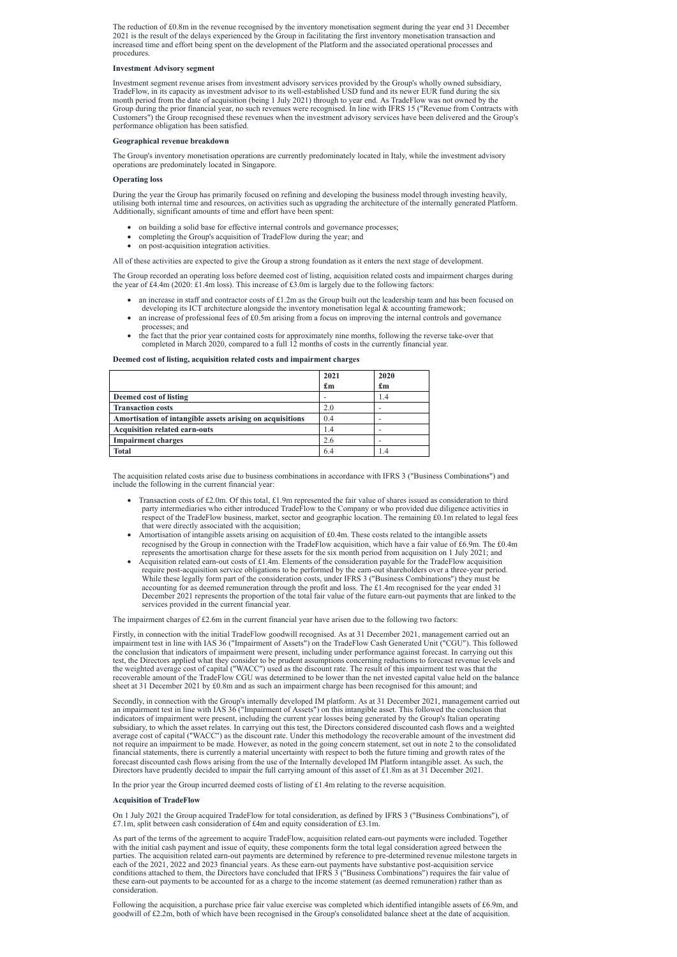The reduction of £0.8m in the revenue recognised by the inventory monetisation segment during the year end 31 December 2021 is the result of the delays experienced by the Group in facilitating the first inventory monetisation transaction and increased time and effort being spent on the development of the Platform and the associated operational processes and procedures.

### **Investment Advisory segment**

Investment segment revenue arises from investment advisory services provided by the Group's wholly owned subsidiary, TradeFlow, in its capacity as investment advisor to its well-established USD fund and its newer EUR fund during the six month period from the date of acquisition (being 1 July 2021) through to year end. As TradeFlow was not owned by the Group during the prior financial year, no such revenues were recognised. In line with IFRS 15 ("Revenue from Contracts with Customers") the Group recognised these revenues when the investment advisory services have been delivered and the Group's performance obligation has been satisfied.

- · on building a solid base for effective internal controls and governance processes;
- · completing the Group's acquisition of TradeFlow during the year; and
- on post-acquisition integration activities.

The Group recorded an operating loss before deemed cost of listing, acquisition related costs and impairment charges during the year of £4.4m (2020: £1.4m loss). This increase of £3.0m is largely due to the following factors:

### **Geographical revenue breakdown**

The Group's inventory monetisation operations are currently predominately located in Italy, while the investment advisory operations are predominately located in Singapore.

### **Operating loss**

- an increase in staff and contractor costs of  $£1.2m$  as the Group built out the leadership team and has been focused on developing its ICT architecture alongside the inventory monetisation legal & accounting framework;
- an increase of professional fees of £0.5m arising from a focus on improving the internal controls and governance processes; and
- the fact that the prior year contained costs for approximately nine months, following the reverse take-over that completed in March 2020, compared to a full 12 months of costs in the currently financial year.

During the year the Group has primarily focused on refining and developing the business model through investing heavily, utilising both internal time and resources, on activities such as upgrading the architecture of the internally generated Platform. Additionally, significant amounts of time and effort have been spent:

All of these activities are expected to give the Group a strong foundation as it enters the next stage of development.

- Transaction costs of £2.0m. Of this total, £1.9m represented the fair value of shares issued as consideration to third party intermediaries who either introduced TradeFlow to the Company or who provided due diligence activities in respect of the TradeFlow business, market, sector and geographic location. The remaining £0.1m related to legal fees that were directly associated with the acquisition;
- Amortisation of intangible assets arising on acquisition of £0.4m. These costs related to the intangible assets recognised by the Group in connection with the TradeFlow acquisition, which have a fair value of £6.9m. The £0.4m represents the amortisation charge for these assets for the six month period from acquisition on 1 July 2021; and
- Acquisition related earn-out costs of £1.4m. Elements of the consideration payable for the TradeFlow acquisition require post-acquisition service obligations to be performed by the earn-out shareholders over a three-year period. While these legally form part of the consideration costs, under IFRS 3 ("Business Combinations") they must be accounting for as deemed remuneration through the profit and loss. The £1.4m recognised for the year ended 31 December 2021 represents the proportion of the total fair value of the future earn-out payments that are linked to the services provided in the current financial year.

Firstly, in connection with the initial TradeFlow goodwill recognised. As at 31 December 2021, management carried out an impairment test in line with IAS 36 ("Impairment of Assets") on the TradeFlow Cash Generated Unit ("CGU"). This followed the conclusion that indicators of impairment were present, including under performance against forecast. In carrying out this test, the Directors applied what they consider to be prudent assumptions concerning reductions to forecast revenue levels and the weighted average cost of capital ("WACC") used as the discount rate. The result of this impairment test was that the recoverable amount of the TradeFlow CGU was determined to be lower than the net invested capital value held on the balance sheet at 31 December 2021 by £0.8m and as such an impairment charge has been recognised for this amount; and

### **Deemed cost of listing, acquisition related costs and impairment charges**

Secondly, in connection with the Group's internally developed IM platform. As at 31 December 2021, management carried out an impairment test in line with IAS 36 ("Impairment of Assets") on this intangible asset. This followed the conclusion that indicators of impairment were present, including the current year losses being generated by the Group's Italian operating subsidiary, to which the asset relates. In carrying out this test, the Directors considered discounted cash flows and a weighted average cost of capital ("WACC") as the discount rate. Under this methodology the recoverable amount of the investment did not require an impairment to be made. However, as noted in the going concern statement, set out in note 2 to the consolidated financial statements, there is currently a material uncertainty with respect to both the future timing and growth rates of the forecast discounted cash flows arising from the use of the Internally developed IM Platform intangible asset. As such, the Directors have prudently decided to impair the full carrying amount of this asset of £1.8m as at 31 December 2021.

In the prior year the Group incurred deemed costs of listing of £1.4m relating to the reverse acquisition.

|                                                           | 2021                      | 2020                      |
|-----------------------------------------------------------|---------------------------|---------------------------|
|                                                           | $\mathbf{f}_{\mathbf{m}}$ | $\mathbf{f}_{\mathbf{m}}$ |
| Deemed cost of listing                                    |                           | 1.4                       |
| <b>Transaction costs</b>                                  | 2.0                       |                           |
| Amortisation of intangible assets arising on acquisitions | 0.4                       |                           |
| Acquisition related earn-outs                             | 1.4                       |                           |
| <b>Impairment charges</b>                                 | 2.6                       |                           |
| Total                                                     | 64                        |                           |

The acquisition related costs arise due to business combinations in accordance with IFRS 3 ("Business Combinations") and include the following in the current financial year:

The impairment charges of £2.6m in the current financial year have arisen due to the following two factors:

# **Acquisition of TradeFlow**

On 1 July 2021 the Group acquired TradeFlow for total consideration, as defined by IFRS 3 ("Business Combinations"), of £7.1m, split between cash consideration of £4m and equity consideration of £3.1m.

As part of the terms of the agreement to acquire TradeFlow, acquisition related earn-out payments were included. Together with the initial cash payment and issue of equity, these components form the total legal consideration agreed between the parties. The acquisition related earn-out payments are determined by reference to pre-determined revenue milestone targets in each of the 2021, 2022 and 2023 financial years. As these earn-out payments have substantive post-acquisition service conditions attached to them, the Directors have concluded that IFRS 3 ("Business Combinations") requires the fair value of these earn-out payments to be accounted for as a charge to the income statement (as deemed remuneration) rather than as consideration.

Following the acquisition, a purchase price fair value exercise was completed which identified intangible assets of £6.9m, and goodwill of £2.2m, both of which have been recognised in the Group's consolidated balance sheet at the date of acquisition.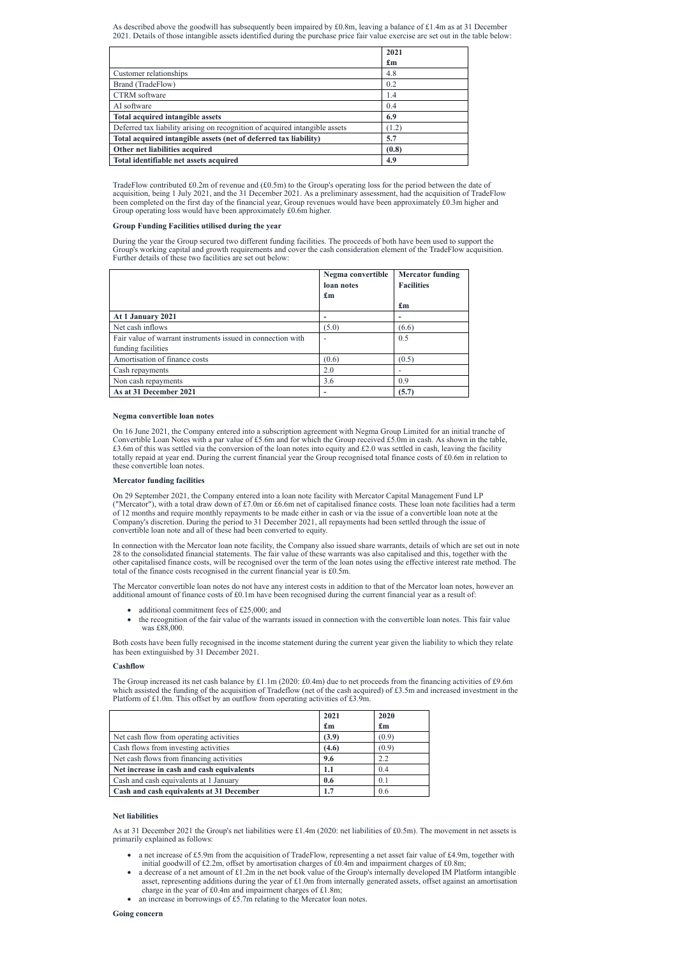As described above the goodwill has subsequently been impaired by £0.8m, leaving a balance of £1.4m as at 31 December 2021. Details of those intangible assets identified during the purchase price fair value exercise are set out in the table below:

|                                                                             | 2021                      |
|-----------------------------------------------------------------------------|---------------------------|
|                                                                             | $\mathbf{f}_{\mathbf{m}}$ |
| Customer relationships                                                      | 4.8                       |
| Brand (TradeFlow)                                                           | 0.2                       |
| CTRM software                                                               | 1.4                       |
| AI software                                                                 | 0.4                       |
| Total acquired intangible assets                                            | 6.9                       |
| Deferred tax liability arising on recognition of acquired intangible assets | (1.2)                     |
| Total acquired intangible assets (net of deferred tax liability)            | 5.7                       |
| Other net liabilities acquired                                              | (0.8)                     |
| Total identifiable net assets acquired                                      | 4.9                       |

TradeFlow contributed £0.2m of revenue and  $(£0.5m)$  to the Group's operating loss for the period between the date of acquisition, being 1 July 2021, and the 31 December 2021. As a preliminary assessment, had the acquisition of TradeFlow been completed on the first day of the financial year, Group revenues would have been approximately £0.3m higher and Group operating loss would have been approximately £0.6m higher.

# **Group Funding Facilities utilised during the year**

During the year the Group secured two different funding facilities. The proceeds of both have been used to support the Group's working capital and growth requirements and cover the cash consideration element of the TradeFlow acquisition. Further details of these two facilities are set out below:

|                                                                                   | Negma convertible<br>loan notes | <b>Mercator funding</b><br><b>Facilities</b> |
|-----------------------------------------------------------------------------------|---------------------------------|----------------------------------------------|
|                                                                                   | $\mathbf{f}_{\mathbf{m}}$       | $\mathbf{f}_{\mathbf{m}}$                    |
| At 1 January 2021                                                                 |                                 | -                                            |
| Net cash inflows                                                                  | (5.0)                           | (6.6)                                        |
| Fair value of warrant instruments issued in connection with<br>funding facilities |                                 | 0.5                                          |
| Amortisation of finance costs                                                     | (0.6)                           | (0.5)                                        |
| Cash repayments                                                                   | 2.0                             |                                              |
| Non cash repayments                                                               | 3.6                             | 0.9                                          |
| As at 31 December 2021                                                            |                                 | (5.7)                                        |

# **Negma convertible loan notes**

- additional commitment fees of £25,000; and
- the recognition of the fair value of the warrants issued in connection with the convertible loan notes. This fair value was £88,000.

On 16 June 2021, the Company entered into a subscription agreement with Negma Group Limited for an initial tranche of Convertible Loan Notes with a par value of £5.6m and for which the Group received £5.0m in cash. As shown in the table, £3.6m of this was settled via the conversion of the loan notes into equity and £2.0 was settled in cash, leaving the facility totally repaid at year end. During the current financial year the Group recognised total finance costs of £0.6m in relation to these convertible loan notes.

# **Mercator funding facilities**

On 29 September 2021, the Company entered into a loan note facility with Mercator Capital Management Fund LP ("Mercator"), with a total draw down of £7.0m or £6.6m net of capitalised finance costs. These loan note facilities had a term of 12 months and require monthly repayments to be made either in cash or via the issue of a convertible loan note at the Company's discretion. During the period to 31 December 2021, all repayments had been settled through the issue of convertible loan note and all of these had been converted to equity.

In connection with the Mercator loan note facility, the Company also issued share warrants, details of which are set out in note 28 to the consolidated financial statements. The fair value of these warrants was also capitalised and this, together with the other capitalised finance costs, will be recognised over the term of the loan notes using the effective interest rate method. The total of the finance costs recognised in the current financial year is £0.5m.

The Mercator convertible loan notes do not have any interest costs in addition to that of the Mercator loan notes, however an additional amount of finance costs of £0.1m have been recognised during the current financial year as a result of:

Both costs have been fully recognised in the income statement during the current year given the liability to which they relate has been extinguished by 31 December 2021.

# **Cashflow**

The Group increased its net cash balance by £1.1m (2020: £0.4m) due to net proceeds from the financing activities of £9.6m which assisted the funding of the acquisition of Tradeflow (net of the cash acquired) of £3.5m and increased investment in the Platform of £1.0m. This offset by an outflow from operating activities of £3.9m.

|                                           | 2021                      | 2020                      |
|-------------------------------------------|---------------------------|---------------------------|
|                                           | $\mathbf{f}_{\mathbf{m}}$ | $\mathbf{f}_{\mathbf{m}}$ |
| Net cash flow from operating activities   | (3.9)                     | (0.9)                     |
| Cash flows from investing activities      | (4.6)                     | (0.9)                     |
| Net cash flows from financing activities  | 9.6                       | 2.2                       |
| Net increase in cash and cash equivalents | 1.1                       | 0.4                       |
| Cash and cash equivalents at 1 January    | 0.6                       | 0.1                       |
| Cash and cash equivalents at 31 December  | 1.7                       | 0.6                       |

### **Net liabilities**

As at 31 December 2021 the Group's net liabilities were £1.4m (2020: net liabilities of £0.5m). The movement in net assets is primarily explained as follows:

- a net increase of £5.9m from the acquisition of TradeFlow, representing a net asset fair value of £4.9m, together with initial goodwill of £2.2m, offset by amortisation charges of £0.4m and impairment charges of £0.8m;
- · a decrease of a net amount of £1.2m in the net book value of the Group's internally developed IM Platform intangible asset, representing additions during the year of £1.0m from internally generated assets, offset against an amortisation charge in the year of £0.4m and impairment charges of £1.8m;
- an increase in borrowings of £5.7m relating to the Mercator loan notes.

# **Going concern**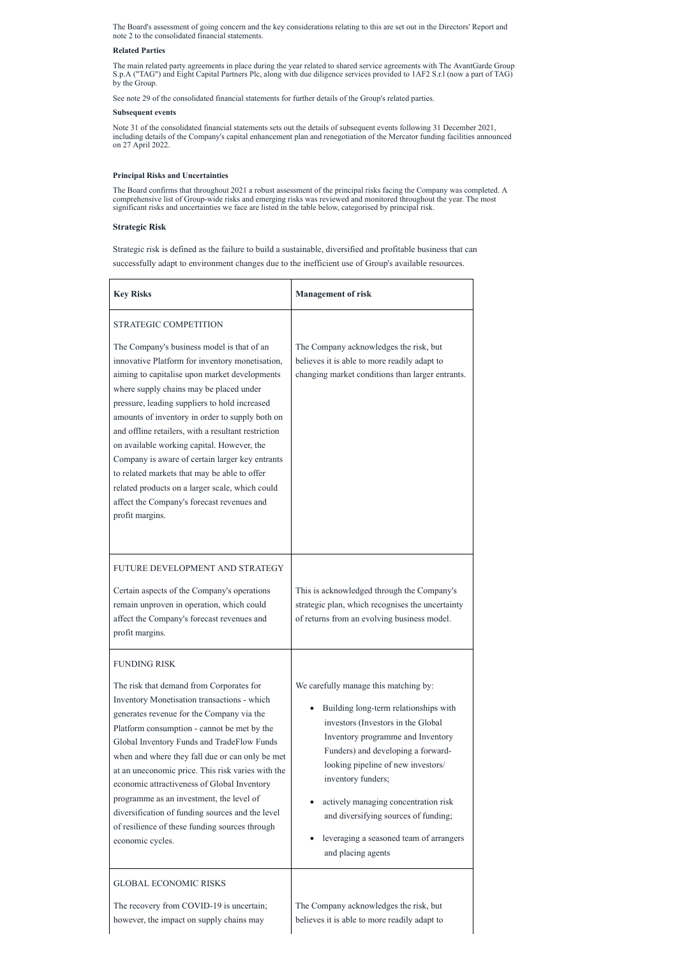The Board's assessment of going concern and the key considerations relating to this are set out in the Directors' Report and note 2 to the consolidated financial statements.

### **Related Parties**

The main related party agreements in place during the year related to shared service agreements with The AvantGarde Group S.p.A ("TAG") and Eight Capital Partners Plc, along with due diligence services provided to 1AF2 S.r.l (now a part of TAG) by the Group.

See note 29 of the consolidated financial statements for further details of the Group's related parties.

### **Subsequent events**

Note 31 of the consolidated financial statements sets out the details of subsequent events following 31 December 2021, including details of the Company's capital enhancement plan and renegotiation of the Mercator funding facilities announced on 27 April 2022.

# **Principal Risks and Uncertainties**

The Board confirms that throughout 2021 a robust assessment of the principal risks facing the Company was completed. A comprehensive list of Group-wide risks and emerging risks was reviewed and monitored throughout the year. The most significant risks and uncertainties we face are listed in the table below, categorised by principal risk.

# **Strategic Risk**

Strategic risk is defined as the failure to build a sustainable, diversified and profitable business that can successfully adapt to environment changes due to the inefficient use of Group's available resources.

- actively managing concentration risk and diversifying sources of funding;
- leveraging a seasoned team of arrangers and placing agents

| <b>Key Risks</b>                                                                                                                                                                                                                                                                                                                                                                                                                                                                                                                                                                                                          | <b>Management of risk</b>                                                                                                                     |
|---------------------------------------------------------------------------------------------------------------------------------------------------------------------------------------------------------------------------------------------------------------------------------------------------------------------------------------------------------------------------------------------------------------------------------------------------------------------------------------------------------------------------------------------------------------------------------------------------------------------------|-----------------------------------------------------------------------------------------------------------------------------------------------|
| STRATEGIC COMPETITION                                                                                                                                                                                                                                                                                                                                                                                                                                                                                                                                                                                                     |                                                                                                                                               |
| The Company's business model is that of an<br>innovative Platform for inventory monetisation,<br>aiming to capitalise upon market developments<br>where supply chains may be placed under<br>pressure, leading suppliers to hold increased<br>amounts of inventory in order to supply both on<br>and offline retailers, with a resultant restriction<br>on available working capital. However, the<br>Company is aware of certain larger key entrants<br>to related markets that may be able to offer<br>related products on a larger scale, which could<br>affect the Company's forecast revenues and<br>profit margins. | The Company acknowledges the risk, but<br>believes it is able to more readily adapt to<br>changing market conditions than larger entrants.    |
| FUTURE DEVELOPMENT AND STRATEGY<br>Certain aspects of the Company's operations<br>remain unproven in operation, which could<br>affect the Company's forecast revenues and<br>profit margins.                                                                                                                                                                                                                                                                                                                                                                                                                              | This is acknowledged through the Company's<br>strategic plan, which recognises the uncertainty<br>of returns from an evolving business model. |
| <b>FUNDING RISK</b><br>The risk that demand from Corporates for                                                                                                                                                                                                                                                                                                                                                                                                                                                                                                                                                           | We carefully manage this matching by:                                                                                                         |
| Inventory Monetisation transactions - which<br>generates revenue for the Company via the                                                                                                                                                                                                                                                                                                                                                                                                                                                                                                                                  | Building long-term relationships with                                                                                                         |

| Platform consumption - cannot be met by the       |  |
|---------------------------------------------------|--|
| Global Inventory Funds and TradeFlow Funds        |  |
| when and where they fall due or can only be met   |  |
| at an uneconomic price. This risk varies with the |  |
| economic attractiveness of Global Inventory       |  |
| programme as an investment, the level of          |  |
| diversification of funding sources and the level  |  |
| of resilience of these funding sources through    |  |
| economic cycles.                                  |  |
|                                                   |  |
|                                                   |  |
| GLOBAL ECONOMIC RISKS                             |  |
|                                                   |  |

investors (Investors in the Global Inventory programme and Inventory Funders) and developing a forwardlooking pipeline of new investors/ inventory funders;

The recovery from COVID-19 is uncertain; however, the impact on supply chains may

The Company acknowledges the risk, but believes it is able to more readily adapt to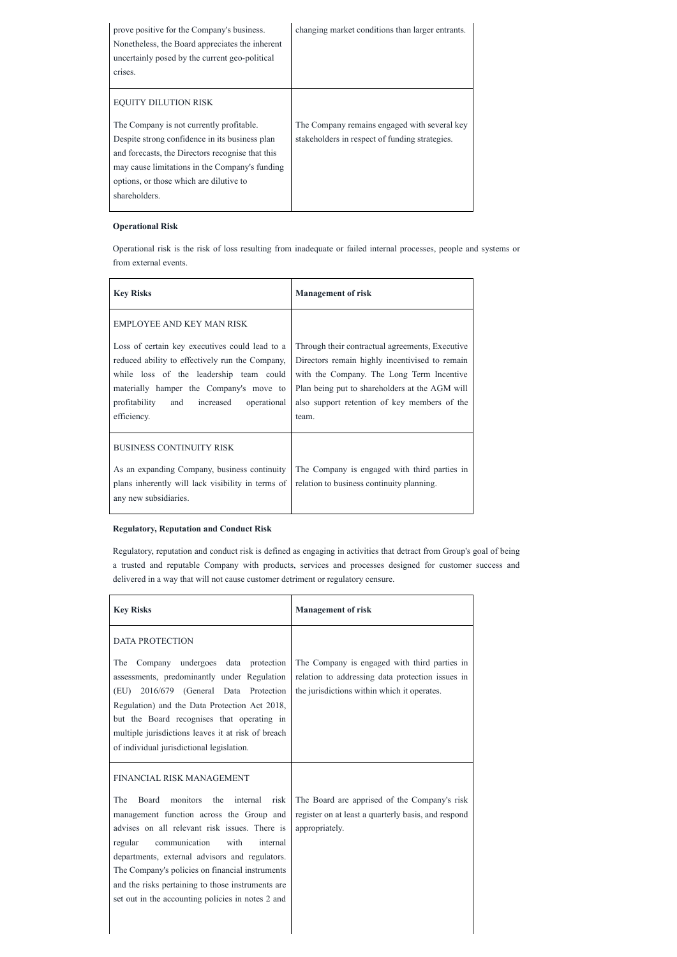| prove positive for the Company's business.<br>Nonetheless, the Board appreciates the inherent<br>uncertainly posed by the current geo-political<br>crises. | changing market conditions than larger entrants. |
|------------------------------------------------------------------------------------------------------------------------------------------------------------|--------------------------------------------------|
| <b>EQUITY DILUTION RISK</b>                                                                                                                                |                                                  |
| The Company is not currently profitable.                                                                                                                   | The Company remains engaged with several key     |
| Despite strong confidence in its business plan                                                                                                             | stakeholders in respect of funding strategies.   |
| and forecasts, the Directors recognise that this                                                                                                           |                                                  |
| may cause limitations in the Company's funding                                                                                                             |                                                  |
| options, or those which are dilutive to                                                                                                                    |                                                  |
| shareholders.                                                                                                                                              |                                                  |
|                                                                                                                                                            |                                                  |

# **Operational Risk**

Operational risk is the risk of loss resulting from inadequate or failed internal processes, people and systems or from external events.

| <b>Key Risks</b>                                                                                                                                                                                                                                        | <b>Management of risk</b>                                                                                                                                                                                                                                 |
|---------------------------------------------------------------------------------------------------------------------------------------------------------------------------------------------------------------------------------------------------------|-----------------------------------------------------------------------------------------------------------------------------------------------------------------------------------------------------------------------------------------------------------|
| <b>EMPLOYEE AND KEY MAN RISK</b>                                                                                                                                                                                                                        |                                                                                                                                                                                                                                                           |
| Loss of certain key executives could lead to a<br>reduced ability to effectively run the Company,<br>while loss of the leadership team could<br>materially hamper the Company's move to<br>profitability<br>and increased<br>operational<br>efficiency. | Through their contractual agreements, Executive<br>Directors remain highly incentivised to remain<br>with the Company. The Long Term Incentive<br>Plan being put to shareholders at the AGM will<br>also support retention of key members of the<br>team. |
| <b>BUSINESS CONTINUITY RISK</b><br>As an expanding Company, business continuity<br>plans inherently will lack visibility in terms of<br>any new subsidiaries.                                                                                           | The Company is engaged with third parties in<br>relation to business continuity planning.                                                                                                                                                                 |

# **Regulatory, Reputation and Conduct Risk**

Regulatory, reputation and conduct risk is defined as engaging in activities that detract from Group's goal of being a trusted and reputable Company with products, services and processes designed for customer success and delivered in a way that will not cause customer detriment or regulatory censure.

| <b>Key Risks</b>                                                                                                                                                                      | <b>Management of risk</b>                                                                                                                       |
|---------------------------------------------------------------------------------------------------------------------------------------------------------------------------------------|-------------------------------------------------------------------------------------------------------------------------------------------------|
| DATA PROTECTION                                                                                                                                                                       |                                                                                                                                                 |
| Company undergoes data protection<br>The<br>assessments, predominantly under Regulation<br>2016/679 (General Data Protection<br>(EU)<br>Regulation) and the Data Protection Act 2018, | The Company is engaged with third parties in<br>relation to addressing data protection issues in<br>the jurisdictions within which it operates. |
| but the Board recognises that operating in                                                                                                                                            |                                                                                                                                                 |

| multiple jurisdictions leaves it at risk of breach<br>of individual jurisdictional legislation. |                                                     |
|-------------------------------------------------------------------------------------------------|-----------------------------------------------------|
| FINANCIAL RISK MANAGEMENT                                                                       |                                                     |
| monitors<br>the<br>The<br>Board<br>internal<br>risk                                             | The Board are apprised of the Company's risk        |
| management function across the Group and                                                        | register on at least a quarterly basis, and respond |
| advises on all relevant risk issues. There is                                                   | appropriately.                                      |
| communication<br>with<br>internal<br>regular                                                    |                                                     |
| departments, external advisors and regulators.                                                  |                                                     |
| The Company's policies on financial instruments                                                 |                                                     |
| and the risks pertaining to those instruments are                                               |                                                     |
| set out in the accounting policies in notes 2 and                                               |                                                     |
|                                                                                                 |                                                     |
|                                                                                                 |                                                     |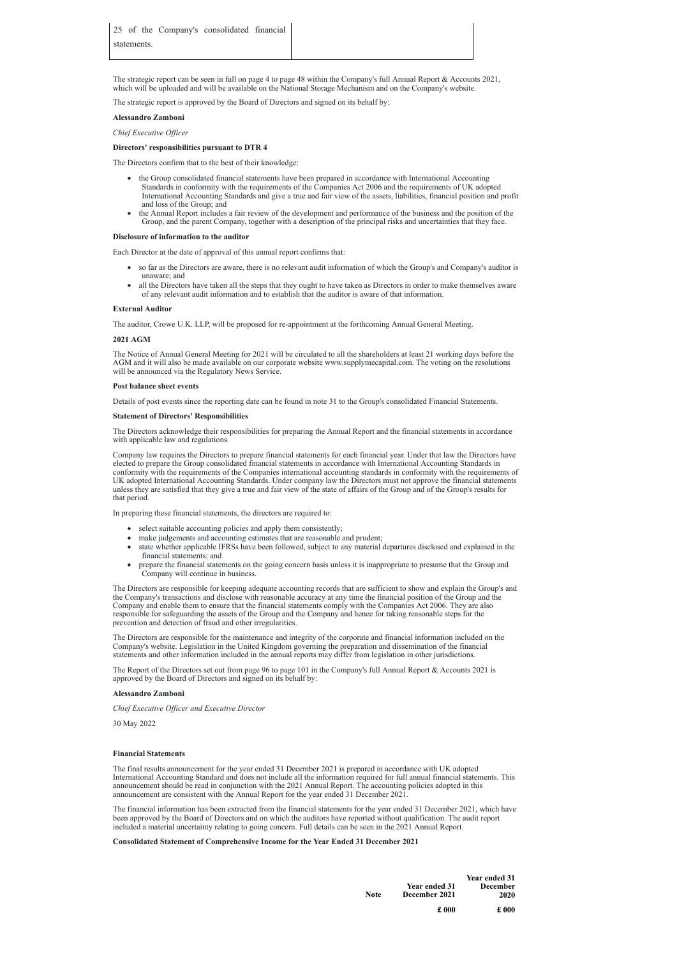The strategic report can be seen in full on page 4 to page 48 within the Company's full Annual Report & Accounts 2021, which will be uploaded and will be available on the National Storage Mechanism and on the Company's website.

The strategic report is approved by the Board of Directors and signed on its behalf by:

### **Alessandro Zamboni**

*Chief Executive Of icer*

# **Directors' responsibilities pursuant to DTR 4**

The Directors confirm that to the best of their knowledge:

- · the Group consolidated financial statements have been prepared in accordance with International Accounting Standards in conformity with the requirements of the Companies Act 2006 and the requirements of UK adopted International Accounting Standards and give a true and fair view of the assets, liabilities, financial position and profit and loss of the Group; and
- the Annual Report includes a fair review of the development and performance of the business and the position of the Group, and the parent Company, together with a description of the principal risks and uncertainties that they face.

### **Disclosure of information to the auditor**

Each Director at the date of approval of this annual report confirms that:

- · so far as the Directors are aware, there is no relevant audit information of which the Group's and Company's auditor is unaware; and
- all the Directors have taken all the steps that they ought to have taken as Directors in order to make themselves aware of any relevant audit information and to establish that the auditor is aware of that information.

### **External Auditor**

The auditor, Crowe U.K. LLP, will be proposed for re-appointment at the forthcoming Annual General Meeting.

### **2021 AGM**

- select suitable accounting policies and apply them consistently;
- make judgements and accounting estimates that are reasonable and prudent;
- state whether applicable IFRSs have been followed, subject to any material departures disclosed and explained in the financial statements; and
- · prepare the financial statements on the going concern basis unless it is inappropriate to presume that the Group and Company will continue in business.

The Notice of Annual General Meeting for 2021 will be circulated to all the shareholders at least 21 working days before the AGM and it will also be made available on our corporate website www.supplymecapital.com. The voting on the resolutions will be announced via the Regulatory News Service.

### **Post balance sheet events**

Details of post events since the reporting date can be found in note 31 to the Group's consolidated Financial Statements.

### **Statement of Directors' Responsibilities**

The Directors acknowledge their responsibilities for preparing the Annual Report and the financial statements in accordance with applicable law and regulations.

Company law requires the Directors to prepare financial statements for each financial year. Under that law the Directors have elected to prepare the Group consolidated financial statements in accordance with International Accounting Standards in conformity with the requirements of the Companies international accounting standards in conformity with the requirements of UK adopted International Accounting Standards. Under company law the Directors must not approve the financial statements unless they are satisfied that they give a true and fair view of the state of affairs of the Group and of the Group's results for that period.

In preparing these financial statements, the directors are required to:

The Directors are responsible for keeping adequate accounting records that are sufficient to show and explain the Group's and the Company's transactions and disclose with reasonable accuracy at any time the financial position of the Group and the Company and enable them to ensure that the financial statements comply with the Companies Act 2006. They are also responsible for safeguarding the assets of the Group and the Company and hence for taking reasonable steps for the prevention and detection of fraud and other irregularities.

The Directors are responsible for the maintenance and integrity of the corporate and financial information included on the Company's website. Legislation in the United Kingdom governing the preparation and dissemination of the financial statements and other information included in the annual reports may differ from legislation in other jurisdictions.

The Report of the Directors set out from page 96 to page 101 in the Company's full Annual Report & Accounts 2021 is approved by the Board of Directors and signed on its behalf by:

# **Alessandro Zamboni**

*Chief Executive Of icer and Executive Director*

30 May 2022

# **Financial Statements**

The final results announcement for the year ended 31 December 2021 is prepared in accordance with UK adopted International Accounting Standard and does not include all the information required for full annual financial statements. This announcement should be read in conjunction with the 2021 Annual Report. The accounting policies adopted in this announcement are consistent with the Annual Report for the year ended 31 December 2021.

The financial information has been extracted from the financial statements for the year ended 31 December 2021, which have been approved by the Board of Directors and on which the auditors have reported without qualification. The audit report included a material uncertainty relating to going concern. Full details can be seen in the 2021 Annual Report.

**Consolidated Statement of Comprehensive Income for the Year Ended 31 December 2021**

| <b>Note</b> | <b>Year ended 31</b><br>December 2021 | <b>Year ended 31</b><br>December<br>2020 |
|-------------|---------------------------------------|------------------------------------------|
|             | £000                                  | £000                                     |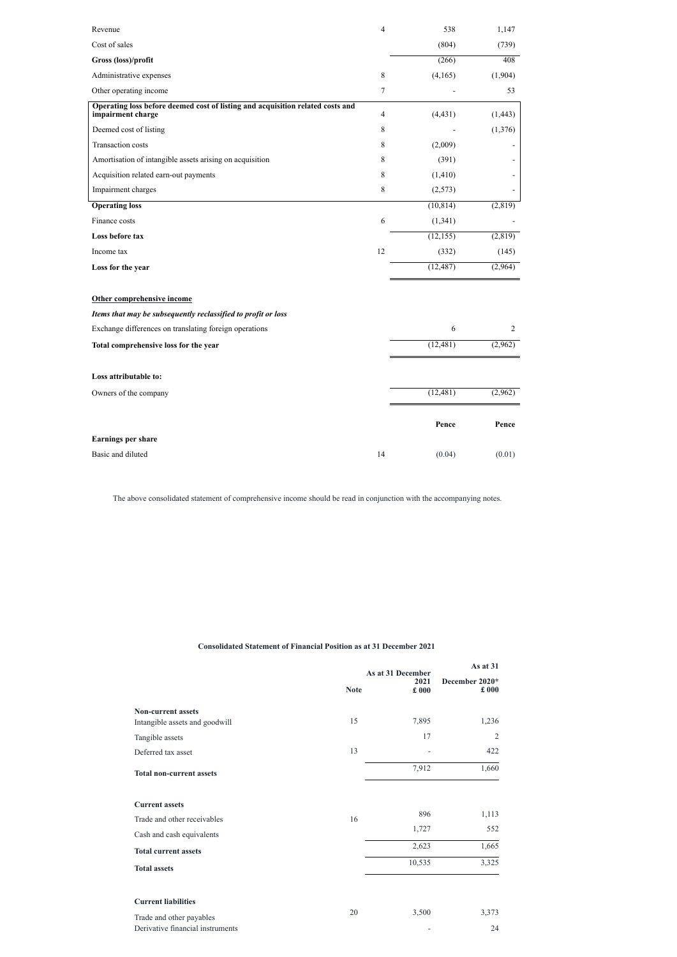| Revenue                                                                                             | 4           | 538                   | 1,147    |
|-----------------------------------------------------------------------------------------------------|-------------|-----------------------|----------|
| Cost of sales                                                                                       |             | (804)                 | (739)    |
| Gross (loss)/profit                                                                                 |             | (266)                 | 408      |
| Administrative expenses                                                                             | $\,8\,$     | (4,165)               | (1,904)  |
| Other operating income                                                                              | 7           |                       | 53       |
| Operating loss before deemed cost of listing and acquisition related costs and<br>impairment charge | 4           | (4, 431)              | (1, 443) |
| Deemed cost of listing                                                                              | 8           |                       | (1,376)  |
| Transaction costs                                                                                   | 8           | (2,009)               |          |
| Amortisation of intangible assets arising on acquisition                                            | 8           | (391)                 |          |
| Acquisition related earn-out payments                                                               | 8           | (1, 410)              |          |
| Impairment charges                                                                                  | $\,$ 8 $\,$ | (2,573)               |          |
| <b>Operating loss</b>                                                                               |             | (10, 814)             | (2,819)  |
| Finance costs                                                                                       | 6           | (1, 341)              |          |
| Loss before tax                                                                                     |             | (12, 155)             | (2,819)  |
| Income tax                                                                                          | 12          | (332)                 | (145)    |
| Loss for the year                                                                                   |             | (12, 487)             | (2,964)  |
| Other comprehensive income                                                                          |             |                       |          |
| Items that may be subsequently reclassified to profit or loss                                       |             |                       |          |
| Exchange differences on translating foreign operations                                              |             | 6                     | 2        |
| Total comprehensive loss for the year                                                               |             | $(\overline{12,481})$ | (2,962)  |
| Loss attributable to:                                                                               |             |                       |          |
| Owners of the company                                                                               |             | (12, 481)             | (2,962)  |
|                                                                                                     |             | Pence                 | Pence    |
| Earnings per share                                                                                  |             |                       |          |
| Basic and diluted                                                                                   | 14          | (0.04)                | (0.01)   |

The above consolidated statement of comprehensive income should be read in conjunction with the accompanying notes.

**Consolidated Statement of Financial Position as at 31 December 2021**

|                                                             | <b>Note</b> | As at 31 December<br>2021<br>$\pmb{\pounds}$ 000 | As at 31<br>December 2020*<br>$\pounds$ 000 |
|-------------------------------------------------------------|-------------|--------------------------------------------------|---------------------------------------------|
| <b>Non-current assets</b><br>Intangible assets and goodwill | 15          | 7,895                                            | 1,236                                       |
| Tangible assets                                             |             | 17                                               | 2                                           |
| Deferred tax asset                                          | 13          |                                                  | 422                                         |
| <b>Total non-current assets</b>                             |             | 7,912                                            | 1,660                                       |
| <b>Current assets</b>                                       |             | 896                                              | 1,113                                       |
| Trade and other receivables<br>Cash and cash equivalents    | 16          | 1,727                                            | 552                                         |
| <b>Total current assets</b>                                 |             | 2,623                                            | 1,665                                       |
| <b>Total assets</b>                                         |             | 10,535                                           | 3,325                                       |
| <b>Current liabilities</b><br>Trade and other payables      | 20          | 3,500                                            | 3,373                                       |
| Derivative financial instruments                            |             | $\overline{a}$                                   | 24                                          |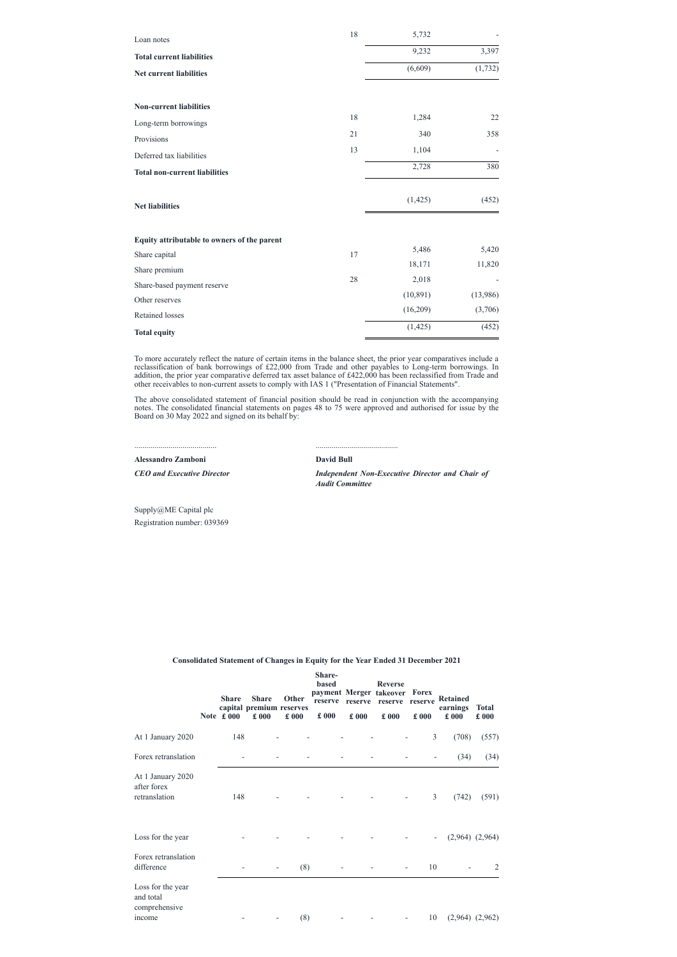| Loan notes                                  | 18     | 5,732     |          |
|---------------------------------------------|--------|-----------|----------|
| <b>Total current liabilities</b>            |        | 9,232     | 3,397    |
| <b>Net current liabilities</b>              |        | (6,609)   | (1, 732) |
|                                             |        |           |          |
| <b>Non-current liabilities</b>              |        |           |          |
| Long-term borrowings                        | 18     | 1,284     | 22       |
| Provisions                                  | 21     | 340       | 358      |
| Deferred tax liabilities                    | 13     | 1,104     |          |
| <b>Total non-current liabilities</b>        |        | 2,728     | 380      |
| <b>Net liabilities</b>                      |        | (1, 425)  | (452)    |
| Equity attributable to owners of the parent |        |           |          |
| Share capital                               | 17     | 5,486     | 5,420    |
| Share premium                               |        | 18,171    | 11,820   |
| Share-based payment reserve                 | $28\,$ | 2,018     |          |
| Other reserves                              |        | (10, 891) | (13,986) |
| Retained losses                             |        | (16,209)  | (3,706)  |
| <b>Total equity</b>                         |        | (1, 425)  | (452)    |

To more accurately reflect the nature of certain items in the balance sheet, the prior year comparatives include a reclassification of bank borrowings of £22,000 from Trade and other payables to Long-term borrowings. In addition, the prior year comparative deferred tax asset balance of £422,000 has been reclassified from Trade and other receivables to non-current assets to comply with IAS 1 ("Presentation of Financial Statements".

The above consolidated statement of financial position should be read in conjunction with the accompanying notes. The consolidated financial statements on pages 48 to 75 were approved and authorised for issue by the Board on 30 May 2022 and signed on its behalf by:

......................................... **Alessandro Zamboni**

*CEO and Executive Director*

.........................................

**David Bull**

*Independent Non-Executive Director and Chair of Audit Committee*

Supply@ME Capital plc Registration number: 039369

**Consolidated Statement of Changes in Equity for the Year Ended 31 December 2021**

|                                 |               | <b>Share-</b> |      |                               |               |                                          |              |
|---------------------------------|---------------|---------------|------|-------------------------------|---------------|------------------------------------------|--------------|
|                                 |               | <b>based</b>  |      | <b>Reverse</b>                |               |                                          |              |
|                                 |               |               |      | payment Merger takeover Forex |               |                                          |              |
| <b>Share</b><br>Share           | <b>Other</b>  |               |      |                               |               | reserve reserve reserve reserve Retained |              |
| capital premium reserves        |               |               |      |                               |               | earnings                                 | <b>Total</b> |
| Note $\pounds 000$<br>$\pm 000$ | $\pounds$ 000 | $\pounds 000$ | £000 | £000                          | $\pounds 000$ | £000                                     | £000         |

| At 1 January 2020                                         | 148 |                          |     |   |                          | 3                        | (708)               | (557) |
|-----------------------------------------------------------|-----|--------------------------|-----|---|--------------------------|--------------------------|---------------------|-------|
| Forex retranslation                                       | ۰   |                          |     | - |                          | $\overline{\phantom{a}}$ | (34)                | (34)  |
| At 1 January 2020<br>after forex<br>retranslation         | 148 | $\overline{a}$           |     | ۰ | $\overline{\phantom{a}}$ | $\mathfrak{Z}$           | (742)               | (591) |
| Loss for the year                                         |     | $\overline{a}$           |     | - |                          | $\overline{\phantom{a}}$ | $(2,964)$ $(2,964)$ |       |
| Forex retranslation<br>difference                         |     | $\overline{\phantom{a}}$ | (8) |   | $\overline{\phantom{a}}$ | 10                       |                     | 2     |
| Loss for the year<br>and total<br>comprehensive<br>income |     | $\overline{\phantom{a}}$ | (8) |   | -                        | 10                       | $(2,964)$ $(2,962)$ |       |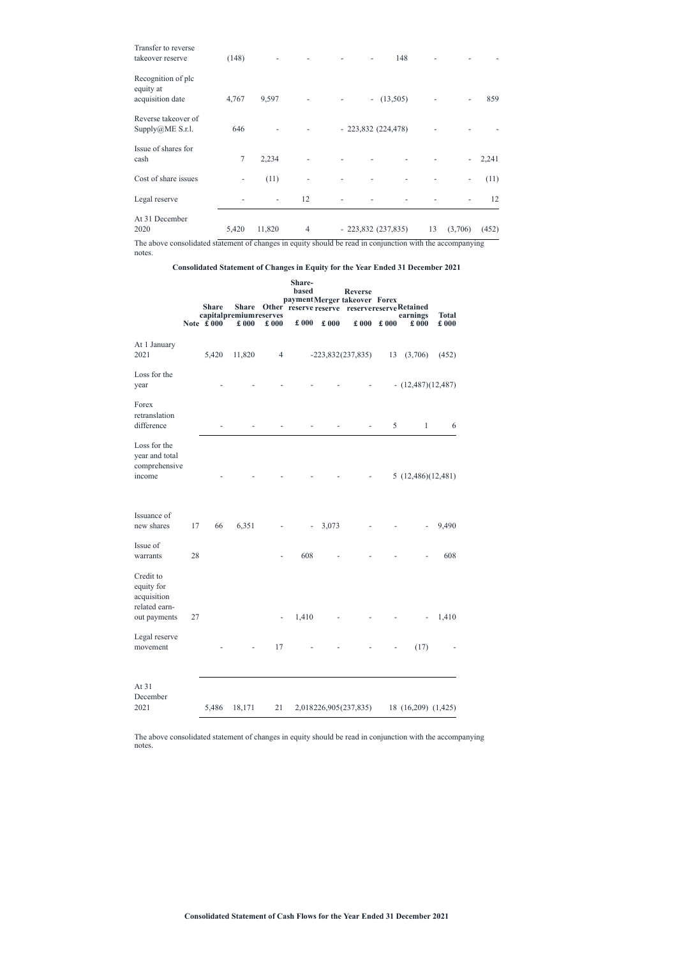| At 31 December<br>2020                              | 5,420 | 11,820                   | $\overline{4}$ | $-223,832(237,835)$ |     | 13 | (3,706)                  | (452) |
|-----------------------------------------------------|-------|--------------------------|----------------|---------------------|-----|----|--------------------------|-------|
| Legal reserve                                       |       | $\overline{\phantom{a}}$ | 12             |                     |     |    |                          | 12    |
| Cost of share issues                                |       | (11)                     |                |                     |     |    | $\overline{\phantom{a}}$ | (11)  |
| Issue of shares for<br>cash                         | 7     | 2,234                    |                |                     |     |    |                          | 2,241 |
| Reverse takeover of<br>Supply@ME S.r.l.             | 646   |                          |                | $-223,832(224,478)$ |     |    |                          |       |
| Recognition of plc<br>equity at<br>acquisition date | 4,767 | 9,597                    |                | $- (13,505)$        |     |    |                          | 859   |
| Transfer to reverse<br>takeover reserve             | (148) |                          |                |                     | 148 |    |                          |       |

The above consolidated statement of changes in equity should be read in conjunction with the accompanying notes.

# **Consolidated Statement of Changes in Equity for the Year Ended 31 December 2021**

|                                                                         |    | <b>Share</b>             | <b>Share</b>                    |                          | Share-<br>based          |               | <b>Reverse</b><br>paymentMerger takeover Forex |      | Other reserve reserve reservereserveRetained |                               |
|-------------------------------------------------------------------------|----|--------------------------|---------------------------------|--------------------------|--------------------------|---------------|------------------------------------------------|------|----------------------------------------------|-------------------------------|
|                                                                         |    | Note $\text{\pounds}000$ | capitalpremium reserves<br>£000 | £000                     | $\pounds$ 000            | $\pounds$ 000 | £000                                           | £000 | earnings<br>$\pounds 000$                    | <b>Total</b><br>$\pounds$ 000 |
| At 1 January<br>2021                                                    |    | 5,420                    | 11,820                          | $\overline{4}$           |                          |               | $-223,832(237,835)$                            | 13   | (3,706)                                      | (452)                         |
| Loss for the<br>year                                                    |    |                          |                                 |                          |                          |               |                                                |      | $- (12,487)(12,487)$                         |                               |
| Forex<br>retranslation<br>difference                                    |    |                          |                                 |                          |                          |               |                                                | 5    | $\mathbf{1}$                                 | 6                             |
| Loss for the<br>year and total<br>comprehensive<br>income               |    |                          |                                 |                          |                          |               |                                                |      | 5(12,486)(12,481)                            |                               |
| Issuance of<br>new shares                                               | 17 | 66                       | 6,351                           |                          | $\overline{\phantom{a}}$ | 3,073         |                                                |      |                                              | 9,490                         |
| Issue of<br>warrants                                                    | 28 |                          |                                 |                          | 608                      |               |                                                |      |                                              | 608                           |
| Credit to<br>equity for<br>acquisition<br>related earn-<br>out payments | 27 |                          |                                 | $\overline{\phantom{a}}$ | 1,410                    |               |                                                |      |                                              | 1,410                         |
| Legal reserve<br>movement                                               |    |                          |                                 | 17                       |                          |               |                                                |      | (17)                                         |                               |

At 31 December

2021 5,486 18,171 21 2,018226,905(237,835) 18 (16,209) (1,425)

The above consolidated statement of changes in equity should be read in conjunction with the accompanying notes.

**Consolidated Statement of Cash Flows for the Year Ended 31 December 2021**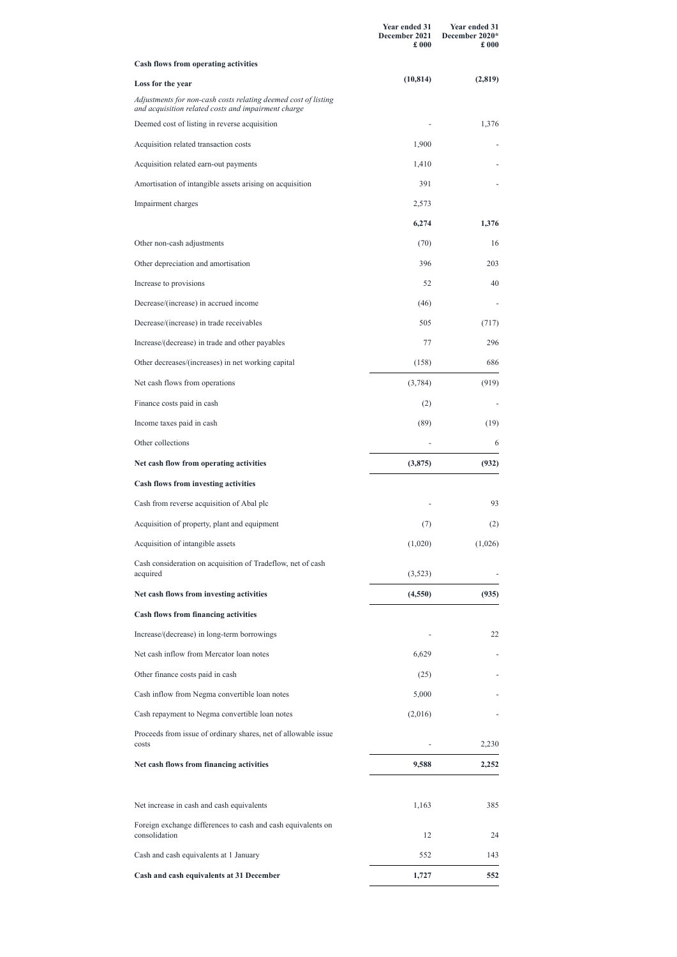|                                                                                                                       | Year ended 31<br>December 2021<br>£000 | Year ended 31<br>December 2020*<br>$\pounds$ 000 |
|-----------------------------------------------------------------------------------------------------------------------|----------------------------------------|--------------------------------------------------|
| <b>Cash flows from operating activities</b>                                                                           |                                        |                                                  |
| Loss for the year                                                                                                     | (10, 814)                              | (2,819)                                          |
| Adjustments for non-cash costs relating deemed cost of listing<br>and acquisition related costs and impairment charge |                                        |                                                  |
| Deemed cost of listing in reverse acquisition                                                                         |                                        | 1,376                                            |
| Acquisition related transaction costs                                                                                 | 1,900                                  |                                                  |
| Acquisition related earn-out payments                                                                                 | 1,410                                  |                                                  |
| Amortisation of intangible assets arising on acquisition                                                              | 391                                    |                                                  |
| Impairment charges                                                                                                    | 2,573                                  |                                                  |
|                                                                                                                       | 6,274                                  | 1,376                                            |
| Other non-cash adjustments                                                                                            | (70)                                   | 16                                               |
| Other depreciation and amortisation                                                                                   | 396                                    | 203                                              |
| Increase to provisions                                                                                                | 52                                     | 40                                               |
| Decrease/(increase) in accrued income                                                                                 | (46)                                   |                                                  |
| Decrease/(increase) in trade receivables                                                                              | 505                                    | (717)                                            |
| Increase/(decrease) in trade and other payables                                                                       | 77                                     | 296                                              |
| Other decreases/(increases) in net working capital                                                                    | (158)                                  | 686                                              |
| Net cash flows from operations                                                                                        | (3,784)                                | (919)                                            |
| Finance costs paid in cash                                                                                            | (2)                                    |                                                  |
| Income taxes paid in cash                                                                                             | (89)                                   | (19)                                             |
| Other collections                                                                                                     |                                        | 6                                                |
| Net cash flow from operating activities                                                                               | (3,875)                                | (932)                                            |
| Cash flows from investing activities                                                                                  |                                        |                                                  |
| Cash from reverse acquisition of Abal plc                                                                             |                                        | 93                                               |
| Acquisition of property, plant and equipment                                                                          | (7)                                    | (2)                                              |
| Acquisition of intangible assets                                                                                      | (1,020)                                | (1,026)                                          |
| Cash consideration on acquisition of Tradeflow, net of cash<br>acquired                                               | (3,523)                                |                                                  |
| Net cash flows from investing activities                                                                              | (4,550)                                | (935)                                            |
| <b>Cash flows from financing activities</b>                                                                           |                                        |                                                  |
| Increase/(decrease) in long-term borrowings                                                                           |                                        | 22                                               |
| Net cash inflow from Mercator loan notes                                                                              | 6,629                                  |                                                  |
| Other finance costs paid in cash                                                                                      | (25)                                   |                                                  |
| Cash inflow from Negma convertible loan notes                                                                         | 5,000                                  |                                                  |
| Cash repayment to Negma convertible loan notes                                                                        | (2,016)                                |                                                  |

| Proceeds from issue of ordinary shares, net of allowable issue<br>costs       |       | 2,230 |
|-------------------------------------------------------------------------------|-------|-------|
| Net cash flows from financing activities                                      | 9,588 | 2,252 |
| Net increase in cash and cash equivalents                                     | 1,163 | 385   |
| Foreign exchange differences to cash and cash equivalents on<br>consolidation | 12    | 24    |
| Cash and cash equivalents at 1 January                                        | 552   | 143   |
| Cash and cash equivalents at 31 December                                      | 1,727 | 552   |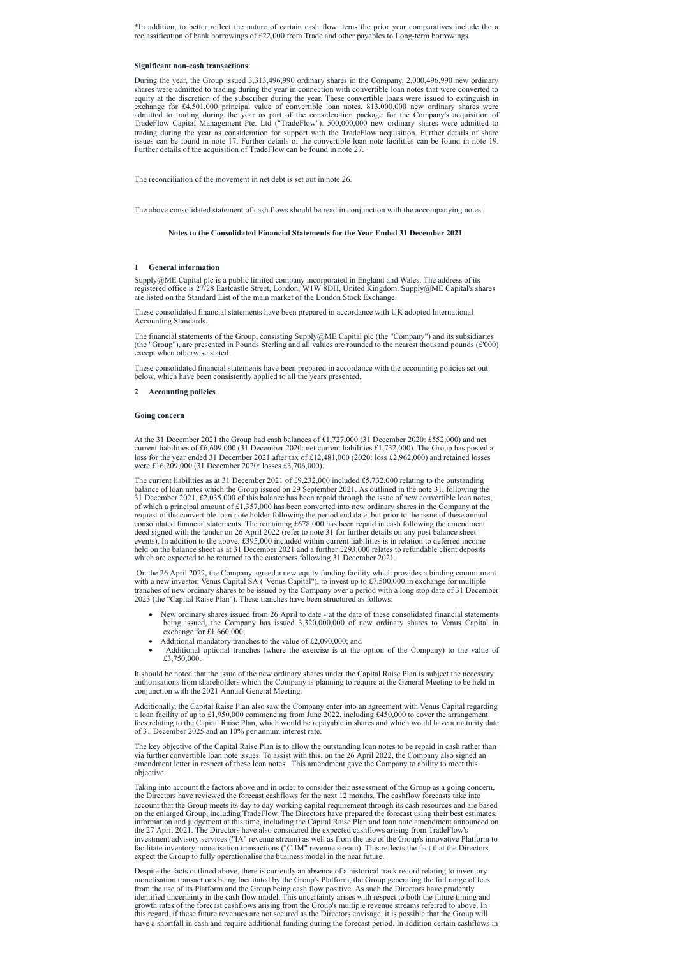\*In addition, to better reflect the nature of certain cash flow items the prior year comparatives include the a reclassification of bank borrowings of £22,000 from Trade and other payables to Long-term borrowings.

### **Significant non-cash transactions**

During the year, the Group issued 3,313,496,990 ordinary shares in the Company. 2,000,496,990 new ordinary shares were admitted to trading during the year in connection with convertible loan notes that were converted to equity at the discretion of the subscriber during the year. These convertible loans were issued to extinguish in exchange for £4,501,000 principal value of convertible loan notes. 813,000,000 new ordinary shares were admitted to trading during the year as part of the consideration package for the Company's acquisition of TradeFlow Capital Management Pte. Ltd ("TradeFlow"). 500,000,000 new ordinary shares were admitted to trading during the year as consideration for support with the TradeFlow acquisition. Further details of share issues can be found in note 17. Further details of the convertible loan note facilities can be found in note 19. Further details of the acquisition of TradeFlow can be found in note 27.

The reconciliation of the movement in net debt is set out in note 26.

The above consolidated statement of cash flows should be read in conjunction with the accompanying notes.

**Notes to the Consolidated Financial Statements for the Year Ended 31 December 2021**

### **1 General information**

Supply@ME Capital plc is a public limited company incorporated in England and Wales. The address of its registered office is 27/28 Eastcastle Street, London, W1W 8DH, United Kingdom. Supply@ME Capital's shares are listed on the Standard List of the main market of the London Stock Exchange.

These consolidated financial statements have been prepared in accordance with UK adopted International Accounting Standards.

The financial statements of the Group, consisting Supply@ME Capital plc (the "Company") and its subsidiaries (the "Group"), are presented in Pounds Sterling and all values are rounded to the nearest thousand pounds  $(\text{\pounds }000)$ except when otherwise stated.

These consolidated financial statements have been prepared in accordance with the accounting policies set out below, which have been consistently applied to all the years presented.

- New ordinary shares issued from 26 April to date at the date of these consolidated financial statements being issued, the Company has issued 3,320,000,000 of new ordinary shares to Venus Capital in exchange for £1,660,000;
- Additional mandatory tranches to the value of £2,090,000; and
- Additional optional tranches (where the exercise is at the option of the Company) to the value of £3,750,000.

### **2 Accounting policies**

# **Going concern**

At the 31 December 2021 the Group had cash balances of £1,727,000 (31 December 2020: £552,000) and net current liabilities of £6,609,000 (31 December 2020: net current liabilities £1,732,000). The Group has posted a loss for the year ended 31 December 2021 after tax of £12,481,000 (2020: loss £2,962,000) and retained losses were £16,209,000 (31 December 2020: losses £3,706,000).

The current liabilities as at 31 December 2021 of £9,232,000 included £5,732,000 relating to the outstanding balance of loan notes which the Group issued on 29 September 2021. As outlined in the note 31, following the 31 December 2021, £2,035,000 of this balance has been repaid through the issue of new convertible loan notes, of which a principal amount of £1,357,000 has been converted into new ordinary shares in the Company at the request of the convertible loan note holder following the period end date, but prior to the issue of these annual consolidated financial statements. The remaining £678,000 has been repaid in cash following the amendment deed signed with the lender on 26 April 2022 (refer to note 31 for further details on any post balance sheet events). In addition to the above, £395,000 included within current liabilities is in relation to deferred income held on the balance sheet as at 31 December 2021 and a further £293,000 relates to refundable client deposits which are expected to be returned to the customers following 31 December 2021.

On the 26 April 2022, the Company agreed a new equity funding facility which provides a binding commitment with a new investor, Venus Capital SA ("Venus Capital"), to invest up to £7,500,000 in exchange for multiple tranches of new ordinary shares to be issued by the Company over a period with a long stop date of 31 December 2023 (the "Capital Raise Plan"). These tranches have been structured as follows:

It should be noted that the issue of the new ordinary shares under the Capital Raise Plan is subject the necessary authorisations from shareholders which the Company is planning to require at the General Meeting to be held in conjunction with the 2021 Annual General Meeting.

Additionally, the Capital Raise Plan also saw the Company enter into an agreement with Venus Capital regarding a loan facility of up to £1,950,000 commencing from June 2022, including £450,000 to cover the arrangement fees relating to the Capital Raise Plan, which would be repayable in shares and which would have a maturity date of 31 December 2025 and an 10% per annum interest rate.

The key objective of the Capital Raise Plan is to allow the outstanding loan notes to be repaid in cash rather than via further convertible loan note issues. To assist with this, on the 26 April 2022, the Company also signed an amendment letter in respect of these loan notes. This amendment gave the Company to ability to meet this objective.

Taking into account the factors above and in order to consider their assessment of the Group as a going concern, the Directors have reviewed the forecast cashflows for the next 12 months. The cashflow forecasts take into account that the Group meets its day to day working capital requirement through its cash resources and are based on the enlarged Group, including TradeFlow. The Directors have prepared the forecast using their best estimates, information and judgement at this time, including the Capital Raise Plan and loan note amendment announced on the 27 April 2021. The Directors have also considered the expected cashflows arising from TradeFlow's investment advisory services ("IA" revenue stream) as well as from the use of the Group's innovative Platform to facilitate inventory monetisation transactions ("C.IM" revenue stream). This reflects the fact that the Directors expect the Group to fully operationalise the business model in the near future.

Despite the facts outlined above, there is currently an absence of a historical track record relating to inventory monetisation transactions being facilitated by the Group's Platform, the Group generating the full range of fees from the use of its Platform and the Group being cash flow positive. As such the Directors have prudently identified uncertainty in the cash flow model. This uncertainty arises with respect to both the future timing and growth rates of the forecast cashflows arising from the Group's multiple revenue streams referred to above. In this regard, if these future revenues are not secured as the Directors envisage, it is possible that the Group will have a shortfall in cash and require additional funding during the forecast period. In addition certain cashflows in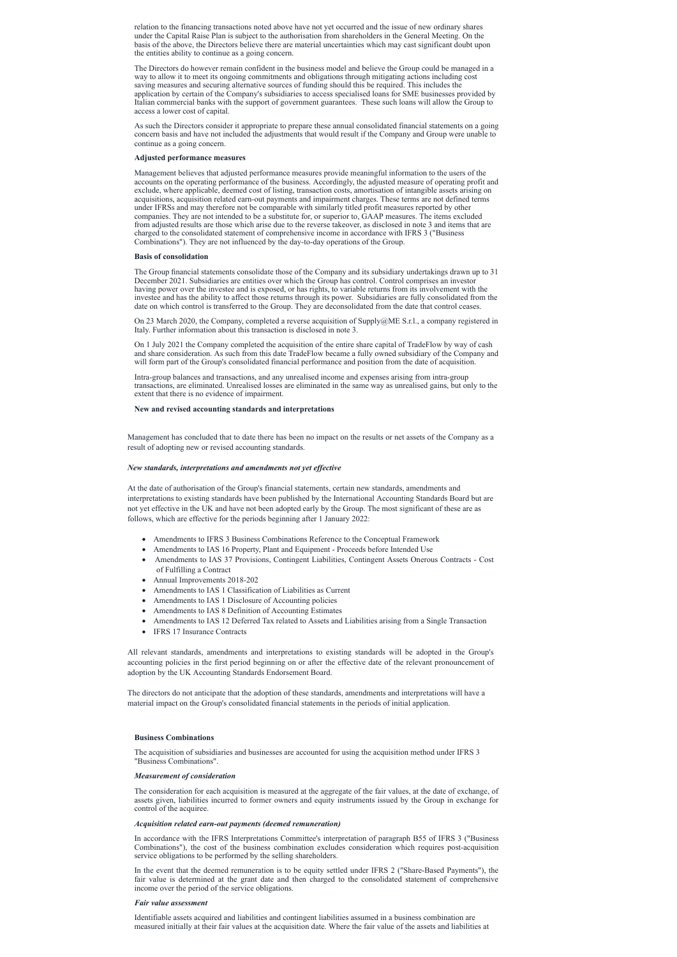relation to the financing transactions noted above have not yet occurred and the issue of new ordinary shares under the Capital Raise Plan is subject to the authorisation from shareholders in the General Meeting. On the basis of the above, the Directors believe there are material uncertainties which may cast significant doubt upon the entities ability to continue as a going concern.

The Directors do however remain confident in the business model and believe the Group could be managed in a way to allow it to meet its ongoing commitments and obligations through mitigating actions including cost saving measures and securing alternative sources of funding should this be required. This includes the application by certain of the Company's subsidiaries to access specialised loans for SME businesses provided by Italian commercial banks with the support of government guarantees. These such loans will allow the Group to access a lower cost of capital.

As such the Directors consider it appropriate to prepare these annual consolidated financial statements on a going concern basis and have not included the adjustments that would result if the Company and Group were unable to continue as a going concern.

# **Adjusted performance measures**

Management believes that adjusted performance measures provide meaningful information to the users of the accounts on the operating performance of the business. Accordingly, the adjusted measure of operating profit and exclude, where applicable, deemed cost of listing, transaction costs, amortisation of intangible assets arising on acquisitions, acquisition related earn-out payments and impairment charges. These terms are not defined terms under IFRSs and may therefore not be comparable with similarly titled profit measures reported by other companies. They are not intended to be a substitute for, or superior to, GAAP measures. The items excluded from adjusted results are those which arise due to the reverse takeover, as disclosed in note 3 and items that are charged to the consolidated statement of comprehensive income in accordance with IFRS 3 ("Business Combinations"). They are not influenced by the day-to-day operations of the Group.

- · Amendments to IFRS 3 Business Combinations Reference to the Conceptual Framework
- Amendments to IAS 16 Property, Plant and Equipment Proceeds before Intended Use
- · Amendments to IAS 37 Provisions, Contingent Liabilities, Contingent Assets Onerous Contracts Cost of Fulfilling a Contract
- Annual Improvements 2018-202
- · Amendments to IAS 1 Classification of Liabilities as Current
- Amendments to IAS 1 Disclosure of Accounting policies
- Amendments to IAS 8 Definition of Accounting Estimates
- · Amendments to IAS 12 Deferred Tax related to Assets and Liabilities arising from a Single Transaction
- IFRS 17 Insurance Contracts

### **Basis of consolidation**

The Group financial statements consolidate those of the Company and its subsidiary undertakings drawn up to 31 December 2021. Subsidiaries are entities over which the Group has control. Control comprises an investor having power over the investee and is exposed, or has rights, to variable returns from its involvement with the investee and has the ability to affect those returns through its power. Subsidiaries are fully consolidated from the date on which control is transferred to the Group. They are deconsolidated from the date that control ceases.

On 23 March 2020, the Company, completed a reverse acquisition of Supply@ME S.r.l., a company registered in Italy. Further information about this transaction is disclosed in note 3.

On 1 July 2021 the Company completed the acquisition of the entire share capital of TradeFlow by way of cash and share consideration. As such from this date TradeFlow became a fully owned subsidiary of the Company and will form part of the Group's consolidated financial performance and position from the date of acquisition.

Intra-group balances and transactions, and any unrealised income and expenses arising from intra-group transactions, are eliminated. Unrealised losses are eliminated in the same way as unrealised gains, but only to the extent that there is no evidence of impairment.

### **New and revised accounting standards and interpretations**

Management has concluded that to date there has been no impact on the results or net assets of the Company as a result of adopting new or revised accounting standards.

# *New standards, interpretations and amendments not yet ef ective*

At the date of authorisation of the Group's financial statements, certain new standards, amendments and interpretations to existing standards have been published by the International Accounting Standards Board but are not yet effective in the UK and have not been adopted early by the Group. The most significant of these are as follows, which are effective for the periods beginning after 1 January 2022:

All relevant standards, amendments and interpretations to existing standards will be adopted in the Group's accounting policies in the first period beginning on or after the effective date of the relevant pronouncement of adoption by the UK Accounting Standards Endorsement Board.

The directors do not anticipate that the adoption of these standards, amendments and interpretations will have a material impact on the Group's consolidated financial statements in the periods of initial application.

### **Business Combinations**

The acquisition of subsidiaries and businesses are accounted for using the acquisition method under IFRS 3 "Business Combinations".

#### *Measurement of consideration*

The consideration for each acquisition is measured at the aggregate of the fair values, at the date of exchange, of assets given, liabilities incurred to former owners and equity instruments issued by the Group in exchange for control of the acquiree.

# *Acquisition related earn-out payments (deemed remuneration)*

In accordance with the IFRS Interpretations Committee's interpretation of paragraph B55 of IFRS 3 ("Business Combinations"), the cost of the business combination excludes consideration which requires post-acquisition service obligations to be performed by the selling shareholders.

In the event that the deemed remuneration is to be equity settled under IFRS 2 ("Share-Based Payments"), the fair value is determined at the grant date and then charged to the consolidated statement of comprehensive income over the period of the service obligations.

### *Fair value assessment*

Identifiable assets acquired and liabilities and contingent liabilities assumed in a business combination are measured initially at their fair values at the acquisition date. Where the fair value of the assets and liabilities at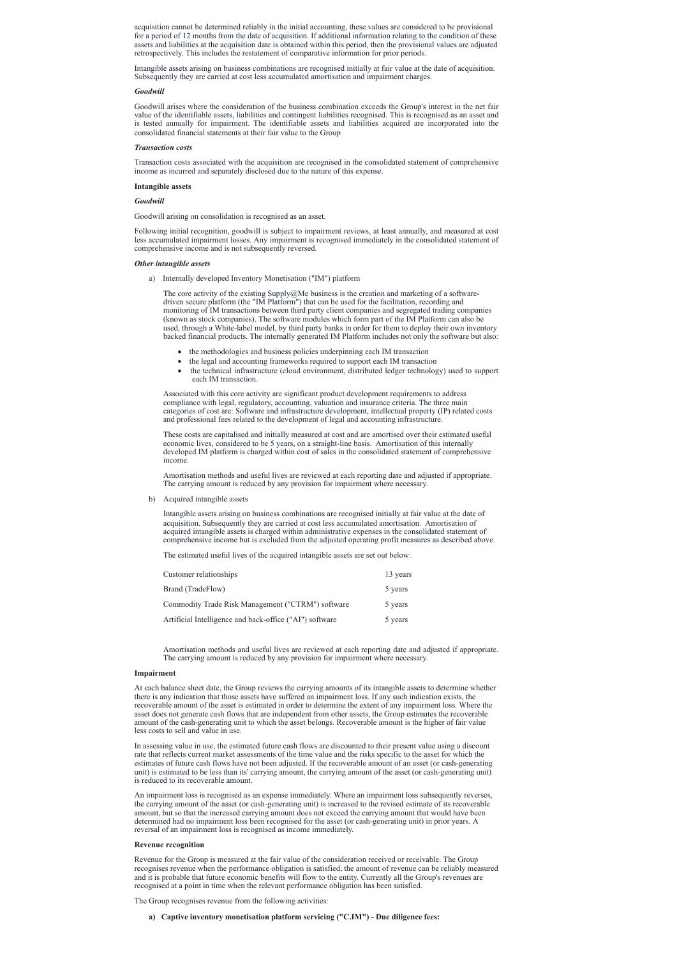acquisition cannot be determined reliably in the initial accounting, these values are considered to be provisional for a period of 12 months from the date of acquisition. If additional information relating to the condition of these assets and liabilities at the acquisition date is obtained within this period, then the provisional values are adjusted retrospectively. This includes the restatement of comparative information for prior periods.

Intangible assets arising on business combinations are recognised initially at fair value at the date of acquisition. Subsequently they are carried at cost less accumulated amortisation and impairment charges.

#### *Goodwill*

Goodwill arises where the consideration of the business combination exceeds the Group's interest in the net fair value of the identifiable assets, liabilities and contingent liabilities recognised. This is recognised as an asset and is tested annually for impairment. The identifiable assets and liabilities acquired are incorporated into the consolidated financial statements at their fair value to the Group

#### *Transaction costs*

The core activity of the existing Supply@Me business is the creation and marketing of a softwaredriven secure platform (the "IM Platform") that can be used for the facilitation, recording and monitoring of IM transactions between third party client companies and segregated trading companies (known as stock companies). The software modules which form part of the IM Platform can also be used, through a White-label model, by third party banks in order for them to deploy their own inventory backed financial products. The internally generated IM Platform includes not only the software but also:

Transaction costs associated with the acquisition are recognised in the consolidated statement of comprehensive income as incurred and separately disclosed due to the nature of this expense.

#### **Intangible assets**

- the methodologies and business policies underpinning each IM transaction
- the legal and accounting frameworks required to support each IM transaction
- · the technical infrastructure (cloud environment, distributed ledger technology) used to support each IM transaction.

### *Goodwill*

Goodwill arising on consolidation is recognised as an asset.

Following initial recognition, goodwill is subject to impairment reviews, at least annually, and measured at cost less accumulated impairment losses. Any impairment is recognised immediately in the consolidated statement of comprehensive income and is not subsequently reversed.

#### *Other intangible assets*

a) Internally developed Inventory Monetisation ("IM") platform

Associated with this core activity are significant product development requirements to address compliance with legal, regulatory, accounting, valuation and insurance criteria. The three main categories of cost are: Software and infrastructure development, intellectual property (IP) related costs and professional fees related to the development of legal and accounting infrastructure.

These costs are capitalised and initially measured at cost and are amortised over their estimated useful economic lives, considered to be 5 years, on a straight-line basis. Amortisation of this internally developed IM platform is charged within cost of sales in the consolidated statement of comprehensive income.

Amortisation methods and useful lives are reviewed at each reporting date and adjusted if appropriate. The carrying amount is reduced by any provision for impairment where necessary.

b) Acquired intangible assets

Intangible assets arising on business combinations are recognised initially at fair value at the date of acquisition. Subsequently they are carried at cost less accumulated amortisation. Amortisation of acquired intangible assets is charged within administrative expenses in the consolidated statement of comprehensive income but is excluded from the adjusted operating profit measures as described above.

The estimated useful lives of the acquired intangible assets are set out below:

| Customer relationships                                  | 13 years |
|---------------------------------------------------------|----------|
| Brand (TradeFlow)                                       | 5 years  |
| Commodity Trade Risk Management ("CTRM") software       | 5 years  |
| Artificial Intelligence and back-office ("AI") software | 5 years  |

Amortisation methods and useful lives are reviewed at each reporting date and adjusted if appropriate. The carrying amount is reduced by any provision for impairment where necessary.

#### **Impairment**

At each balance sheet date, the Group reviews the carrying amounts of its intangible assets to determine whether there is any indication that those assets have suffered an impairment loss. If any such indication exists, the recoverable amount of the asset is estimated in order to determine the extent of any impairment loss. Where the asset does not generate cash flows that are independent from other assets, the Group estimates the recoverable amount of the cash-generating unit to which the asset belongs. Recoverable amount is the higher of fair value less costs to sell and value in use.

In assessing value in use, the estimated future cash flows are discounted to their present value using a discount rate that reflects current market assessments of the time value and the risks specific to the asset for which the estimates of future cash flows have not been adjusted. If the recoverable amount of an asset (or cash-generating unit) is estimated to be less than its' carrying amount, the carrying amount of the asset (or cash-generating unit) is reduced to its recoverable amount.

An impairment loss is recognised as an expense immediately. Where an impairment loss subsequently reverses, the carrying amount of the asset (or cash-generating unit) is increased to the revised estimate of its recoverable amount, but so that the increased carrying amount does not exceed the carrying amount that would have been determined had no impairment loss been recognised for the asset (or cash-generating unit) in prior years. A reversal of an impairment loss is recognised as income immediately.

### **Revenue recognition**

Revenue for the Group is measured at the fair value of the consideration received or receivable. The Group recognises revenue when the performance obligation is satisfied, the amount of revenue can be reliably measured and it is probable that future economic benefits will flow to the entity. Currently all the Group's revenues are recognised at a point in time when the relevant performance obligation has been satisfied.

The Group recognises revenue from the following activities:

**a) Captive inventory monetisation platform servicing ("C.IM") - Due diligence fees:**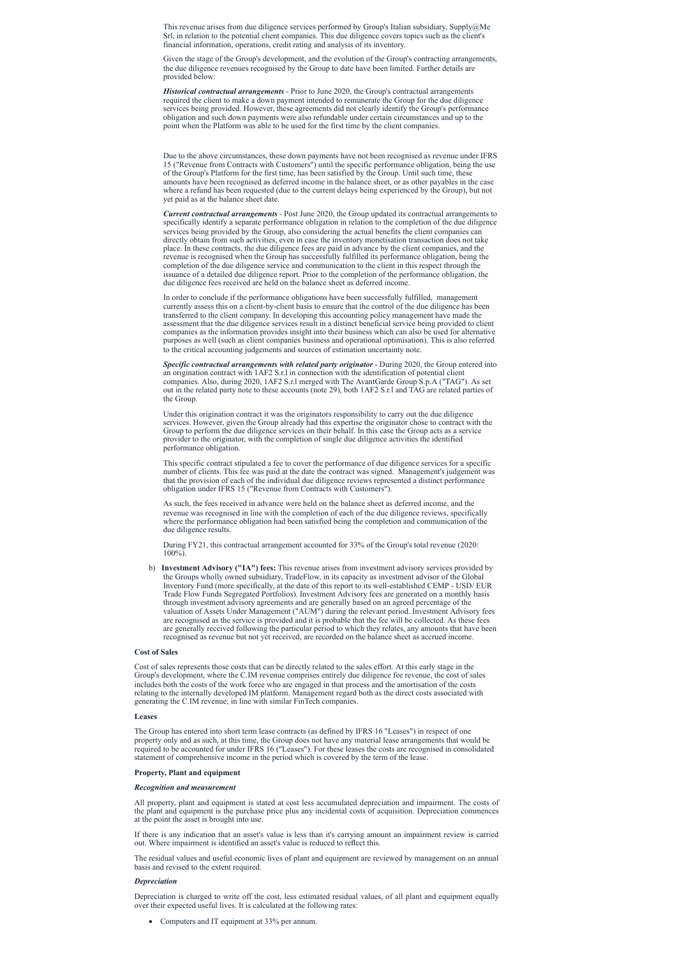This revenue arises from due diligence services performed by Group's Italian subsidiary, Supply@Me Srl, in relation to the potential client companies. This due diligence covers topics such as the client's financial information, operations, credit rating and analysis of its inventory.

Given the stage of the Group's development, and the evolution of the Group's contracting arrangements, the due diligence revenues recognised by the Group to date have been limited. Further details are provided below:

*Historical contractual arrangements* - Prior to June 2020, the Group's contractual arrangements required the client to make a down payment intended to remunerate the Group for the due diligence services being provided. However, these agreements did not clearly identify the Group's performance obligation and such down payments were also refundable under certain circumstances and up to the point when the Platform was able to be used for the first time by the client companies.

Due to the above circumstances, these down payments have not been recognised as revenue under IFRS 15 ("Revenue from Contracts with Customers") until the specific performance obligation, being the use of the Group's Platform for the first time, has been satisfied by the Group. Until such time, these amounts have been recognised as deferred income in the balance sheet, or as other payables in the case where a refund has been requested (due to the current delays being experienced by the Group), but not yet paid as at the balance sheet date.

*Current contractual arrangements* - Post June 2020, the Group updated its contractual arrangements to specifically identify a separate performance obligation in relation to the completion of the due diligence services being provided by the Group, also considering the actual benefits the client companies can directly obtain from such activities, even in case the inventory monetisation transaction does not take place. In these contracts, the due diligence fees are paid in advance by the client companies, and the revenue is recognised when the Group has successfully fulfilled its performance obligation, being the completion of the due diligence service and communication to the client in this respect through the issuance of a detailed due diligence report. Prior to the completion of the performance obligation, the due diligence fees received are held on the balance sheet as deferred income.

In order to conclude if the performance obligations have been successfully fulfilled, management currently assess this on a client-by-client basis to ensure that the control of the due diligence has been transferred to the client company. In developing this accounting policy management have made the assessment that the due diligence services result in a distinct beneficial service being provided to client companies as the information provides insight into their business which can also be used for alternative purposes as well (such as client companies business and operational optimisation). This is also referred to the critical accounting judgements and sources of estimation uncertainty note.

*Specific contractual arrangements with related party originator* - During 2020, the Group entered into an origination contract with 1AF2 S.r.l in connection with the identification of potential client companies. Also, during 2020, 1AF2 S.r.l merged with The AvantGarde Group S.p.A ("TAG"). As set out in the related party note to these accounts (note 29), both 1AF2 S.r.l and TAG are related parties of the Group.

Under this origination contract it was the originators responsibility to carry out the due diligence services. However, given the Group already had this expertise the originator chose to contract with the Group to perform the due diligence services on their behalf. In this case the Group acts as a service provider to the originator, with the completion of single due diligence activities the identified performance obligation.

This specific contract stipulated a fee to cover the performance of due diligence services for a specific number of clients. This fee was paid at the date the contract was signed. Management's judgement was that the provision of each of the individual due diligence reviews represented a distinct performance obligation under IFRS 15 ("Revenue from Contracts with Customers").

As such, the fees received in advance were held on the balance sheet as deferred income, and the revenue was recognised in line with the completion of each of the due diligence reviews, specifically where the performance obligation had been satisfied being the completion and communication of the due diligence results.

During FY21, this contractual arrangement accounted for 33% of the Group's total revenue (2020: 100%).

b) **Investment Advisory ("IA") fees:** This revenue arises from investment advisory services provided by the Groups wholly owned subsidiary, TradeFlow, in its capacity as investment advisor of the Global Inventory Fund (more specifically, at the date of this report to its well-established CEMP - USD/ EUR Trade Flow Funds Segregated Portfolios). Investment Advisory fees are generated on a monthly basis through investment advisory agreements and are generally based on an agreed percentage of the valuation of Assets Under Management ("AUM") during the relevant period. Investment Advisory fees are recognised as the service is provided and it is probable that the fee will be collected. As these fees are generally received following the particular period to which they relates, any amounts that have been recognised as revenue but not yet received, are recorded on the balance sheet as accrued income.

# **Cost of Sales**

Cost of sales represents those costs that can be directly related to the sales effort. At this early stage in the Group's development, where the C.IM revenue comprises entirely due diligence fee revenue, the cost of sales includes both the costs of the work force who are engaged in that process and the amortisation of the costs relating to the internally developed IM platform. Management regard both as the direct costs associated with generating the C.IM revenue; in line with similar FinTech companies.

#### **Leases**

The Group has entered into short term lease contracts (as defined by IFRS 16 "Leases") in respect of one property only and as such, at this time, the Group does not have any material lease arrangements that would be required to be accounted for under IFRS 16 ("Leases"). For these leases the costs are recognised in consolidated statement of comprehensive income in the period which is covered by the term of the lease.

# **Property, Plant and equipment**

# *Recognition and measurement*

All property, plant and equipment is stated at cost less accumulated depreciation and impairment. The costs of the plant and equipment is the purchase price plus any incidental costs of acquisition. Depreciation commences at the point the asset is brought into use.

If there is any indication that an asset's value is less than it's carrying amount an impairment review is carried out. Where impairment is identified an asset's value is reduced to reflect this.

The residual values and useful economic lives of plant and equipment are reviewed by management on an annual basis and revised to the extent required.

# *Depreciation*

Depreciation is charged to write off the cost, less estimated residual values, of all plant and equipment equally over their expected useful lives. It is calculated at the following rates:

· Computers and IT equipment at 33% per annum.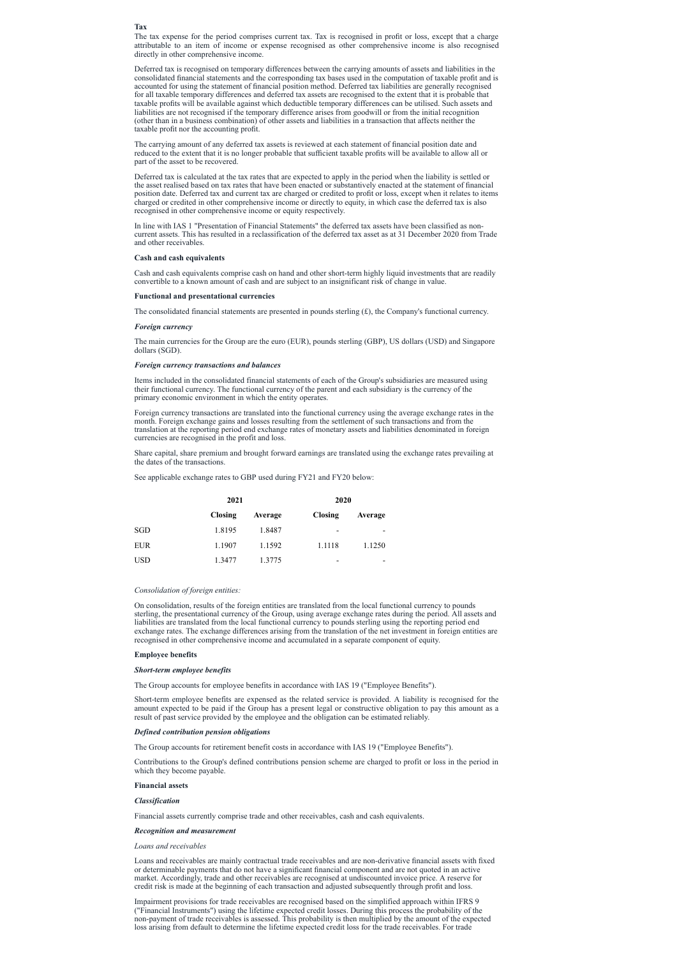#### **Tax**

The tax expense for the period comprises current tax. Tax is recognised in profit or loss, except that a charge attributable to an item of income or expense recognised as other comprehensive income is also recognised directly in other comprehensive income.

Deferred tax is recognised on temporary differences between the carrying amounts of assets and liabilities in the consolidated financial statements and the corresponding tax bases used in the computation of taxable profit and is accounted for using the statement of financial position method. Deferred tax liabilities are generally recognised for all taxable temporary differences and deferred tax assets are recognised to the extent that it is probable that taxable profits will be available against which deductible temporary differences can be utilised. Such assets and liabilities are not recognised if the temporary difference arises from goodwill or from the initial recognition (other than in a business combination) of other assets and liabilities in a transaction that affects neither the taxable profit nor the accounting profit.

The carrying amount of any deferred tax assets is reviewed at each statement of financial position date and reduced to the extent that it is no longer probable that sufficient taxable profits will be available to allow all or part of the asset to be recovered.

Deferred tax is calculated at the tax rates that are expected to apply in the period when the liability is settled or the asset realised based on tax rates that have been enacted or substantively enacted at the statement of financial position date. Deferred tax and current tax are charged or credited to profit or loss, except when it relates to items charged or credited in other comprehensive income or directly to equity, in which case the deferred tax is also recognised in other comprehensive income or equity respectively.

In line with IAS 1 "Presentation of Financial Statements" the deferred tax assets have been classified as noncurrent assets. This has resulted in a reclassification of the deferred tax asset as at 31 December 2020 from Trade and other receivables.

### **Cash and cash equivalents**

Cash and cash equivalents comprise cash on hand and other short-term highly liquid investments that are readily convertible to a known amount of cash and are subject to an insignificant risk of change in value.

#### **Functional and presentational currencies**

The consolidated financial statements are presented in pounds sterling  $(\mathcal{E})$ , the Company's functional currency.

#### *Foreign currency*

The main currencies for the Group are the euro (EUR), pounds sterling (GBP), US dollars (USD) and Singapore dollars (SGD).

#### *Foreign currency transactions and balances*

Items included in the consolidated financial statements of each of the Group's subsidiaries are measured using their functional currency. The functional currency of the parent and each subsidiary is the currency of the primary economic environment in which the entity operates.

Foreign currency transactions are translated into the functional currency using the average exchange rates in the month. Foreign exchange gains and losses resulting from the settlement of such transactions and from the translation at the reporting period end exchange rates of monetary assets and liabilities denominated in foreign currencies are recognised in the profit and loss.

Share capital, share premium and brought forward earnings are translated using the exchange rates prevailing at the dates of the transactions.

See applicable exchange rates to GBP used during FY21 and FY20 below:

|            | 2021           |         | 2020                     |         |
|------------|----------------|---------|--------------------------|---------|
|            | <b>Closing</b> | Average | <b>Closing</b>           | Average |
| SGD        | 1.8195         | 1.8487  | $\overline{\phantom{0}}$ | -       |
| <b>EUR</b> | 1.1907         | 1.1592  | 1.1118                   | 1.1250  |
| <b>USD</b> | 1.3477         | 1.3775  | -                        | -       |

### *Consolidation of foreign entities:*

On consolidation, results of the foreign entities are translated from the local functional currency to pounds sterling, the presentational currency of the Group, using average exchange rates during the period. All assets and liabilities are translated from the local functional currency to pounds sterling using the reporting period end exchange rates. The exchange differences arising from the translation of the net investment in foreign entities are recognised in other comprehensive income and accumulated in a separate component of equity.

### **Employee benefits**

### *Short-term employee benefits*

The Group accounts for employee benefits in accordance with IAS 19 ("Employee Benefits").

Short-term employee benefits are expensed as the related service is provided. A liability is recognised for the amount expected to be paid if the Group has a present legal or constructive obligation to pay this amount as a result of past service provided by the employee and the obligation can be estimated reliably.

### *Defined contribution pension obligations*

The Group accounts for retirement benefit costs in accordance with IAS 19 ("Employee Benefits").

Contributions to the Group's defined contributions pension scheme are charged to profit or loss in the period in which they become payable.

# **Financial assets**

# *Classification*

Financial assets currently comprise trade and other receivables, cash and cash equivalents.

# *Recognition and measurement*

*Loans and receivables*

Loans and receivables are mainly contractual trade receivables and are non-derivative financial assets with fixed or determinable payments that do not have a significant financial component and are not quoted in an active market. Accordingly, trade and other receivables are recognised at undiscounted invoice price. A reserve for credit risk is made at the beginning of each transaction and adjusted subsequently through profit and loss.

Impairment provisions for trade receivables are recognised based on the simplified approach within IFRS 9 ("Financial Instruments") using the lifetime expected credit losses. During this process the probability of the non-payment of trade receivables is assessed. This probability is then multiplied by the amount of the expected loss arising from default to determine the lifetime expected credit loss for the trade receivables. For trade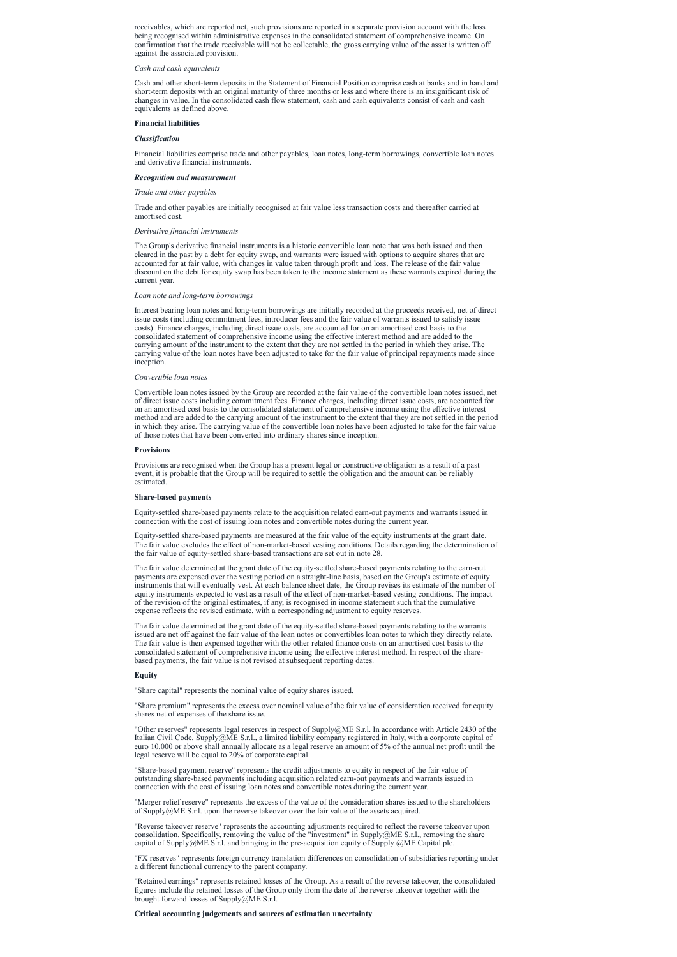receivables, which are reported net, such provisions are reported in a separate provision account with the loss being recognised within administrative expenses in the consolidated statement of comprehensive income. On confirmation that the trade receivable will not be collectable, the gross carrying value of the asset is written off against the associated provision.

### *Cash and cash equivalents*

Cash and other short-term deposits in the Statement of Financial Position comprise cash at banks and in hand and short-term deposits with an original maturity of three months or less and where there is an insignificant risk of changes in value. In the consolidated cash flow statement, cash and cash equivalents consist of cash and cash equivalents as defined above.

#### **Financial liabilities**

### *Classification*

Financial liabilities comprise trade and other payables, loan notes, long-term borrowings, convertible loan notes and derivative financial instruments.

### *Recognition and measurement*

#### *Trade and other payables*

Trade and other payables are initially recognised at fair value less transaction costs and thereafter carried at amortised cost.

### *Derivative financial instruments*

The Group's derivative financial instruments is a historic convertible loan note that was both issued and then cleared in the past by a debt for equity swap, and warrants were issued with options to acquire shares that are accounted for at fair value, with changes in value taken through profit and loss. The release of the fair value discount on the debt for equity swap has been taken to the income statement as these warrants expired during the current year.

#### *Loan note and long-term borrowings*

Interest bearing loan notes and long-term borrowings are initially recorded at the proceeds received, net of direct issue costs (including commitment fees, introducer fees and the fair value of warrants issued to satisfy issue costs). Finance charges, including direct issue costs, are accounted for on an amortised cost basis to the consolidated statement of comprehensive income using the effective interest method and are added to the carrying amount of the instrument to the extent that they are not settled in the period in which they arise. The carrying value of the loan notes have been adjusted to take for the fair value of principal repayments made since inception.

#### *Convertible loan notes*

Convertible loan notes issued by the Group are recorded at the fair value of the convertible loan notes issued, net of direct issue costs including commitment fees. Finance charges, including direct issue costs, are accounted for on an amortised cost basis to the consolidated statement of comprehensive income using the effective interest method and are added to the carrying amount of the instrument to the extent that they are not settled in the period in which they arise. The carrying value of the convertible loan notes have been adjusted to take for the fair value of those notes that have been converted into ordinary shares since inception.

"Merger relief reserve" represents the excess of the value of the consideration shares issued to the shareholders of Supply $@ME S.r.l.$  upon the reverse takeover over the fair value of the assets acquired.

#### **Provisions**

Provisions are recognised when the Group has a present legal or constructive obligation as a result of a past event, it is probable that the Group will be required to settle the obligation and the amount can be reliably estimated.

### **Share-based payments**

Equity-settled share-based payments relate to the acquisition related earn-out payments and warrants issued in connection with the cost of issuing loan notes and convertible notes during the current year.

Equity-settled share-based payments are measured at the fair value of the equity instruments at the grant date. The fair value excludes the effect of non-market-based vesting conditions. Details regarding the determination of the fair value of equity-settled share-based transactions are set out in note 28.

The fair value determined at the grant date of the equity-settled share-based payments relating to the earn-out payments are expensed over the vesting period on a straight-line basis, based on the Group's estimate of equity instruments that will eventually vest. At each balance sheet date, the Group revises its estimate of the number of equity instruments expected to vest as a result of the effect of non-market-based vesting conditions. The impact of the revision of the original estimates, if any, is recognised in income statement such that the cumulative expense reflects the revised estimate, with a corresponding adjustment to equity reserves.

The fair value determined at the grant date of the equity-settled share-based payments relating to the warrants issued are net off against the fair value of the loan notes or convertibles loan notes to which they directly relate. The fair value is then expensed together with the other related finance costs on an amortised cost basis to the consolidated statement of comprehensive income using the effective interest method. In respect of the sharebased payments, the fair value is not revised at subsequent reporting dates.

### **Equity**

"Share capital" represents the nominal value of equity shares issued.

"Share premium" represents the excess over nominal value of the fair value of consideration received for equity shares net of expenses of the share issue.

"Other reserves" represents legal reserves in respect of Supply@ME S.r.l. In accordance with Article 2430 of the Italian Civil Code, Supply@ME S.r.l., a limited liability company registered in Italy, with a corporate capital of euro 10,000 or above shall annually allocate as a legal reserve an amount of 5% of the annual net profit until the legal reserve will be equal to 20% of corporate capital.

"Share-based payment reserve" represents the credit adjustments to equity in respect of the fair value of outstanding share-based payments including acquisition related earn-out payments and warrants issued in connection with the cost of issuing loan notes and convertible notes during the current year.

"Reverse takeover reserve" represents the accounting adjustments required to reflect the reverse takeover upon consolidation. Specifically, removing the value of the "investment" in Supply@ME S.r.l., removing the share capital of Supply@ME S.r.l. and bringing in the pre-acquisition equity of Supply @ME Capital plc.

"FX reserves" represents foreign currency translation differences on consolidation of subsidiaries reporting under a different functional currency to the parent company.

"Retained earnings" represents retained losses of the Group. As a result of the reverse takeover, the consolidated figures include the retained losses of the Group only from the date of the reverse takeover together with the brought forward losses of Supply@ME S.r.l.

**Critical accounting judgements and sources of estimation uncertainty**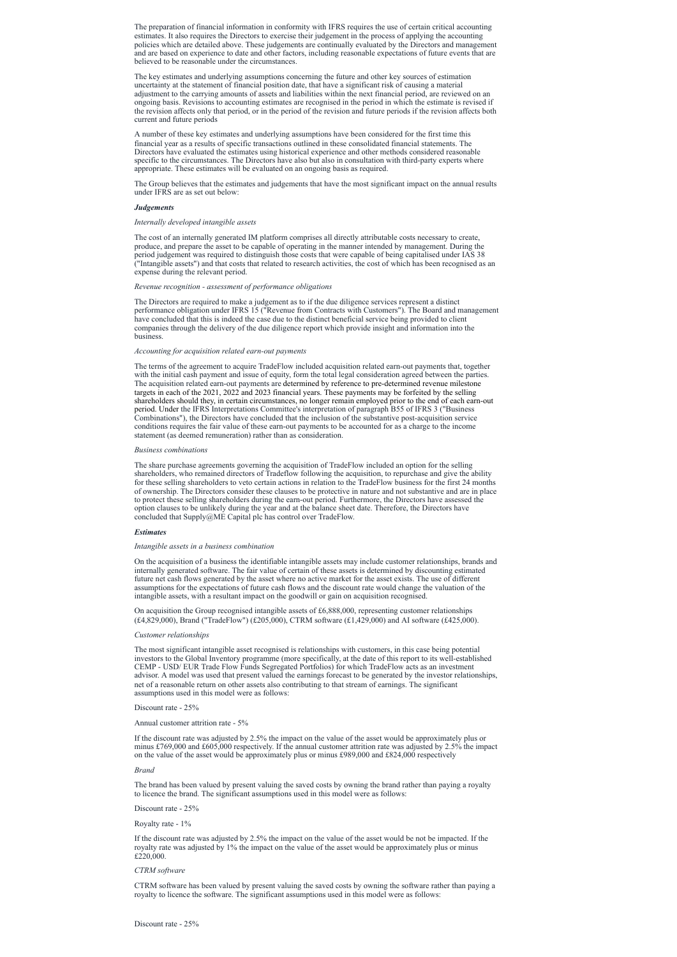The preparation of financial information in conformity with IFRS requires the use of certain critical accounting estimates. It also requires the Directors to exercise their judgement in the process of applying the accounting policies which are detailed above. These judgements are continually evaluated by the Directors and management and are based on experience to date and other factors, including reasonable expectations of future events that are believed to be reasonable under the circumstances.

The key estimates and underlying assumptions concerning the future and other key sources of estimation uncertainty at the statement of financial position date, that have a significant risk of causing a material adjustment to the carrying amounts of assets and liabilities within the next financial period, are reviewed on an ongoing basis. Revisions to accounting estimates are recognised in the period in which the estimate is revised if the revision affects only that period, or in the period of the revision and future periods if the revision affects both current and future periods

A number of these key estimates and underlying assumptions have been considered for the first time this financial year as a results of specific transactions outlined in these consolidated financial statements. The Directors have evaluated the estimates using historical experience and other methods considered reasonable specific to the circumstances. The Directors have also but also in consultation with third-party experts where appropriate. These estimates will be evaluated on an ongoing basis as required.

The Group believes that the estimates and judgements that have the most significant impact on the annual results under IFRS are as set out below:

### *Judgements*

### *Internally developed intangible assets*

The cost of an internally generated IM platform comprises all directly attributable costs necessary to create, produce, and prepare the asset to be capable of operating in the manner intended by management. During the period judgement was required to distinguish those costs that were capable of being capitalised under IAS 38 ("Intangible assets") and that costs that related to research activities, the cost of which has been recognised as an expense during the relevant period.

# *Revenue recognition - assessment of performance obligations*

The Directors are required to make a judgement as to if the due diligence services represent a distinct performance obligation under IFRS 15 ("Revenue from Contracts with Customers"). The Board and management have concluded that this is indeed the case due to the distinct beneficial service being provided to client companies through the delivery of the due diligence report which provide insight and information into the business.

On acquisition the Group recognised intangible assets of  $£6,888,000$ , representing customer relationships (£4,829,000), Brand ("TradeFlow") (£205,000), CTRM software (£1,429,000) and AI software (£425,000).

### *Accounting for acquisition related earn-out payments*

The terms of the agreement to acquire TradeFlow included acquisition related earn-out payments that, together with the initial cash payment and issue of equity, form the total legal consideration agreed between the parties. The acquisition related earn-out payments are determined by reference to pre-determined revenue milestone targets in each of the 2021, 2022 and 2023 financial years. These payments may be forfeited by the selling shareholders should they, in certain circumstances, no longer remain employed prior to the end of each earn-out period. Under the IFRS Interpretations Committee's interpretation of paragraph B55 of IFRS 3 ("Business Combinations"), the Directors have concluded that the inclusion of the substantive post-acquisition service conditions requires the fair value of these earn-out payments to be accounted for as a charge to the income statement (as deemed remuneration) rather than as consideration.

CTRM software has been valued by present valuing the saved costs by owning the software rather than paying a royalty to licence the software. The significant assumptions used in this model were as follows:

#### *Business combinations*

The share purchase agreements governing the acquisition of TradeFlow included an option for the selling shareholders, who remained directors of Tradeflow following the acquisition, to repurchase and give the ability for these selling shareholders to veto certain actions in relation to the TradeFlow business for the first 24 months of ownership. The Directors consider these clauses to be protective in nature and not substantive and are in place to protect these selling shareholders during the earn-out period. Furthermore, the Directors have assessed the option clauses to be unlikely during the year and at the balance sheet date. Therefore, the Directors have concluded that Supply@ME Capital plc has control over TradeFlow.

### *Estimates*

### *Intangible assets in a business combination*

On the acquisition of a business the identifiable intangible assets may include customer relationships, brands and internally generated software. The fair value of certain of these assets is determined by discounting estimated future net cash flows generated by the asset where no active market for the asset exists. The use of different assumptions for the expectations of future cash flows and the discount rate would change the valuation of the intangible assets, with a resultant impact on the goodwill or gain on acquisition recognised.

### *Customer relationships*

The most significant intangible asset recognised is relationships with customers, in this case being potential investors to the Global Inventory programme (more specifically, at the date of this report to its well-established CEMP - USD/ EUR Trade Flow Funds Segregated Portfolios) for which TradeFlow acts as an investment advisor. A model was used that present valued the earnings forecast to be generated by the investor relationships, net of a reasonable return on other assets also contributing to that stream of earnings. The significant assumptions used in this model were as follows:

# Discount rate - 25%

Annual customer attrition rate - 5%

If the discount rate was adjusted by 2.5% the impact on the value of the asset would be approximately plus or minus £769,000 and £605,000 respectively. If the annual customer attrition rate was adjusted by 2.5% the impact on the value of the asset would be approximately plus or minus £989,000 and £824,000 respectively

*Brand*

The brand has been valued by present valuing the saved costs by owning the brand rather than paying a royalty to licence the brand. The significant assumptions used in this model were as follows:

Discount rate - 25%

Royalty rate - 1%

If the discount rate was adjusted by 2.5% the impact on the value of the asset would be not be impacted. If the royalty rate was adjusted by 1% the impact on the value of the asset would be approximately plus or minus £220,000.

*CTRM software*

Discount rate - 25%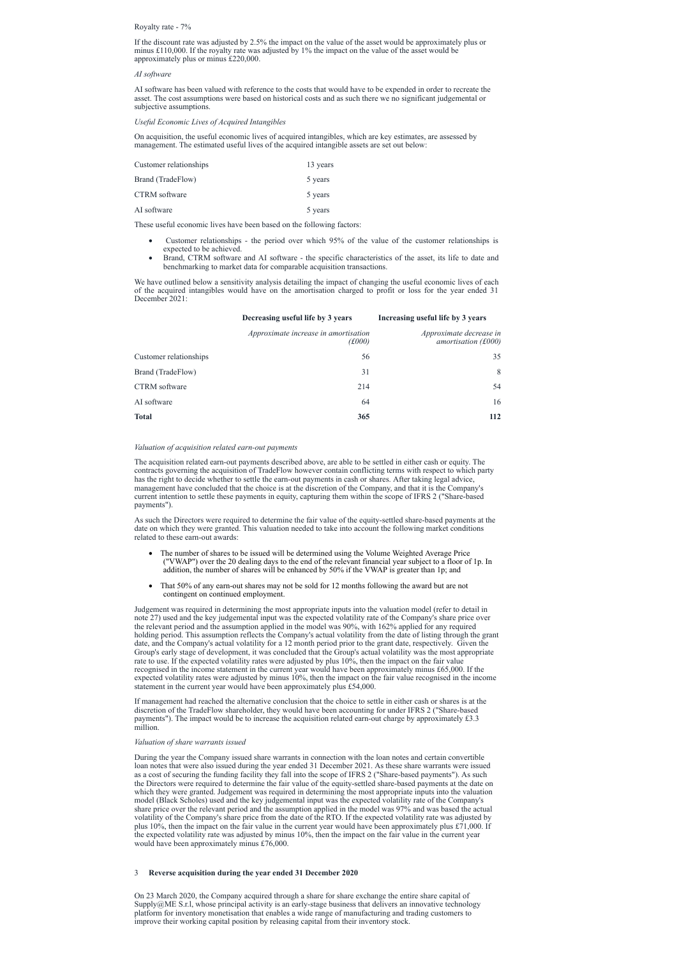# Royalty rate - 7%

If the discount rate was adjusted by 2.5% the impact on the value of the asset would be approximately plus or minus £110,000. If the royalty rate was adjusted by 1% the impact on the value of the asset would be approximately plus or minus £220,000.

#### *AI software*

AI software has been valued with reference to the costs that would have to be expended in order to recreate the asset. The cost assumptions were based on historical costs and as such there we no significant judgemental or subjective assumptions.

### *Useful Economic Lives of Acquired Intangibles*

- Customer relationships the period over which 95% of the value of the customer relationships is expected to be achieved.
- Brand, CTRM software and AI software the specific characteristics of the asset, its life to date and benchmarking to market data for comparable acquisition transactions.

On acquisition, the useful economic lives of acquired intangibles, which are key estimates, are assessed by management. The estimated useful lives of the acquired intangible assets are set out below:

We have outlined below a sensitivity analysis detailing the impact of changing the useful economic lives of each of the acquired intangibles would have on the amortisation charged to profit or loss for the year ended 31 December 2021:

| Customer relationships | 13 years |
|------------------------|----------|
| Brand (TradeFlow)      | 5 years  |
| CTRM software          | 5 years  |
| AI software            | 5 years  |

These useful economic lives have been based on the following factors:

|                        | Decreasing useful life by 3 years                     | Increasing useful life by 3 years                |
|------------------------|-------------------------------------------------------|--------------------------------------------------|
|                        | <i>Approximate increase in amortisation</i><br>(£000) | Approximate decrease in<br>amortisation $(f000)$ |
| Customer relationships | 56                                                    | 35                                               |
| Brand (TradeFlow)      | 31                                                    | 8                                                |
| <b>CTRM</b> software   | 214                                                   | 54                                               |
| AI software            | 64                                                    | 16                                               |
| <b>Total</b>           | 365                                                   | 112                                              |

### *Valuation of acquisition related earn-out payments*

If management had reached the alternative conclusion that the choice to settle in either cash or shares is at the discretion of the TradeFlow shareholder, they would have been accounting for under IFRS 2 ("Share-based payments"). The impact would be to increase the acquisition related earn-out charge by approximately  $\pounds 3.3$ 

The acquisition related earn-out payments described above, are able to be settled in either cash or equity. The contracts governing the acquisition of TradeFlow however contain conflicting terms with respect to which party has the right to decide whether to settle the earn-out payments in cash or shares. After taking legal advice, management have concluded that the choice is at the discretion of the Company, and that it is the Company's current intention to settle these payments in equity, capturing them within the scope of IFRS 2 ("Share-based payments").

As such the Directors were required to determine the fair value of the equity-settled share-based payments at the date on which they were granted. This valuation needed to take into account the following market conditions related to these earn-out awards:

- · The number of shares to be issued will be determined using the Volume Weighted Average Price ("VWAP") over the 20 dealing days to the end of the relevant financial year subject to a floor of 1p. In addition, the number of shares will be enhanced by 50% if the VWAP is greater than 1p; and
- That 50% of any earn-out shares may not be sold for 12 months following the award but are not contingent on continued employment.

Judgement was required in determining the most appropriate inputs into the valuation model (refer to detail in note 27) used and the key judgemental input was the expected volatility rate of the Company's share price over the relevant period and the assumption applied in the model was 90%, with 162% applied for any required holding period. This assumption reflects the Company's actual volatility from the date of listing through the grant date, and the Company's actual volatility for a 12 month period prior to the grant date, respectively. Given the Group's early stage of development, it was concluded that the Group's actual volatility was the most appropriate rate to use. If the expected volatility rates were adjusted by plus 10%, then the impact on the fair value recognised in the income statement in the current year would have been approximately minus £65,000. If the expected volatility rates were adjusted by minus 10%, then the impact on the fair value recognised in the income statement in the current year would have been approximately plus £54,000.

million.

# *Valuation of share warrants issued*

During the year the Company issued share warrants in connection with the loan notes and certain convertible loan notes that were also issued during the year ended 31 December 2021. As these share warrants were issued as a cost of securing the funding facility they fall into the scope of IFRS 2 ("Share-based payments"). As such the Directors were required to determine the fair value of the equity-settled share-based payments at the date on which they were granted. Judgement was required in determining the most appropriate inputs into the valuation model (Black Scholes) used and the key judgemental input was the expected volatility rate of the Company's share price over the relevant period and the assumption applied in the model was 97% and was based the actual volatility of the Company's share price from the date of the RTO. If the expected volatility rate was adjusted by plus 10%, then the impact on the fair value in the current year would have been approximately plus £71,000. If the expected volatility rate was adjusted by minus 10%, then the impact on the fair value in the current year would have been approximately minus £76,000.

# 3 **Reverse acquisition during the year ended 31 December 2020**

On 23 March 2020, the Company acquired through a share for share exchange the entire share capital of Supply@ME S.r.l, whose principal activity is an early-stage business that delivers an innovative technology platform for inventory monetisation that enables a wide range of manufacturing and trading customers to improve their working capital position by releasing capital from their inventory stock.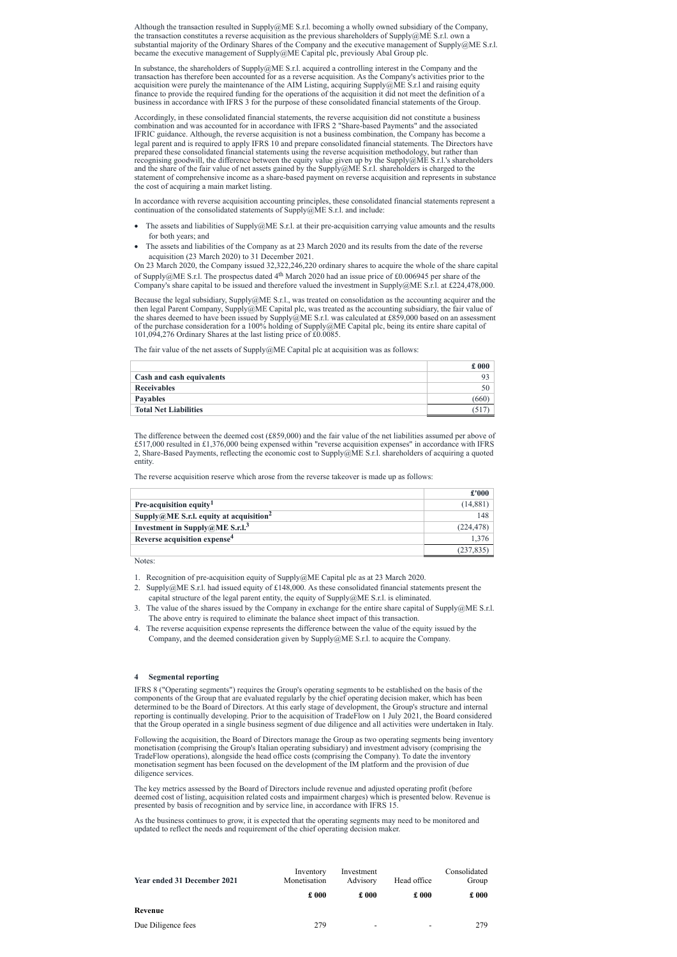Although the transaction resulted in Supply@ME S.r.l. becoming a wholly owned subsidiary of the Company, the transaction constitutes a reverse acquisition as the previous shareholders of Supply@ME S.r.l. own a substantial majority of the Ordinary Shares of the Company and the executive management of Supply@ME S.r.l. became the executive management of Supply@ME Capital plc, previously Abal Group plc.

In substance, the shareholders of Supply@ME S.r.l. acquired a controlling interest in the Company and the transaction has therefore been accounted for as a reverse acquisition. As the Company's activities prior to the acquisition were purely the maintenance of the AIM Listing, acquiring Supply@ME S.r.l and raising equity finance to provide the required funding for the operations of the acquisition it did not meet the definition of a business in accordance with IFRS 3 for the purpose of these consolidated financial statements of the Group.

In accordance with reverse acquisition accounting principles, these consolidated financial statements represent a continuation of the consolidated statements of  $\text{Supply@ME S.r.l.}$  and include:

- The assets and liabilities of Supply $@ME$  S.r.l. at their pre-acquisition carrying value amounts and the results for both years; and
- The assets and liabilities of the Company as at 23 March 2020 and its results from the date of the reverse acquisition (23 March 2020) to 31 December 2021.

Accordingly, in these consolidated financial statements, the reverse acquisition did not constitute a business combination and was accounted for in accordance with IFRS 2 "Share-based Payments" and the associated IFRIC guidance. Although, the reverse acquisition is not a business combination, the Company has become a legal parent and is required to apply IFRS 10 and prepare consolidated financial statements. The Directors have prepared these consolidated financial statements using the reverse acquisition methodology, but rather than recognising goodwill, the difference between the equity value given up by the Supply@ME S.r.l.'s shareholders and the share of the fair value of net assets gained by the Supply@ME S.r.l. shareholders is charged to the statement of comprehensive income as a share-based payment on reverse acquisition and represents in substance the cost of acquiring a main market listing.

On 23 March 2020, the Company issued 32,322,246,220 ordinary shares to acquire the whole of the share capital of Supply@ME S.r.l. The prospectus dated 4<sup>th</sup> March 2020 had an issue price of £0.006945 per share of the Company's share capital to be issued and therefore valued the investment in Supply@ME S.r.l. at £224,478,000.

Because the legal subsidiary, Supply@ME S.r.l., was treated on consolidation as the accounting acquirer and the then legal Parent Company, Supply@ME Capital plc, was treated as the accounting subsidiary, the fair value of the shares deemed to have been issued by Supply $\ddot{\text{(QME S.r.l.}}}$  was calculated at £859,000 based on an assessment of the purchase consideration for a 100% holding of Supply@ME Capital plc, being its entire share capital of 101,094,276 Ordinary Shares at the last listing price of £0.0085.

The fair value of the net assets of  $\text{Supply@ME}$  Capital plc at acquisition was as follows:

|                              | £000           |
|------------------------------|----------------|
| Cash and cash equivalents    | 9 <sup>2</sup> |
| <b>Receivables</b>           | 50             |
| <b>Payables</b>              | oot            |
| <b>Total Net Liabilities</b> |                |

The difference between the deemed cost (£859,000) and the fair value of the net liabilities assumed per above of £517,000 resulted in £1,376,000 being expensed within "reverse acquisition expenses" in accordance with IFRS 2, Share-Based Payments, reflecting the economic cost to Supply@ME S.r.l. shareholders of acquiring a quoted entity.

The reverse acquisition reserve which arose from the reverse takeover is made up as follows:

|                                                     | £'000      |
|-----------------------------------------------------|------------|
| <b>Pre-acquisition equity</b>                       | (14,881)   |
| Supply@ME S.r.l. equity at acquisition <sup>2</sup> | 148        |
| Investment in Supply@ME S.r.l. <sup>3</sup>         | (224, 478) |
| Reverse acquisition expense <sup>4</sup>            | 1,376      |
|                                                     | (237, 835) |

Notes:

1. Recognition of pre-acquisition equity of Supply@ME Capital plc as at 23 March 2020.

- 2. Supply@ME S.r.l. had issued equity of £148,000. As these consolidated financial statements present the capital structure of the legal parent entity, the equity of Supply@ME S.r.l. is eliminated.
- 3. The value of the shares issued by the Company in exchange for the entire share capital of Supply@ME S.r.l. The above entry is required to eliminate the balance sheet impact of this transaction.
- 4. The reverse acquisition expense represents the difference between the value of the equity issued by the Company, and the deemed consideration given by Supply@ME S.r.l. to acquire the Company.

# **4 Segmental reporting**

IFRS 8 ("Operating segments") requires the Group's operating segments to be established on the basis of the components of the Group that are evaluated regularly by the chief operating decision maker, which has been determined to be the Board of Directors. At this early stage of development, the Group's structure and internal reporting is continually developing. Prior to the acquisition of TradeFlow on 1 July 2021, the Board considered

that the Group operated in a single business segment of due diligence and all activities were undertaken in Italy.

Following the acquisition, the Board of Directors manage the Group as two operating segments being inventory monetisation (comprising the Group's Italian operating subsidiary) and investment advisory (comprising the TradeFlow operations), alongside the head office costs (comprising the Company). To date the inventory monetisation segment has been focused on the development of the IM platform and the provision of due diligence services.

The key metrics assessed by the Board of Directors include revenue and adjusted operating profit (before deemed cost of listing, acquisition related costs and impairment charges) which is presented below. Revenue is presented by basis of recognition and by service line, in accordance with IFRS 15.

As the business continues to grow, it is expected that the operating segments may need to be monitored and updated to reflect the needs and requirement of the chief operating decision maker.

| <b>Year ended 31 December 2021</b> | Inventory<br>Monetisation | Investment<br>Advisory   | Head office              | Consolidated<br>Group |
|------------------------------------|---------------------------|--------------------------|--------------------------|-----------------------|
|                                    | £000                      | $\pounds 000$            | $\pounds 000$            | $\pounds 000$         |
| Revenue                            |                           |                          |                          |                       |
| Due Diligence fees                 | 279                       | $\overline{\phantom{0}}$ | $\overline{\phantom{0}}$ | 279                   |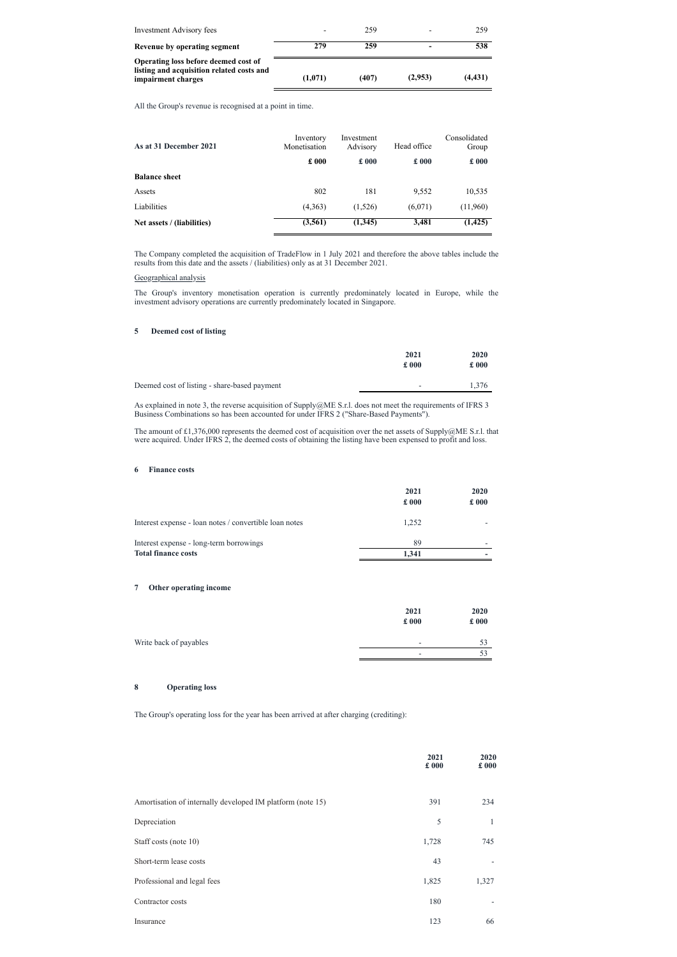| Investment Advisory fees                                                                                |         | 259   |         | 259      |
|---------------------------------------------------------------------------------------------------------|---------|-------|---------|----------|
| Revenue by operating segment                                                                            | 279     | 259   | -       | 538      |
| Operating loss before deemed cost of<br>listing and acquisition related costs and<br>impairment charges | (1,071) | (407) | (2,953) | (4, 431) |

All the Group's revenue is recognised at a point in time.

| As at 31 December 2021     | Inventory<br>Monetisation | Investment<br>Advisory | Head office   | Consolidated<br>Group |
|----------------------------|---------------------------|------------------------|---------------|-----------------------|
|                            | £000                      | $\pounds 000$          | $\pounds 000$ | $\pounds 000$         |
| <b>Balance sheet</b>       |                           |                        |               |                       |
| Assets                     | 802                       | 181                    | 9,552         | 10,535                |
| <b>Liabilities</b>         | (4,363)                   | (1,526)                | (6,071)       | (11,960)              |
| Net assets / (liabilities) | (3,561)                   | (1,345)                | 3,481         | (1, 425)              |

The Company completed the acquisition of TradeFlow in 1 July 2021 and therefore the above tables include the results from this date and the assets / (liabilities) only as at 31 December 2021.

# Geographical analysis

The Group's inventory monetisation operation is currently predominately located in Europe, while the investment advisory operations are currently predominately located in Singapore.

# **5 Deemed cost of listing**

|                                              | 2021<br>£000             | 2020<br>$\pounds 000$ |
|----------------------------------------------|--------------------------|-----------------------|
| Deemed cost of listing - share-based payment | $\overline{\phantom{a}}$ | .376                  |

As explained in note 3, the reverse acquisition of Supply@ME S.r.l. does not meet the requirements of IFRS 3 Business Combinations so has been accounted for under IFRS 2 ("Share-Based Payments").

The amount of £1,376,000 represents the deemed cost of acquisition over the net assets of Supply@ME S.r.l. that were acquired. Under IFRS 2, the deemed costs of obtaining the listing have been expensed to profit and loss.

# **6 Finance costs**

|                                                        | 2021<br>$\pounds 000$ | 2020<br>$\pounds 000$ |
|--------------------------------------------------------|-----------------------|-----------------------|
| Interest expense - loan notes / convertible loan notes | 1,252                 |                       |
| Interest expense - long-term borrowings                | 89                    |                       |
| <b>Total finance costs</b>                             | 1.341                 |                       |

# **7 Other operating income**

|                        | 2021<br>£000             | 2020<br>£000 |
|------------------------|--------------------------|--------------|
| Write back of payables | $\overline{\phantom{a}}$ | 53           |
|                        | -                        | 53           |

# **8 Operating loss**

The Group's operating loss for the year has been arrived at after charging (crediting):

|                                                            | 2021<br>£000 | 2020<br>£000 |
|------------------------------------------------------------|--------------|--------------|
| Amortisation of internally developed IM platform (note 15) | 391          | 234          |
| Depreciation                                               | 5            | $\mathbf{1}$ |
| Staff costs (note 10)                                      | 1,728        | 745          |
| Short-term lease costs                                     | 43           |              |
| Professional and legal fees                                | 1,825        | 1,327        |
| Contractor costs                                           | 180          |              |
| Insurance                                                  | 123          | 66           |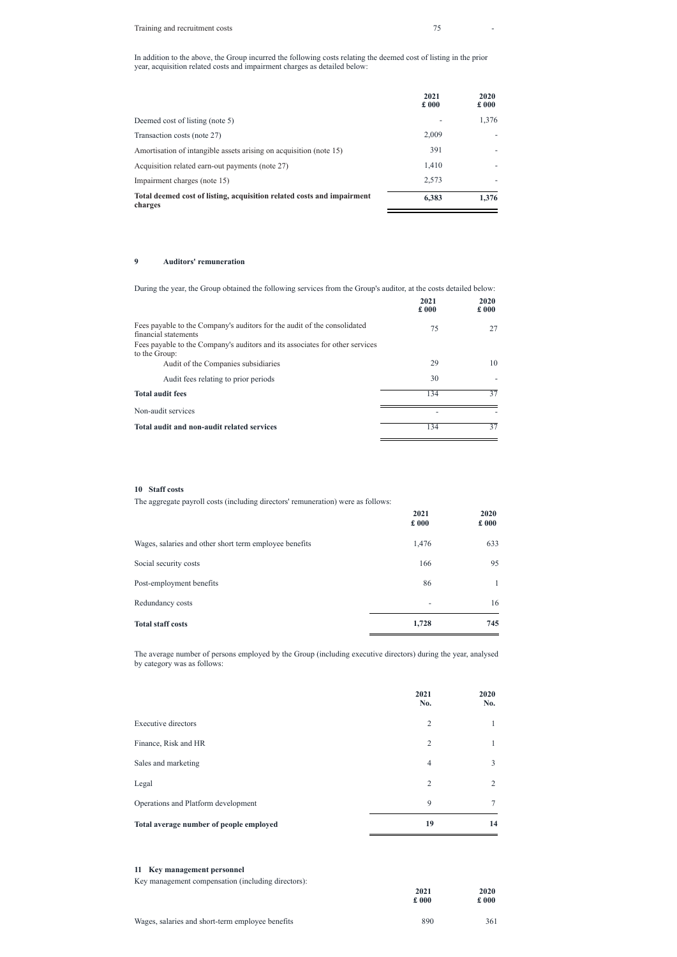In addition to the above, the Group incurred the following costs relating the deemed cost of listing in the prior year, acquisition related costs and impairment charges as detailed below:

|                                                                                   | 2021<br>$\pounds 000$ | 2020<br>$\pounds 000$ |
|-----------------------------------------------------------------------------------|-----------------------|-----------------------|
| Deemed cost of listing (note 5)                                                   |                       | 1,376                 |
| Transaction costs (note 27)                                                       | 2,009                 |                       |
| Amortisation of intangible assets arising on acquisition (note 15)                | 391                   |                       |
| Acquisition related earn-out payments (note 27)                                   | 1,410                 |                       |
| Impairment charges (note 15)                                                      | 2,573                 |                       |
| Total deemed cost of listing, acquisition related costs and impairment<br>charges | 6,383                 | 1,376                 |

# **9 Auditors' remuneration**

| During the year, the Group obtained the following services from the Group's auditor, at the costs detailed below: |              |              |
|-------------------------------------------------------------------------------------------------------------------|--------------|--------------|
|                                                                                                                   | 2021<br>£000 | 2020<br>£000 |
| Fees payable to the Company's auditors for the audit of the consolidated<br>financial statements                  | 75           | 27           |
| Fees payable to the Company's auditors and its associates for other services<br>to the Group:                     |              |              |
| Audit of the Companies subsidiaries                                                                               | 29           | 10           |
| Audit fees relating to prior periods                                                                              | 30           |              |
| <b>Total audit fees</b>                                                                                           | 134          | 37           |
| Non-audit services                                                                                                |              |              |
| Total audit and non-audit related services                                                                        | 134          | 37           |

# **10 Staff costs**

The aggregate payroll costs (including directors' remuneration) were as follows:

|                                                        | 2021<br>£000 | 2020<br>£000 |
|--------------------------------------------------------|--------------|--------------|
| Wages, salaries and other short term employee benefits | 1,476        | 633          |
| Social security costs                                  | 166          | 95           |
| Post-employment benefits                               | 86           |              |
| Redundancy costs                                       | -            | 16           |
| <b>Total staff costs</b>                               | 1,728        | 745          |

The average number of persons employed by the Group (including executive directors) during the year, analysed by category was as follows:

|                     | 2021<br>No. | 2020<br>No. |
|---------------------|-------------|-------------|
| Expansive dispeters | ⌒           |             |

| $\overline{2}$ |               |
|----------------|---------------|
| $\overline{2}$ |               |
| $\overline{4}$ | 3             |
| $\overline{2}$ | 2             |
| 9              | 7             |
| 19             | 14            |
| 2021           | 2020          |
| $\pounds 000$  | $\pounds$ 000 |
|                |               |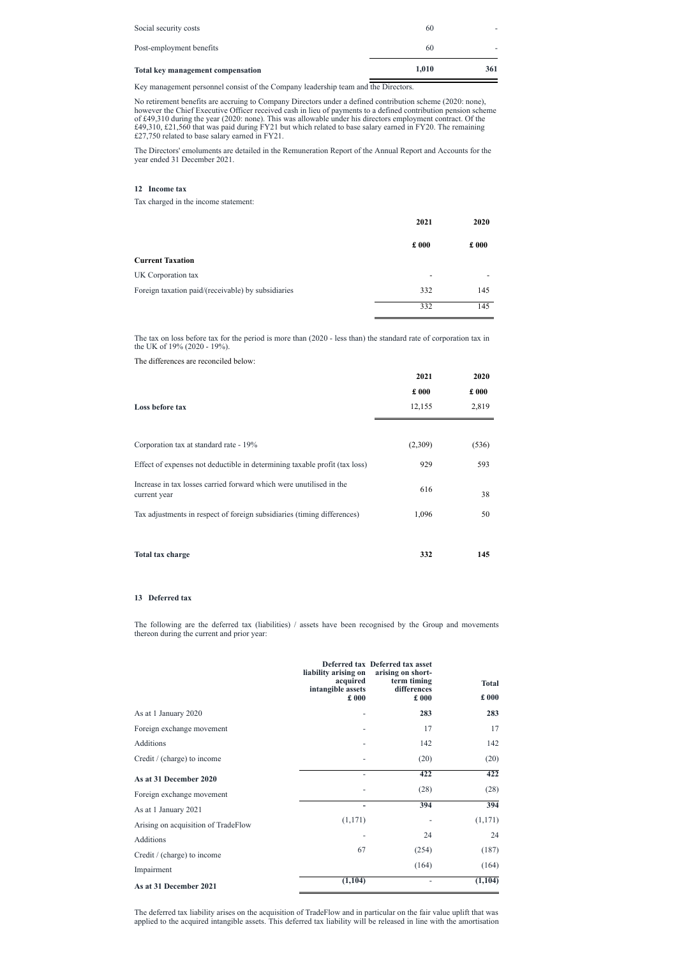| <b>Total key management compensation</b> | 1.010 | 361 |
|------------------------------------------|-------|-----|
| Post-employment benefits                 | 60    |     |
| Social security costs                    | 60    |     |

Key management personnel consist of the Company leadership team and the Directors.

No retirement benefits are accruing to Company Directors under a defined contribution scheme (2020: none), however the Chief Executive Officer received cash in lieu of payments to a defined contribution pension scheme of £49,310 during the year (2020: none). This was allowable under his directors employment contract. Of the £49,310, £21,560 that was paid during FY21 but which related to base salary earned in FY20. The remaining £27,750 related to base salary earned in FY21.

The Directors' emoluments are detailed in the Remuneration Report of the Annual Report and Accounts for the year ended 31 December 2021.

# **12 Income tax**

Tax charged in the income statement:

The following are the deferred tax (liabilities) / assets have been recognised by the Group and movements thereon during the current and prior year:

|                                                    | 2021                     | 2020          |
|----------------------------------------------------|--------------------------|---------------|
|                                                    | $\pounds 000$            | $\pounds 000$ |
| <b>Current Taxation</b>                            |                          |               |
| UK Corporation tax                                 | $\overline{\phantom{a}}$ |               |
| Foreign taxation paid/(receivable) by subsidiaries | 332                      | 145           |
|                                                    | 332                      | 145           |

The tax on loss before tax for the period is more than (2020 - less than) the standard rate of corporation tax in the UK of 19% (2020 - 19%).

The differences are reconciled below:

|                                                                                     | 2021          | 2020          |
|-------------------------------------------------------------------------------------|---------------|---------------|
|                                                                                     | $\pounds 000$ | $\pounds 000$ |
| Loss before tax                                                                     | 12,155        | 2,819         |
|                                                                                     |               |               |
| Corporation tax at standard rate - 19%                                              | (2,309)       | (536)         |
| Effect of expenses not deductible in determining taxable profit (tax loss)          | 929           | 593           |
| Increase in tax losses carried forward which were unutilised in the<br>current year | 616           | 38            |
| Tax adjustments in respect of foreign subsidiaries (timing differences)             | 1,096         | 50            |
|                                                                                     |               |               |
| Total tax charge                                                                    | 332           | 145           |

# **13 Deferred tax**

|                      | acquired<br>intangible assets<br>$\pounds 000$ | Deferred tax Deferred tax asset<br>liability arising on arising on short-<br>term timing<br>differences<br>$\pounds 000$ | <b>Total</b><br>$\pounds 000$ |
|----------------------|------------------------------------------------|--------------------------------------------------------------------------------------------------------------------------|-------------------------------|
| As at 1 January 2020 | -                                              | 283                                                                                                                      | 283                           |

| As at 31 December 2021              | (1, 104)                 |       | (1, 104) |
|-------------------------------------|--------------------------|-------|----------|
| Impairment                          |                          | (164) | (164)    |
| Credit / (charge) to income         | 67                       | (254) | (187)    |
| Additions                           |                          | 24    | 24       |
| Arising on acquisition of TradeFlow | (1,171)                  |       | (1,171)  |
| As at 1 January 2021                |                          |       |          |
|                                     |                          | 394   | 394      |
| Foreign exchange movement           |                          | (28)  | (28)     |
| As at 31 December 2020              | ٠                        | 422   | 422      |
| Credit / (charge) to income         | $\overline{\phantom{a}}$ | (20)  | (20)     |
| Additions                           |                          | 142   | 142      |
| Foreign exchange movement           |                          | 17    | 17       |

The deferred tax liability arises on the acquisition of TradeFlow and in particular on the fair value uplift that was applied to the acquired intangible assets. This deferred tax liability will be released in line with the amortisation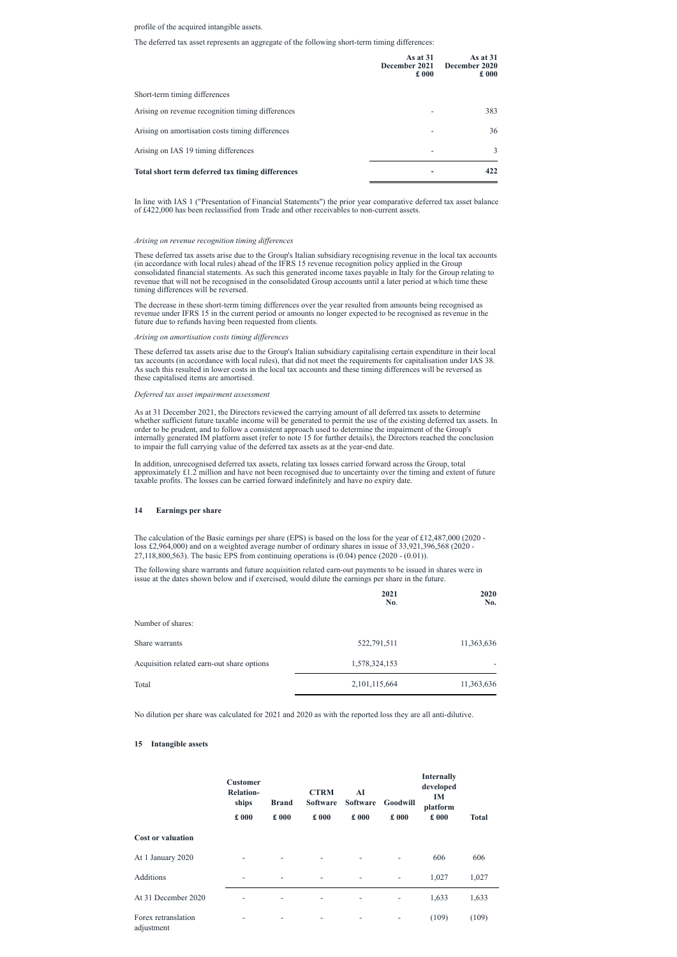# profile of the acquired intangible assets.

The deferred tax asset represents an aggregate of the following short-term timing differences:

|                                                   | As at $31$<br>$\pounds 000$ | As at $31$<br>December 2021 December 2020<br>$\pounds 000$ |
|---------------------------------------------------|-----------------------------|------------------------------------------------------------|
| Short-term timing differences                     |                             |                                                            |
| Arising on revenue recognition timing differences |                             | 383                                                        |
| Arising on amortisation costs timing differences  | ۰                           | 36                                                         |
| Arising on IAS 19 timing differences              | $\overline{a}$              | 3                                                          |
| Total short term deferred tax timing differences  |                             | 422                                                        |

In line with IAS 1 ("Presentation of Financial Statements") the prior year comparative deferred tax asset balance of £422,000 has been reclassified from Trade and other receivables to non-current assets.

### *Arising on revenue recognition timing dif erences*

These deferred tax assets arise due to the Group's Italian subsidiary recognising revenue in the local tax accounts (in accordance with local rules) ahead of the IFRS 15 revenue recognition policy applied in the Group consolidated financial statements. As such this generated income taxes payable in Italy for the Group relating to revenue that will not be recognised in the consolidated Group accounts until a later period at which time these timing differences will be reversed.

The decrease in these short-term timing differences over the year resulted from amounts being recognised as revenue under IFRS 15 in the current period or amounts no longer expected to be recognised as revenue in the future due to refunds having been requested from clients.

### *Arising on amortisation costs timing dif erences*

These deferred tax assets arise due to the Group's Italian subsidiary capitalising certain expenditure in their local tax accounts (in accordance with local rules), that did not meet the requirements for capitalisation under IAS 38. As such this resulted in lower costs in the local tax accounts and these timing differences will be reversed as these capitalised items are amortised.

### *Deferred tax asset impairment assessment*

As at 31 December 2021, the Directors reviewed the carrying amount of all deferred tax assets to determine whether sufficient future taxable income will be generated to permit the use of the existing deferred tax assets. In order to be prudent, and to follow a consistent approach used to determine the impairment of the Group's internally generated IM platform asset (refer to note 15 for further details), the Directors reached the conclusion to impair the full carrying value of the deferred tax assets as at the year-end date.

In addition, unrecognised deferred tax assets, relating tax losses carried forward across the Group, total approximately £1.2 million and have not been recognised due to uncertainty over the timing and extent of future taxable profits. The losses can be carried forward indefinitely and have no expiry date.

# **14 Earnings per share**

The calculation of the Basic earnings per share (EPS) is based on the loss for the year of £12,487,000 (2020 loss £2,964,000) and on a weighted average number of ordinary shares in issue of 33,921,396,568 (2020 - 27,118,800,563). The basic EPS from continuing operations is (0.04) pence (2020 - (0.01)).

The following share warrants and future acquisition related earn-out payments to be issued in shares were in issue at the dates shown below and if exercised, would dilute the earnings per share in the future.

|                                            | 2021<br>No.   | 2020<br>No. |
|--------------------------------------------|---------------|-------------|
| Number of shares:                          |               |             |
| Share warrants                             | 522,791,511   | 11,363,636  |
| Acquisition related earn-out share options | 1,578,324,153 |             |
| Total                                      | 2,101,115,664 | 11,363,636  |

No dilution per share was calculated for 2021 and 2020 as with the reported loss they are all anti-dilutive.

# **15 Intangible assets**

|                                   | <b>Customer</b><br><b>Relation-</b><br>ships<br>£000 | <b>Brand</b><br>£000     | <b>CTRM</b><br><b>Software</b><br>£000 | AI<br><b>Software</b><br>£000 | <b>Goodwill</b><br>£000  | <b>Internally</b><br>developed<br><b>IM</b><br>platform<br>£000 | <b>Total</b> |
|-----------------------------------|------------------------------------------------------|--------------------------|----------------------------------------|-------------------------------|--------------------------|-----------------------------------------------------------------|--------------|
| <b>Cost or valuation</b>          |                                                      |                          |                                        |                               |                          |                                                                 |              |
| At 1 January 2020                 |                                                      | $\overline{\phantom{a}}$ | $\overline{\phantom{a}}$               | $\overline{\phantom{0}}$      | $\overline{\phantom{a}}$ | 606                                                             | 606          |
| <b>Additions</b>                  | $\overline{\phantom{0}}$                             | $\overline{\phantom{a}}$ | $\overline{\phantom{a}}$               |                               | $\overline{\phantom{a}}$ | 1,027                                                           | 1,027        |
| At 31 December 2020               |                                                      | $\overline{\phantom{a}}$ | $\overline{\phantom{a}}$               | -                             | $\overline{\phantom{a}}$ | 1,633                                                           | 1,633        |
| Forex retranslation<br>adjustment |                                                      | ۰                        | $\overline{\phantom{a}}$               | $\overline{\phantom{a}}$      | $\overline{\phantom{a}}$ | (109)                                                           | (109)        |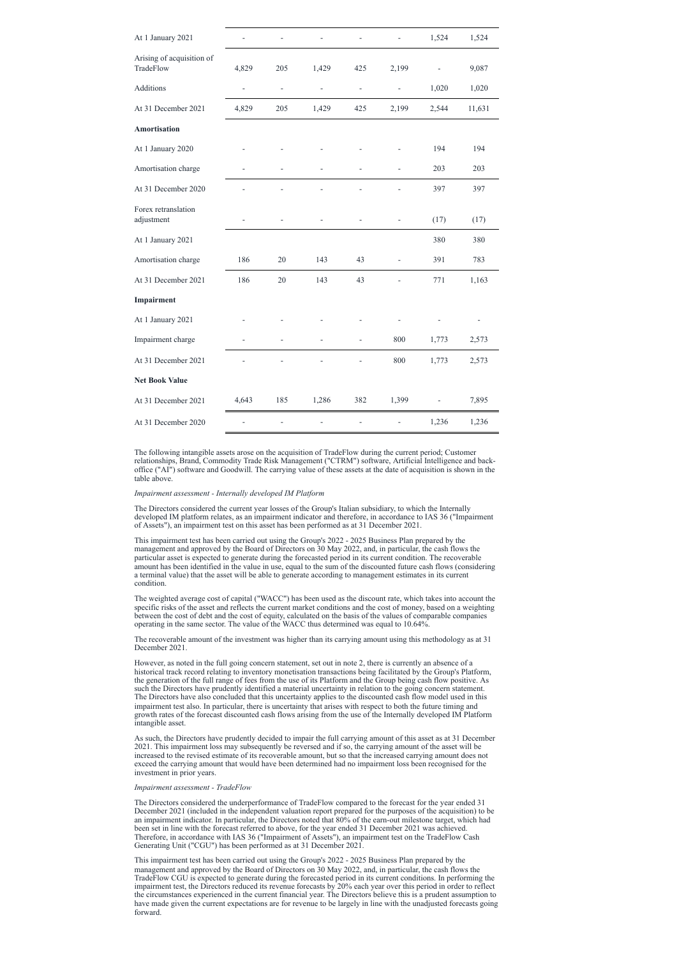| At 1 January 2021                      |                          |                          |                |                      |                | 1,524          | 1,524  |
|----------------------------------------|--------------------------|--------------------------|----------------|----------------------|----------------|----------------|--------|
| Arising of acquisition of<br>TradeFlow | 4,829                    | 205                      | 1,429          | 425                  | 2,199          |                | 9,087  |
| Additions                              | $\overline{\phantom{0}}$ | $\overline{\phantom{a}}$ | $\blacksquare$ | $\qquad \qquad \Box$ | $\blacksquare$ | 1,020          | 1,020  |
| At 31 December 2021                    | 4,829                    | 205                      | 1,429          | 425                  | 2,199          | 2,544          | 11,631 |
| <b>Amortisation</b>                    |                          |                          |                |                      |                |                |        |
| At 1 January 2020                      |                          |                          |                |                      |                | 194            | 194    |
| Amortisation charge                    |                          |                          |                |                      |                | 203            | 203    |
| At 31 December 2020                    |                          |                          |                |                      |                | 397            | 397    |
| Forex retranslation<br>adjustment      |                          |                          |                |                      |                | (17)           | (17)   |
| At 1 January 2021                      |                          |                          |                |                      |                | 380            | 380    |
| Amortisation charge                    | 186                      | $20\,$                   | 143            | 43                   | $\frac{1}{2}$  | 391            | 783    |
| At 31 December 2021                    | 186                      | 20                       | 143            | 43                   |                | 771            | 1,163  |
| Impairment                             |                          |                          |                |                      |                |                |        |
| At 1 January 2021                      |                          |                          |                |                      |                |                |        |
| Impairment charge                      |                          |                          |                |                      | 800            | 1,773          | 2,573  |
| At 31 December 2021                    |                          |                          |                |                      | 800            | 1,773          | 2,573  |
| <b>Net Book Value</b>                  |                          |                          |                |                      |                |                |        |
| At 31 December 2021                    | 4,643                    | 185                      | 1,286          | 382                  | 1,399          | $\blacksquare$ | 7,895  |
| At 31 December 2020                    |                          |                          |                |                      |                | 1,236          | 1,236  |

The following intangible assets arose on the acquisition of TradeFlow during the current period; Customer relationships, Brand, Commodity Trade Risk Management ("CTRM") software, Artificial Intelligence and backoffice ("AI") software and Goodwill. The carrying value of these assets at the date of acquisition is shown in the table above.

### *Impairment assessment - Internally developed IM Platform*

The Directors considered the current year losses of the Group's Italian subsidiary, to which the Internally developed IM platform relates, as an impairment indicator and therefore, in accordance to IAS 36 ("Impairment of Assets"), an impairment test on this asset has been performed as at 31 December 2021.

This impairment test has been carried out using the Group's 2022 - 2025 Business Plan prepared by the management and approved by the Board of Directors on 30 May 2022, and, in particular, the cash flows the particular asset is expected to generate during the forecasted period in its current condition. The recoverable amount has been identified in the value in use, equal to the sum of the discounted future cash flows (considering a terminal value) that the asset will be able to generate according to management estimates in its current condition.

The weighted average cost of capital ("WACC") has been used as the discount rate, which takes into account the specific risks of the asset and reflects the current market conditions and the cost of money, based on a weighting between the cost of debt and the cost of equity, calculated on the basis of the values of comparable companies operating in the same sector. The value of the WACC thus determined was equal to 10.64%.

The recoverable amount of the investment was higher than its carrying amount using this methodology as at 31 December 2021.

However, as noted in the full going concern statement, set out in note 2, there is currently an absence of a historical track record relating to inventory monetisation transactions being facilitated by the Group's Platform, the generation of the full range of fees from the use of its Platform and the Group being cash flow positive. As such the Directors have prudently identified a material uncertainty in relation to the going concern statement. The Directors have also concluded that this uncertainty applies to the discounted cash flow model used in this impairment test also. In particular, there is uncertainty that arises with respect to both the future timing and growth rates of the forecast discounted cash flows arising from the use of the Internally developed IM Platform

intangible asset.

As such, the Directors have prudently decided to impair the full carrying amount of this asset as at 31 December 2021. This impairment loss may subsequently be reversed and if so, the carrying amount of the asset will be increased to the revised estimate of its recoverable amount, but so that the increased carrying amount does not exceed the carrying amount that would have been determined had no impairment loss been recognised for the investment in prior years.

*Impairment assessment - TradeFlow*

The Directors considered the underperformance of TradeFlow compared to the forecast for the year ended 31 December 2021 (included in the independent valuation report prepared for the purposes of the acquisition) to be an impairment indicator. In particular, the Directors noted that 80% of the earn-out milestone target, which had been set in line with the forecast referred to above, for the year ended 31 December 2021 was achieved. Therefore, in accordance with IAS 36 ("Impairment of Assets"), an impairment test on the TradeFlow Cash Generating Unit ("CGU") has been performed as at 31 December 2021.

This impairment test has been carried out using the Group's 2022 - 2025 Business Plan prepared by the management and approved by the Board of Directors on 30 May 2022, and, in particular, the cash flows the TradeFlow CGU is expected to generate during the forecasted period in its current conditions. In performing the impairment test, the Directors reduced its revenue forecasts by 20% each year over this period in order to reflect the circumstances experienced in the current financial year. The Directors believe this is a prudent assumption to have made given the current expectations are for revenue to be largely in line with the unadjusted forecasts going forward.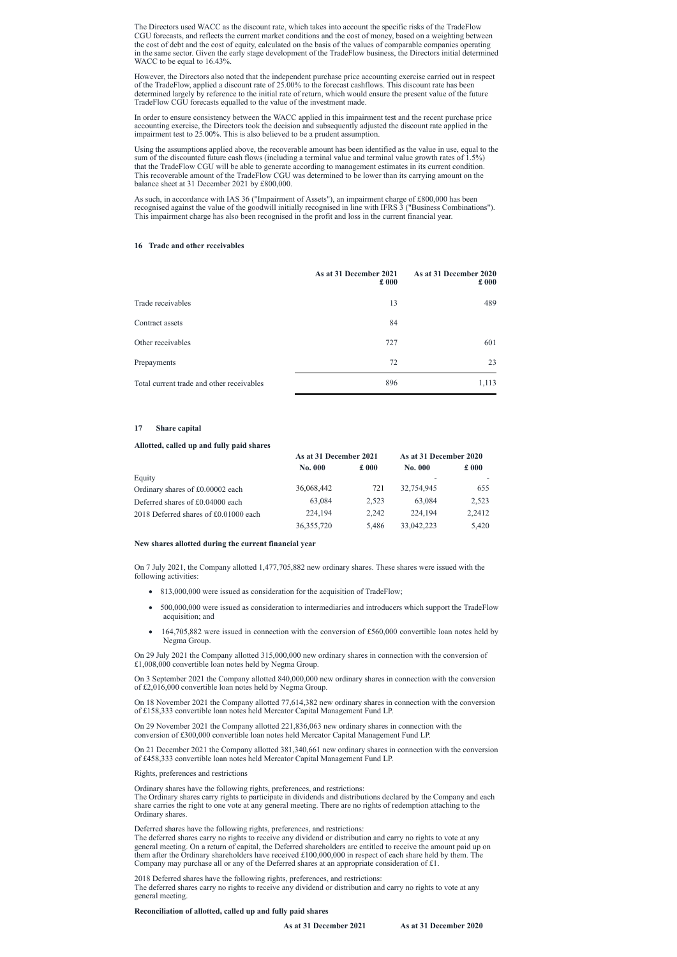The Directors used WACC as the discount rate, which takes into account the specific risks of the TradeFlow CGU forecasts, and reflects the current market conditions and the cost of money, based on a weighting between the cost of debt and the cost of equity, calculated on the basis of the values of comparable companies operating in the same sector. Given the early stage development of the TradeFlow business, the Directors initial determined WACC to be equal to 16.43%.

However, the Directors also noted that the independent purchase price accounting exercise carried out in respect of the TradeFlow, applied a discount rate of 25.00% to the forecast cashflows. This discount rate has been determined largely by reference to the initial rate of return, which would ensure the present value of the future TradeFlow CGU forecasts equalled to the value of the investment made.

In order to ensure consistency between the WACC applied in this impairment test and the recent purchase price accounting exercise, the Directors took the decision and subsequently adjusted the discount rate applied in the impairment test to 25.00%. This is also believed to be a prudent assumption.

Using the assumptions applied above, the recoverable amount has been identified as the value in use, equal to the sum of the discounted future cash flows (including a terminal value and terminal value growth rates of 1.5%) that the TradeFlow CGU will be able to generate according to management estimates in its current condition. This recoverable amount of the TradeFlow CGU was determined to be lower than its carrying amount on the balance sheet at 31 December 2021 by £800,000.

As such, in accordance with IAS 36 ("Impairment of Assets"), an impairment charge of £800,000 has been recognised against the value of the goodwill initially recognised in line with IFRS 3 ("Business Combinations"). This impairment charge has also been recognised in the profit and loss in the current financial year.

### **16 Trade and other receivables**

|                                           | As at 31 December 2021<br>$\pounds 000$ | As at 31 December 2020<br>$\pounds$ 000 |
|-------------------------------------------|-----------------------------------------|-----------------------------------------|
| Trade receivables                         | 13                                      | 489                                     |
| Contract assets                           | 84                                      |                                         |
| Other receivables                         | 727                                     | 601                                     |
| Prepayments                               | 72                                      | 23                                      |
| Total current trade and other receivables | 896                                     | 1,113                                   |

### **17 Share capital**

### **Allotted, called up and fully paid shares**

|                                       | As at 31 December 2021 |               | As at 31 December 2020 |               |
|---------------------------------------|------------------------|---------------|------------------------|---------------|
|                                       | <b>No. 000</b>         | $\pounds 000$ | <b>No. 000</b>         | $\pounds 000$ |
| Equity                                |                        |               |                        |               |
| Ordinary shares of £0.00002 each      | 36,068,442             | 721           | 32,754,945             | 655           |
| Deferred shares of £0.04000 each      | 63,084                 | 2.523         | 63,084                 | 2,523         |
| 2018 Deferred shares of £0.01000 each | 224,194                | 2.242         | 224,194                | 2,2412        |
|                                       | 36, 355, 720           | 5,486         | 33,042,223             | 5,420         |

### **New shares allotted during the current financial year**

On 7 July 2021, the Company allotted 1,477,705,882 new ordinary shares. These shares were issued with the following activities:

- · 813,000,000 were issued as consideration for the acquisition of TradeFlow;
- · 500,000,000 were issued as consideration to intermediaries and introducers which support the TradeFlow acquisition; and
- 164,705,882 were issued in connection with the conversion of £560,000 convertible loan notes held by Negma Group.

On 29 July 2021 the Company allotted 315,000,000 new ordinary shares in connection with the conversion of £1,008,000 convertible loan notes held by Negma Group.

On 3 September 2021 the Company allotted 840,000,000 new ordinary shares in connection with the conversion of £2,016,000 convertible loan notes held by Negma Group.

On 18 November 2021 the Company allotted 77,614,382 new ordinary shares in connection with the conversion of £158,333 convertible loan notes held Mercator Capital Management Fund LP.

On 29 November 2021 the Company allotted 221,836,063 new ordinary shares in connection with the conversion of £300,000 convertible loan notes held Mercator Capital Management Fund LP.

On 21 December 2021 the Company allotted 381,340,661 new ordinary shares in connection with the conversion of £458,333 convertible loan notes held Mercator Capital Management Fund LP.

Rights, preferences and restrictions

Ordinary shares have the following rights, preferences, and restrictions:

The Ordinary shares carry rights to participate in dividends and distributions declared by the Company and each share carries the right to one vote at any general meeting. There are no rights of redemption attaching to the Ordinary shares.

Deferred shares have the following rights, preferences, and restrictions:

The deferred shares carry no rights to receive any dividend or distribution and carry no rights to vote at any general meeting. On a return of capital, the Deferred shareholders are entitled to receive the amount paid up on them after the Ordinary shareholders have received £100,000,000 in respect of each share held by them. The Company may purchase all or any of the Deferred shares at an appropriate consideration of £1.

2018 Deferred shares have the following rights, preferences, and restrictions:

The deferred shares carry no rights to receive any dividend or distribution and carry no rights to vote at any general meeting.

**Reconciliation of allotted, called up and fully paid shares**

**As at 31 December 2021 As at 31 December 2020**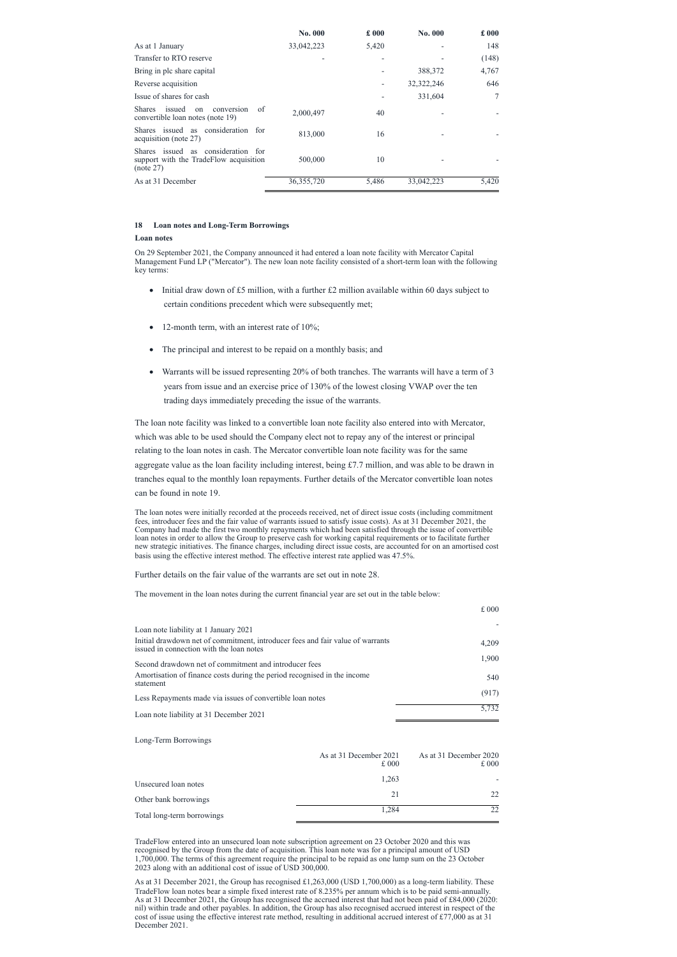|                                                                                           | No. 000      | £000  | No. 000      | £000  |
|-------------------------------------------------------------------------------------------|--------------|-------|--------------|-------|
| As at 1 January                                                                           | 33,042,223   | 5,420 |              | 148   |
| Transfer to RTO reserve                                                                   |              |       |              | (148) |
| Bring in plc share capital                                                                |              |       | 388,372      | 4,767 |
| Reverse acquisition                                                                       |              |       | 32, 322, 246 | 646   |
| Issue of shares for cash                                                                  |              |       | 331,604      |       |
| of<br>issued<br><b>Shares</b><br>conversion<br>on<br>convertible loan notes (note 19)     | 2,000,497    | 40    |              |       |
| consideration for<br>Shares issued as<br>acquisition (note 27)                            | 813,000      | 16    |              |       |
| Shares issued as consideration for<br>support with the TradeFlow acquisition<br>(note 27) | 500,000      | 10    |              |       |
| As at 31 December                                                                         | 36, 355, 720 | 5,486 | 33,042,223   | 5,420 |

# **18 Loan notes and Long-Term Borrowings**

#### **Loan notes**

- Initial draw down of £5 million, with a further £2 million available within 60 days subject to certain conditions precedent which were subsequently met;
- 12-month term, with an interest rate of 10%;
- The principal and interest to be repaid on a monthly basis; and
- · Warrants will be issued representing 20% of both tranches. The warrants will have a term of 3 years from issue and an exercise price of 130% of the lowest closing VWAP over the ten trading days immediately preceding the issue of the warrants.

On 29 September 2021, the Company announced it had entered a loan note facility with Mercator Capital Management Fund LP ("Mercator"). The new loan note facility consisted of a short-term loan with the following key terms:

The loan note facility was linked to a convertible loan note facility also entered into with Mercator, which was able to be used should the Company elect not to repay any of the interest or principal relating to the loan notes in cash. The Mercator convertible loan note facility was for the same aggregate value as the loan facility including interest, being  $£7.7$  million, and was able to be drawn in tranches equal to the monthly loan repayments. Further details of the Mercator convertible loan notes can be found in note 19.

The loan notes were initially recorded at the proceeds received, net of direct issue costs (including commitment fees, introducer fees and the fair value of warrants issued to satisfy issue costs). As at 31 December 2021, the Company had made the first two monthly repayments which had been satisfied through the issue of convertible loan notes in order to allow the Group to preserve cash for working capital requirements or to facilitate further new strategic initiatives. The finance charges, including direct issue costs, are accounted for on an amortised cost basis using the effective interest method. The effective interest rate applied was 47.5%.

Further details on the fair value of the warrants are set out in note 28.

The movement in the loan notes during the current financial year are set out in the table below:

|                                                                                                                            | £000  |
|----------------------------------------------------------------------------------------------------------------------------|-------|
| Loan note liability at 1 January 2021                                                                                      |       |
| Initial drawdown net of commitment, introducer fees and fair value of warrants<br>issued in connection with the loan notes | 4,209 |
| Second drawdown net of commitment and introducer fees                                                                      | 1,900 |
| Amortisation of finance costs during the period recognised in the income<br>statement                                      | 540   |
| Less Repayments made via issues of convertible loan notes                                                                  | (917) |
| Loan note liability at 31 December 2021                                                                                    | 5,732 |

|                            | As at 31 December 2021<br>£000 | As at 31 December 2020<br>£000 |
|----------------------------|--------------------------------|--------------------------------|
| Unsecured loan notes       | 1,263                          |                                |
| Other bank borrowings      | 21                             | 22                             |
| Total long-term borrowings | 1,284                          | つつ                             |

TradeFlow entered into an unsecured loan note subscription agreement on 23 October 2020 and this was recognised by the Group from the date of acquisition. This loan note was for a principal amount of USD 1,700,000. The terms of this agreement require the principal to be repaid as one lump sum on the 23 October 2023 along with an additional cost of issue of USD 300,000.

As at 31 December 2021, the Group has recognised £1,263,000 (USD 1,700,000) as a long-term liability. These TradeFlow loan notes bear a simple fixed interest rate of 8.235% per annum which is to be paid semi-annually. As at 31 December 2021, the Group has recognised the accrued interest that had not been paid of £84,000 (2020: nil) within trade and other payables. In addition, the Group has also recognised accrued interest in respect of the cost of issue using the effective interest rate method, resulting in additional accrued interest of £77,000 as at 31 December 2021.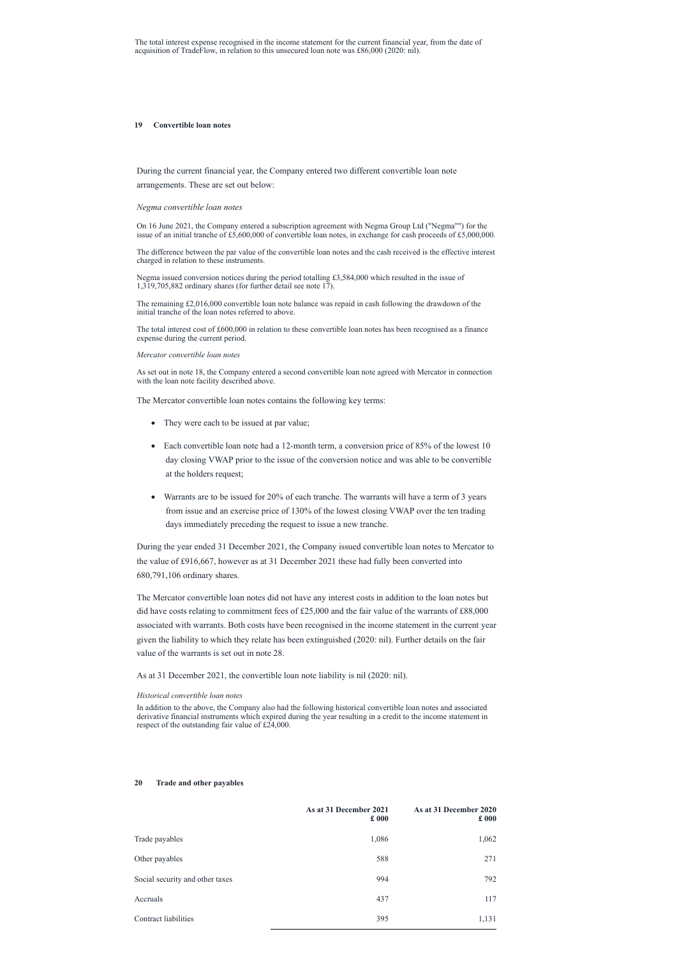### **19 Convertible loan notes**

During the current financial year, the Company entered two different convertible loan note arrangements. These are set out below:

### *Negma convertible loan notes*

On 16 June 2021, the Company entered a subscription agreement with Negma Group Ltd ("Negma"") for the issue of an initial tranche of £5,600,000 of convertible loan notes, in exchange for cash proceeds of £5,000,000.

The remaining  $£2,016,000$  convertible loan note balance was repaid in cash following the drawdown of the initial tranche of the loan notes referred to above.

The difference between the par value of the convertible loan notes and the cash received is the effective interest charged in relation to these instruments.

Negma issued conversion notices during the period totalling £3,584,000 which resulted in the issue of 1,319,705,882 ordinary shares (for further detail see note 17).

- They were each to be issued at par value;
- Each convertible loan note had a 12-month term, a conversion price of 85% of the lowest 10 day closing VWAP prior to the issue of the conversion notice and was able to be convertible at the holders request;
- · Warrants are to be issued for 20% of each tranche. The warrants will have a term of 3 years from issue and an exercise price of 130% of the lowest closing VWAP over the ten trading days immediately preceding the request to issue a new tranche.

The total interest cost of £600,000 in relation to these convertible loan notes has been recognised as a finance expense during the current period.

# *Mercator convertible loan notes*

As set out in note 18, the Company entered a second convertible loan note agreed with Mercator in connection with the loan note facility described above.

The Mercator convertible loan notes contains the following key terms:

During the year ended 31 December 2021, the Company issued convertible loan notes to Mercator to the value of £916,667, however as at 31 December 2021 these had fully been converted into 680,791,106 ordinary shares.

The Mercator convertible loan notes did not have any interest costs in addition to the loan notes but did have costs relating to commitment fees of £25,000 and the fair value of the warrants of £88,000 associated with warrants. Both costs have been recognised in the income statement in the current year given the liability to which they relate has been extinguished (2020: nil). Further details on the fair value of the warrants is set out in note 28.

As at 31 December 2021, the convertible loan note liability is nil (2020: nil).

### *Historical convertible loan notes*

In addition to the above, the Company also had the following historical convertible loan notes and associated derivative financial instruments which expired during the year resulting in a credit to the income statement in

respect of the outstanding fair value of £24,000.

# **20 Trade and other payables**

|                                 | As at 31 December 2021<br>$\pounds 000$ | As at 31 December 2020<br>$\pounds 000$ |
|---------------------------------|-----------------------------------------|-----------------------------------------|
| Trade payables                  | 1,086                                   | 1,062                                   |
| Other payables                  | 588                                     | 271                                     |
| Social security and other taxes | 994                                     | 792                                     |
| Accruals                        | 437                                     | 117                                     |
| Contract liabilities            | 395                                     | 1,131                                   |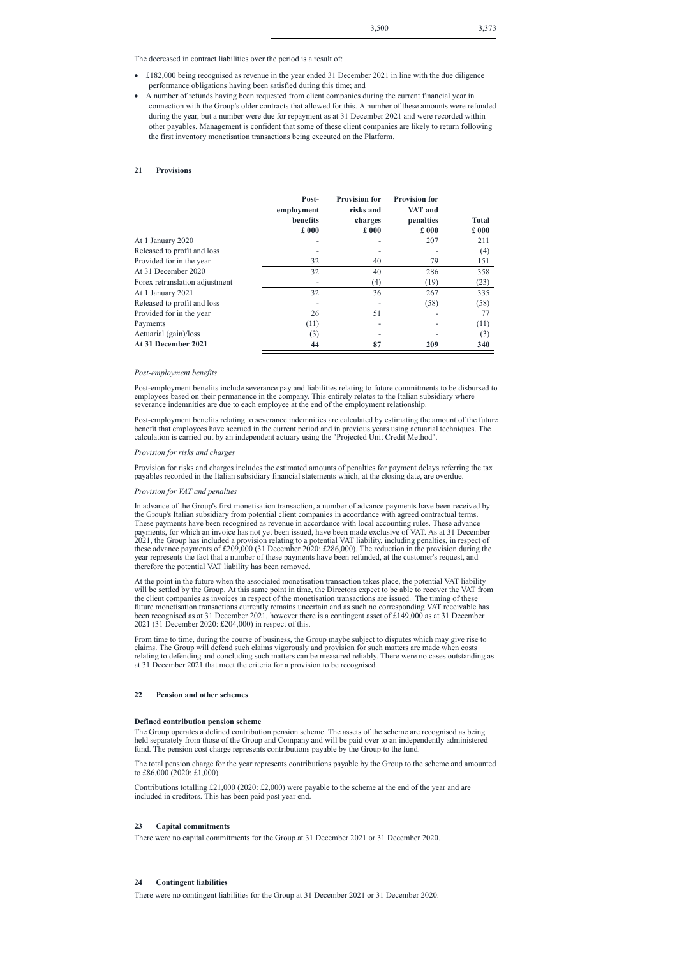The decreased in contract liabilities over the period is a result of:

- · £182,000 being recognised as revenue in the year ended 31 December 2021 in line with the due diligence performance obligations having been satisfied during this time; and
- · A number of refunds having been requested from client companies during the current financial year in connection with the Group's older contracts that allowed for this. A number of these amounts were refunded during the year, but a number were due for repayment as at 31 December 2021 and were recorded within other payables. Management is confident that some of these client companies are likely to return following the first inventory monetisation transactions being executed on the Platform.

# **21 Provisions**

|                                | Post-<br>employment<br>benefits<br>$\pounds 000$ | <b>Provision for</b><br>risks and<br>charges<br>$\pounds 000$ | <b>Provision for</b><br>VAT and<br>penalties<br>£000 | <b>Total</b><br>£000 |
|--------------------------------|--------------------------------------------------|---------------------------------------------------------------|------------------------------------------------------|----------------------|
| At 1 January 2020              |                                                  |                                                               | 207                                                  | 211                  |
| Released to profit and loss    |                                                  |                                                               |                                                      | (4)                  |
| Provided for in the year       | 32                                               | 40                                                            | 79                                                   | 151                  |
| At 31 December 2020            | 32                                               | 40                                                            | 286                                                  | 358                  |
| Forex retranslation adjustment |                                                  | (4)                                                           | (19)                                                 | (23)                 |
| At 1 January 2021              | 32                                               | 36                                                            | 267                                                  | 335                  |
| Released to profit and loss    |                                                  |                                                               | (58)                                                 | (58)                 |
| Provided for in the year       | 26                                               | 51                                                            |                                                      | 77                   |
| Payments                       | (11)                                             |                                                               |                                                      | (11)                 |
| Actuarial (gain)/loss          | (3)                                              |                                                               |                                                      | (3)                  |
| At 31 December 2021            | 44                                               | 87                                                            | 209                                                  | 340                  |

# *Post-employment benefits*

Post-employment benefits include severance pay and liabilities relating to future commitments to be disbursed to employees based on their permanence in the company. This entirely relates to the Italian subsidiary where severance indemnities are due to each employee at the end of the employment relationship.

Post-employment benefits relating to severance indemnities are calculated by estimating the amount of the future benefit that employees have accrued in the current period and in previous years using actuarial techniques. The calculation is carried out by an independent actuary using the "Projected Unit Credit Method".

### *Provision for risks and charges*

Provision for risks and charges includes the estimated amounts of penalties for payment delays referring the tax payables recorded in the Italian subsidiary financial statements which, at the closing date, are overdue.

#### *Provision for VAT and penalties*

Contributions totalling £21,000 (2020: £2,000) were payable to the scheme at the end of the year and are included in creditors. This has been paid post year end.

In advance of the Group's first monetisation transaction, a number of advance payments have been received by the Group's Italian subsidiary from potential client companies in accordance with agreed contractual terms. These payments have been recognised as revenue in accordance with local accounting rules. These advance payments, for which an invoice has not yet been issued, have been made exclusive of VAT. As at 31 December 2021, the Group has included a provision relating to a potential VAT liability, including penalties, in respect of these advance payments of £209,000 (31 December 2020: £286,000). The reduction in the provision during the year represents the fact that a number of these payments have been refunded, at the customer's request, and therefore the potential VAT liability has been removed.

At the point in the future when the associated monetisation transaction takes place, the potential VAT liability will be settled by the Group. At this same point in time, the Directors expect to be able to recover the VAT from the client companies as invoices in respect of the monetisation transactions are issued. The timing of these future monetisation transactions currently remains uncertain and as such no corresponding VAT receivable has been recognised as at 31 December 2021, however there is a contingent asset of £149,000 as at 31 December 2021 (31 December 2020: £204,000) in respect of this.

From time to time, during the course of business, the Group maybe subject to disputes which may give rise to claims. The Group will defend such claims vigorously and provision for such matters are made when costs relating to defending and concluding such matters can be measured reliably. There were no cases outstanding as at 31 December 2021 that meet the criteria for a provision to be recognised.

### **22 Pension and other schemes**

#### **Defined contribution pension scheme**

The Group operates a defined contribution pension scheme. The assets of the scheme are recognised as being held separately from those of the Group and Company and will be paid over to an independently administered fund. The pension cost charge represents contributions payable by the Group to the fund.

The total pension charge for the year represents contributions payable by the Group to the scheme and amounted to £86,000 (2020: £1,000).

# **23 Capital commitments**

There were no capital commitments for the Group at 31 December 2021 or 31 December 2020.

# **24 Contingent liabilities**

There were no contingent liabilities for the Group at 31 December 2021 or 31 December 2020.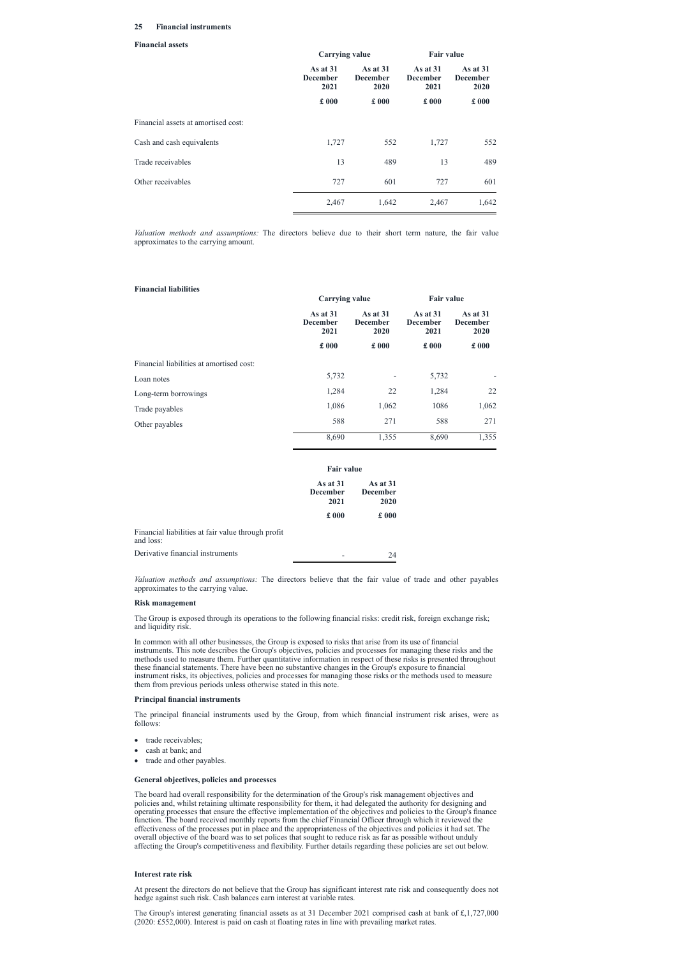# **25 Financial instruments**

#### **Financial assets**

|                                     |                                       | <b>Carrying value</b>                 |                                       | <b>Fair value</b>                     |
|-------------------------------------|---------------------------------------|---------------------------------------|---------------------------------------|---------------------------------------|
|                                     | As at $31$<br><b>December</b><br>2021 | As at $31$<br><b>December</b><br>2020 | As at $31$<br><b>December</b><br>2021 | As at $31$<br><b>December</b><br>2020 |
|                                     | £000                                  | £000                                  | $\pounds 000$                         | $\pounds 000$                         |
| Financial assets at amortised cost: |                                       |                                       |                                       |                                       |
| Cash and cash equivalents           | 1,727                                 | 552                                   | 1,727                                 | 552                                   |
| Trade receivables                   | 13                                    | 489                                   | 13                                    | 489                                   |
| Other receivables                   | 727                                   | 601                                   | 727                                   | 601                                   |
|                                     | 2,467                                 | 1,642                                 | 2,467                                 | 1,642                                 |
|                                     |                                       |                                       |                                       |                                       |

*Valuation methods and assumptions:* The directors believe due to their short term nature, the fair value approximates to the carrying amount.

### **Financial liabilities**

|                                          | <b>Carrying value</b>                 |                                       | <b>Fair value</b> |                                       |  |                                       |
|------------------------------------------|---------------------------------------|---------------------------------------|-------------------|---------------------------------------|--|---------------------------------------|
|                                          | As at $31$<br><b>December</b><br>2021 | As at $31$<br><b>December</b><br>2020 |                   | As at $31$<br><b>December</b><br>2021 |  | As at $31$<br><b>December</b><br>2020 |
|                                          | $\pounds$ 000                         | $\pounds 000$                         | £000              | $\pounds 000$                         |  |                                       |
| Financial liabilities at amortised cost: |                                       |                                       |                   |                                       |  |                                       |
| Loan notes                               | 5,732                                 |                                       | 5,732             |                                       |  |                                       |
| Long-term borrowings                     | 1,284                                 | 22                                    | 1,284             | 22                                    |  |                                       |
| Trade payables                           | 1,086                                 | 1,062                                 | 1086              | 1,062                                 |  |                                       |
| Other payables                           | 588                                   | 271                                   | 588               | 271                                   |  |                                       |
|                                          | 8,690                                 | 1,355                                 | 8,690             | 1,355                                 |  |                                       |

|                                                                 | <b>Fair value</b>                     |                                       |  |
|-----------------------------------------------------------------|---------------------------------------|---------------------------------------|--|
|                                                                 | As at $31$<br><b>December</b><br>2021 | As at $31$<br><b>December</b><br>2020 |  |
|                                                                 | £000                                  | £000                                  |  |
| Financial liabilities at fair value through profit<br>and loss: |                                       |                                       |  |
| Derivative financial instruments                                |                                       | 24                                    |  |

- trade receivables;
- cash at bank; and
- · trade and other payables.

*Valuation methods and assumptions:* The directors believe that the fair value of trade and other payables approximates to the carrying value.

### **Risk management**

The Group is exposed through its operations to the following financial risks: credit risk, foreign exchange risk; and liquidity risk.

In common with all other businesses, the Group is exposed to risks that arise from its use of financial instruments. This note describes the Group's objectives, policies and processes for managing these risks and the methods used to measure them. Further quantitative information in respect of these risks is presented throughout these financial statements. There have been no substantive changes in the Group's exposure to financial instrument risks, its objectives, policies and processes for managing those risks or the methods used to measure them from previous periods unless otherwise stated in this note.

### **Principal financial instruments**

The principal financial instruments used by the Group, from which financial instrument risk arises, were as

follows:

# **General objectives, policies and processes**

The board had overall responsibility for the determination of the Group's risk management objectives and policies and, whilst retaining ultimate responsibility for them, it had delegated the authority for designing and operating processes that ensure the effective implementation of the objectives and policies to the Group's finance function. The board received monthly reports from the chief Financial Officer through which it reviewed the effectiveness of the processes put in place and the appropriateness of the objectives and policies it had set. The overall objective of the board was to set polices that sought to reduce risk as far as possible without unduly affecting the Group's competitiveness and flexibility. Further details regarding these policies are set out below.

# **Interest rate risk**

At present the directors do not believe that the Group has significant interest rate risk and consequently does not hedge against such risk. Cash balances earn interest at variable rates.

The Group's interest generating financial assets as at 31 December 2021 comprised cash at bank of £,1,727,000 (2020: £552,000). Interest is paid on cash at floating rates in line with prevailing market rates.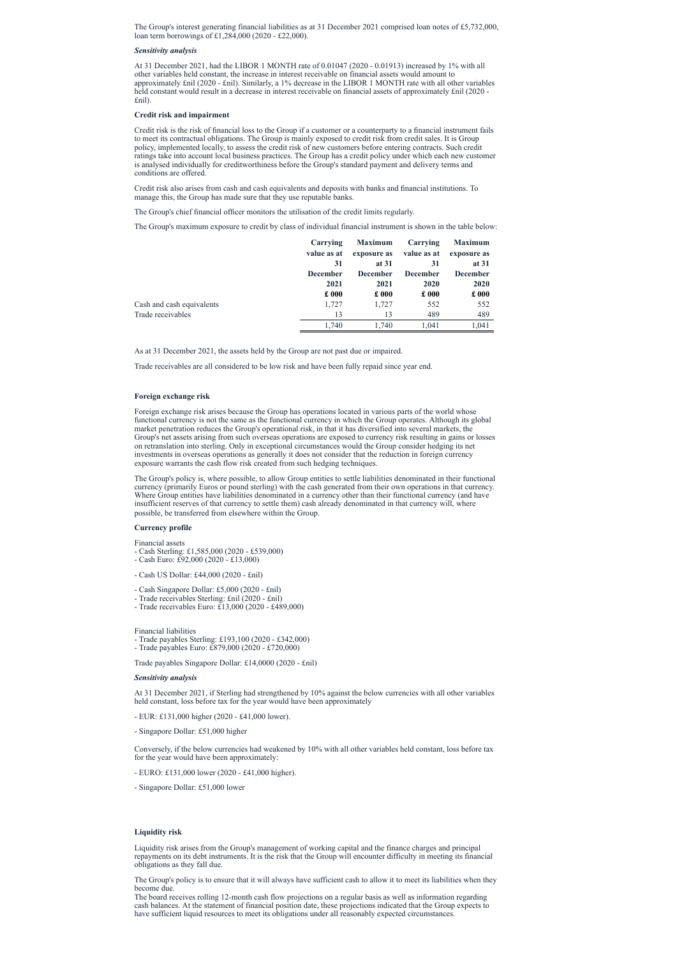The Group's interest generating financial liabilities as at 31 December 2021 comprised loan notes of £5,732,000, loan term borrowings of £1,284,000 (2020 - £22,000).

### *Sensitivity analysis*

At 31 December 2021, had the LIBOR 1 MONTH rate of 0.01047 (2020 - 0.01913) increased by 1% with all other variables held constant, the increase in interest receivable on financial assets would amount to approximately £nil (2020 - £nil). Similarly, a 1% decrease in the LIBOR 1 MONTH rate with all other variables held constant would result in a decrease in interest receivable on financial assets of approximately £nil (2020 - £nil).

### **Credit risk and impairment**

Credit risk is the risk of financial loss to the Group if a customer or a counterparty to a financial instrument fails to meet its contractual obligations. The Group is mainly exposed to credit risk from credit sales. It is Group policy, implemented locally, to assess the credit risk of new customers before entering contracts. Such credit ratings take into account local business practices. The Group has a credit policy under which each new customer is analysed individually for creditworthiness before the Group's standard payment and delivery terms and conditions are offered.

Credit risk also arises from cash and cash equivalents and deposits with banks and financial institutions. To manage this, the Group has made sure that they use reputable banks.

The Group's chief financial officer monitors the utilisation of the credit limits regularly.

The Group's maximum exposure to credit by class of individual financial instrument is shown in the table below:

|                           | Carrying        | <b>Maximum</b>  | Carrying        | <b>Maximum</b>  |
|---------------------------|-----------------|-----------------|-----------------|-----------------|
|                           | value as at     | exposure as     | value as at     | exposure as     |
|                           | 31              | at $31$         | 31              | at 31           |
|                           | <b>December</b> | <b>December</b> | <b>December</b> | <b>December</b> |
|                           | 2021            | 2021            | 2020            | 2020            |
|                           | $\pounds 000$   | $\pounds 000$   | $\pounds 000$   | $\pounds 000$   |
| Cash and cash equivalents | 1,727           | 1,727           | 552             | 552             |
| Trade receivables         | 13              | 13              | 489             | 489             |
|                           | 1.740           | 1.740           | 1.041           | 1,041           |

As at 31 December 2021, the assets held by the Group are not past due or impaired.

Trade receivables are all considered to be low risk and have been fully repaid since year end.

### **Foreign exchange risk**

Foreign exchange risk arises because the Group has operations located in various parts of the world whose functional currency is not the same as the functional currency in which the Group operates. Although its global market penetration reduces the Group's operational risk, in that it has diversified into several markets, the Group's net assets arising from such overseas operations are exposed to currency risk resulting in gains or losses on retranslation into sterling. Only in exceptional circumstances would the Group consider hedging its net investments in overseas operations as generally it does not consider that the reduction in foreign currency exposure warrants the cash flow risk created from such hedging techniques.

The Group's policy is, where possible, to allow Group entities to settle liabilities denominated in their functional currency (primarily Euros or pound sterling) with the cash generated from their own operations in that currency. Where Group entities have liabilities denominated in a currency other than their functional currency (and have insufficient reserves of that currency to settle them) cash already denominated in that currency will, where possible, be transferred from elsewhere within the Group.

### **Currency profile**

Financial assets

- Cash Sterling: £1,585,000 (2020 £539,000)
- Cash Euro: £92,000 (2020 £13,000)
- Cash US Dollar: £44,000 (2020 £nil)
- Cash Singapore Dollar: £5,000 (2020 £nil)
- Trade receivables Sterling: £nil (2020 £nil)
- Trade receivables Euro: £13,000 (2020 £489,000)

### Financial liabilities

- Trade payables Sterling: £193,100 (2020 £342,000)
- Trade payables Euro: £879,000 (2020 £720,000)

Trade payables Singapore Dollar: £14,0000 (2020 - £nil)

### *Sensitivity analysis*

At 31 December 2021, if Sterling had strengthened by 10% against the below currencies with all other variables held constant, loss before tax for the year would have been approximately

- EUR: £131,000 higher (2020 - £41,000 lower).

# - Singapore Dollar: £51,000 higher

Conversely, if the below currencies had weakened by 10% with all other variables held constant, loss before tax for the year would have been approximately:

- EURO: £131,000 lower (2020 - £41,000 higher).

- Singapore Dollar: £51,000 lower

# **Liquidity risk**

Liquidity risk arises from the Group's management of working capital and the finance charges and principal repayments on its debt instruments. It is the risk that the Group will encounter difficulty in meeting its financial obligations as they fall due.

The Group's policy is to ensure that it will always have sufficient cash to allow it to meet its liabilities when they become due.

The board receives rolling 12-month cash flow projections on a regular basis as well as information regarding cash balances. At the statement of financial position date, these projections indicated that the Group expects to have sufficient liquid resources to meet its obligations under all reasonably expected circumstances.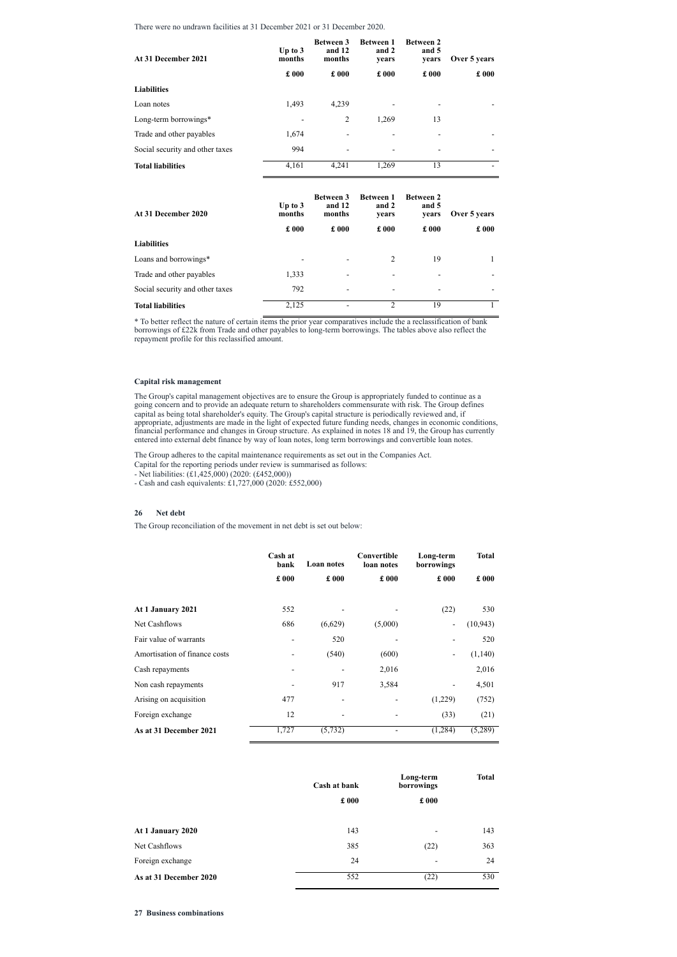There were no undrawn facilities at 31 December 2021 or 31 December 2020.

| At 31 December 2021             | Up to $3$<br>months | <b>Between 3</b><br>and 12<br>months | <b>Between 1</b><br>and 2<br>years | <b>Between 2</b><br>and 5<br>vears | Over 5 years             |
|---------------------------------|---------------------|--------------------------------------|------------------------------------|------------------------------------|--------------------------|
|                                 | $\pounds 000$       | $\pounds 000$                        | $\pounds 000$                      | £000                               | £000                     |
| <b>Liabilities</b>              |                     |                                      |                                    |                                    |                          |
| Loan notes                      | 1,493               | 4,239                                |                                    | -                                  |                          |
| Long-term borrowings*           |                     | 2                                    | 1,269                              | 13                                 |                          |
| Trade and other payables        | 1,674               |                                      |                                    | $\overline{\phantom{a}}$           |                          |
| Social security and other taxes | 994                 |                                      |                                    | -                                  |                          |
| <b>Total liabilities</b>        | 4,161               | 4,241                                | 1,269                              | 13                                 | $\overline{\phantom{0}}$ |

| At 31 December 2020             | Up to $3$<br>months      | <b>Between 3</b><br>and 12<br>months | <b>Between 1</b><br>and 2<br>years | <b>Between 2</b><br>and 5<br>years | Over 5 years  |
|---------------------------------|--------------------------|--------------------------------------|------------------------------------|------------------------------------|---------------|
|                                 | $\pounds 000$            | $\pounds 000$                        | $\pounds 000$                      | $\pounds 000$                      | $\pounds 000$ |
| <b>Liabilities</b>              |                          |                                      |                                    |                                    |               |
| Loans and borrowings*           | $\overline{\phantom{a}}$ |                                      | 2                                  | 19                                 |               |
| Trade and other payables        | 1,333                    | -                                    | $\qquad \qquad$                    |                                    |               |
| Social security and other taxes | 792                      |                                      |                                    |                                    |               |
| <b>Total liabilities</b>        | 2,125                    | -                                    | っ                                  | 19                                 |               |

\* To better reflect the nature of certain items the prior year comparatives include the a reclassification of bank borrowings of £22k from Trade and other payables to long-term borrowings. The tables above also reflect the repayment profile for this reclassified amount.

# **Capital risk management**

The Group's capital management objectives are to ensure the Group is appropriately funded to continue as a going concern and to provide an adequate return to shareholders commensurate with risk. The Group defines capital as being total shareholder's equity. The Group's capital structure is periodically reviewed and, if appropriate, adjustments are made in the light of expected future funding needs, changes in economic conditions, financial performance and changes in Group structure. As explained in notes 18 and 19, the Group has currently entered into external debt finance by way of loan notes, long term borrowings and convertible loan notes.

The Group adheres to the capital maintenance requirements as set out in the Companies Act.

Capital for the reporting periods under review is summarised as follows:

- Net liabilities: (£1,425,000) (2020: (£452,000))

- Cash and cash equivalents: £1,727,000 (2020: £552,000)

# **26 Net debt**

The Group reconciliation of the movement in net debt is set out below:

|                               | Cash at<br>bank          | Loan notes          | Convertible<br>loan notes | Long-term<br>borrowings  | <b>Total</b>  |
|-------------------------------|--------------------------|---------------------|---------------------------|--------------------------|---------------|
|                               | $\pounds$ 000            | £000                | £000                      | £000                     | $\pounds$ 000 |
| At 1 January 2021             | 552                      |                     |                           | (22)                     | 530           |
| Net Cashflows                 | 686                      | (6,629)             | (5,000)                   | $\blacksquare$           | (10, 943)     |
| Fair value of warrants        | $\overline{\phantom{a}}$ | 520                 | $\blacksquare$            |                          | 520           |
| Amortisation of finance costs |                          | (540)               | (600)                     |                          | (1,140)       |
| Cash repayments               | $\blacksquare$           | ÷                   | 2,016                     |                          | 2,016         |
| Non cash repayments           |                          | 917                 | 3,584                     | $\overline{\phantom{a}}$ | 4,501         |
| Arising on acquisition        | 477                      |                     |                           | (1,229)                  | (752)         |
| Foreign exchange              | 12                       |                     |                           | (33)                     | (21)          |
| As at 31 December 2021        | 1,727                    | (5, 732)            | $\blacksquare$            | (1,284)                  | (5,289)       |
|                               |                          | <b>Cash at bank</b> |                           | Long-term<br>borrowings  | <b>Total</b>  |
|                               |                          | £000                |                           | $\pounds$ 000            |               |
| At 1 January 2020             |                          |                     | 143                       |                          | 143           |
| Net Cashflows                 |                          |                     | 385                       | (22)                     | 363           |
| Foreign exchange              |                          |                     | 24                        | $\overline{a}$           | 24            |
| As at 31 December 2020        |                          |                     | 552                       | (22)                     | 530           |

**27 Business combinations**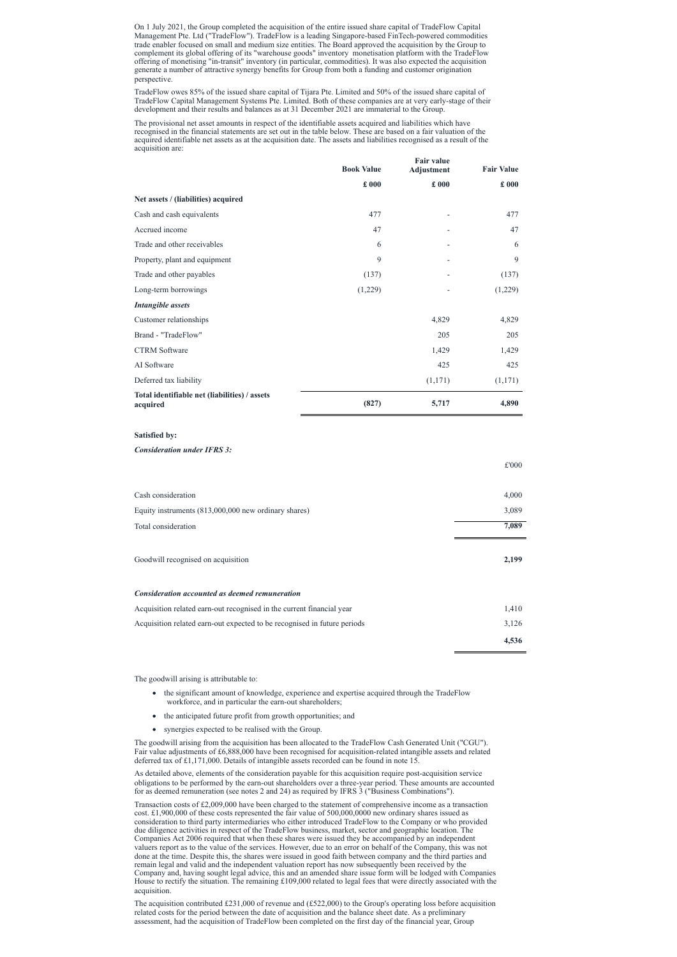On 1 July 2021, the Group completed the acquisition of the entire issued share capital of TradeFlow Capital Management Pte. Ltd ("TradeFlow"). TradeFlow is a leading Singapore-based FinTech-powered commodities trade enabler focused on small and medium size entities. The Board approved the acquisition by the Group to complement its global offering of its "warehouse goods" inventory monetisation platform with the TradeFlow offering of monetising "in-transit" inventory (in particular, commodities). It was also expected the acquisition generate a number of attractive synergy benefits for Group from both a funding and customer origination perspective.

TradeFlow owes 85% of the issued share capital of Tijara Pte. Limited and 50% of the issued share capital of TradeFlow Capital Management Systems Pte. Limited. Both of these companies are at very early-stage of their development and their results and balances as at 31 December 2021 are immaterial to the Group.

The provisional net asset amounts in respect of the identifiable assets acquired and liabilities which have recognised in the financial statements are set out in the table below. These are based on a fair valuation of the acquired identifiable net assets as at the acquisition date. The assets and liabilities recognised as a result of the acquisition are:

- the significant amount of knowledge, experience and expertise acquired through the TradeFlow workforce, and in particular the earn-out shareholders;
- · the anticipated future profit from growth opportunities; and

|                                                           | <b>Book Value</b> | <b>Fair value</b><br><b>Adjustment</b> | <b>Fair Value</b> |
|-----------------------------------------------------------|-------------------|----------------------------------------|-------------------|
|                                                           | $\pounds 000$     | £000                                   | £000              |
| Net assets / (liabilities) acquired                       |                   |                                        |                   |
| Cash and cash equivalents                                 | 477               | ۰                                      | 477               |
| Accrued income                                            | 47                |                                        | 47                |
| Trade and other receivables                               | 6                 |                                        | 6                 |
| Property, plant and equipment                             | 9                 | $\overline{\phantom{0}}$               | 9                 |
| Trade and other payables                                  | (137)             |                                        | (137)             |
| Long-term borrowings                                      | (1,229)           |                                        | (1,229)           |
| <b>Intangible</b> assets                                  |                   |                                        |                   |
| Customer relationships                                    |                   | 4,829                                  | 4,829             |
| Brand - "TradeFlow"                                       |                   | 205                                    | 205               |
| <b>CTRM</b> Software                                      |                   | 1,429                                  | 1,429             |
| AI Software                                               |                   | 425                                    | 425               |
| Deferred tax liability                                    |                   | (1,171)                                | (1,171)           |
| Total identifiable net (liabilities) / assets<br>acquired | (827)             | 5,717                                  | 4,890             |
| <b>Satisfied by:</b>                                      |                   |                                        |                   |
| <b>Consideration under IFRS 3:</b>                        |                   |                                        | $\pounds 000$     |

| Cash consideration                                                       | 4,000 |
|--------------------------------------------------------------------------|-------|
| Equity instruments (813,000,000 new ordinary shares)                     | 3,089 |
| Total consideration                                                      | 7,089 |
| Goodwill recognised on acquisition                                       | 2,199 |
| <b>Consideration accounted as deemed remuneration</b>                    |       |
| Acquisition related earn-out recognised in the current financial year    | 1,410 |
| Acquisition related earn-out expected to be recognised in future periods | 3,126 |
|                                                                          | 4,536 |

Transaction costs of  $£2,009,000$  have been charged to the statement of comprehensive income as a transaction cost. £1,900,000 of these costs represented the fair value of 500,000,0000 new ordinary shares issued as consideration to third party intermediaries who either introduced TradeFlow to the Company or who provided due diligence activities in respect of the TradeFlow business, market, sector and geographic location. The Companies Act 2006 required that when these shares were issued they be accompanied by an independent valuers report as to the value of the services. However, due to an error on behalf of the Company, this was not done at the time. Despite this, the shares were issued in good faith between company and the third parties and remain legal and valid and the independent valuation report has now subsequently been received by the Company and, having sought legal advice, this and an amended share issue form will be lodged with Companies House to rectify the situation. The remaining £109,000 related to legal fees that were directly associated with the acquisition.

The goodwill arising is attributable to:

The acquisition contributed £231,000 of revenue and  $(E522,000)$  to the Group's operating loss before acquisition related costs for the period between the date of acquisition and the balance sheet date. As a preliminary assessment, had the acquisition of TradeFlow been completed on the first day of the financial year, Group

· synergies expected to be realised with the Group.

The goodwill arising from the acquisition has been allocated to the TradeFlow Cash Generated Unit ("CGU"). Fair value adjustments of £6,888,000 have been recognised for acquisition-related intangible assets and related deferred tax of £1,171,000. Details of intangible assets recorded can be found in note 15.

As detailed above, elements of the consideration payable for this acquisition require post-acquisition service obligations to be performed by the earn-out shareholders over a three-year period. These amounts are accounted for as deemed remuneration (see notes 2 and 24) as required by IFRS 3 ("Business Combinations").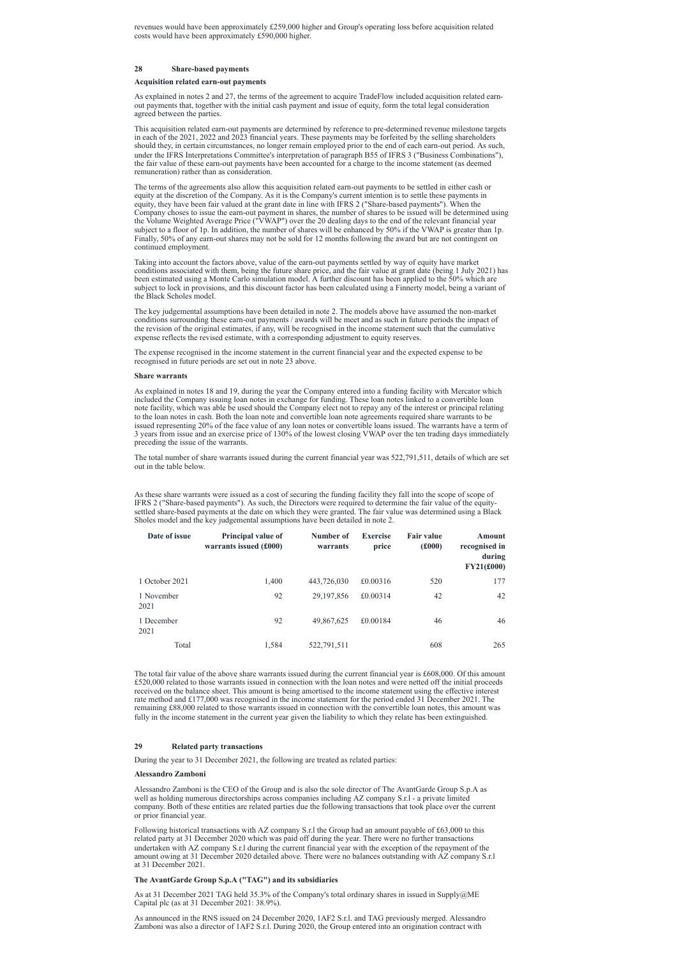revenues would have been approximately £259,000 higher and Group's operating loss before acquisition related costs would have been approximately £590,000 higher.

### **28 Share-based payments**

### **Acquisition related earn-out payments**

As explained in notes 2 and 27, the terms of the agreement to acquire TradeFlow included acquisition related earnout payments that, together with the initial cash payment and issue of equity, form the total legal consideration agreed between the parties.

This acquisition related earn-out payments are determined by reference to pre-determined revenue milestone targets in each of the 2021, 2022 and 2023 financial years. These payments may be forfeited by the selling shareholders should they, in certain circumstances, no longer remain employed prior to the end of each earn-out period. As such, under the IFRS Interpretations Committee's interpretation of paragraph B55 of IFRS 3 ("Business Combinations"), the fair value of these earn-out payments have been accounted for a charge to the income statement (as deemed remuneration) rather than as consideration.

The terms of the agreements also allow this acquisition related earn-out payments to be settled in either cash or equity at the discretion of the Company. As it is the Company's current intention is to settle these payments in equity, they have been fair valued at the grant date in line with IFRS 2 ("Share-based payments"). When the Company choses to issue the earn-out payment in shares, the number of shares to be issued will be determined using the Volume Weighted Average Price ("VWAP") over the 20 dealing days to the end of the relevant financial year subject to a floor of 1p. In addition, the number of shares will be enhanced by 50% if the VWAP is greater than 1p. Finally, 50% of any earn-out shares may not be sold for 12 months following the award but are not contingent on continued employment.

Taking into account the factors above, value of the earn-out payments settled by way of equity have market conditions associated with them, being the future share price, and the fair value at grant date (being 1 July 2021) has been estimated using a Monte Carlo simulation model. A further discount has been applied to the 50% which are subject to lock in provisions, and this discount factor has been calculated using a Finnerty model, being a variant of the Black Scholes model.

The key judgemental assumptions have been detailed in note 2. The models above have assumed the non-market conditions surrounding these earn-out payments / awards will be meet and as such in future periods the impact of the revision of the original estimates, if any, will be recognised in the income statement such that the cumulative expense reflects the revised estimate, with a corresponding adjustment to equity reserves.

The expense recognised in the income statement in the current financial year and the expected expense to be recognised in future periods are set out in note 23 above.

#### **Share warrants**

As explained in notes 18 and 19, during the year the Company entered into a funding facility with Mercator which included the Company issuing loan notes in exchange for funding. These loan notes linked to a convertible loan note facility, which was able be used should the Company elect not to repay any of the interest or principal relating to the loan notes in cash. Both the loan note and convertible loan note agreements required share warrants to be issued representing 20% of the face value of any loan notes or convertible loans issued. The warrants have a term of 3 years from issue and an exercise price of 130% of the lowest closing VWAP over the ten trading days immediately preceding the issue of the warrants.

The total number of share warrants issued during the current financial year was 522,791,511, details of which are set out in the table below.

As these share warrants were issued as a cost of securing the funding facility they fall into the scope of scope of IFRS 2 ("Share-based payments"). As such, the Directors were required to determine the fair value of the equitysettled share-based payments at the date on which they were granted. The fair value was determined using a Black Sholes model and the key judgemental assumptions have been detailed in note 2.

| Date of issue      | <b>Principal value of</b><br>warrants issued (£000) | Number of<br>warrants | <b>Exercise</b><br>price | <b>Fair value</b><br>$(\pounds000)$ | <b>Amount</b><br>recognised in<br>during<br><b>FY21(£000)</b> |
|--------------------|-----------------------------------------------------|-----------------------|--------------------------|-------------------------------------|---------------------------------------------------------------|
| 1 October 2021     | 1,400                                               | 443,726,030           | £0.00316                 | 520                                 | 177                                                           |
| 1 November<br>2021 | 92                                                  | 29, 197, 856          | £0.00314                 | 42                                  | 42                                                            |
| 1 December<br>2021 | 92                                                  | 49,867,625            | £0.00184                 | 46                                  | 46                                                            |
| Total              | 1.584                                               | 522,791,511           |                          | 608                                 | 265                                                           |

The total fair value of the above share warrants issued during the current financial year is £608,000. Of this amount £520,000 related to those warrants issued in connection with the loan notes and were netted off the initial proceeds received on the balance sheet. This amount is being amortised to the income statement using the effective interest rate method and £177,000 was recognised in the income statement for the period ended 31 December 2021. The remaining £88,000 related to those warrants issued in connection with the convertible loan notes, this amount was fully in the income statement in the current year given the liability to which they relate has been extinguished.

# **29 Related party transactions**

During the year to 31 December 2021, the following are treated as related parties:

### **Alessandro Zamboni**

Alessandro Zamboni is the CEO of the Group and is also the sole director of The AvantGarde Group S.p.A as well as holding numerous directorships across companies including AZ company S.r.l - a private limited company. Both of these entities are related parties due the following transactions that took place over the current or prior financial year.

Following historical transactions with AZ company S.r.l the Group had an amount payable of £63,000 to this related party at 31 December 2020 which was paid off during the year. There were no further transactions undertaken with AZ company S.r.l during the current financial year with the exception of the repayment of the amount owing at 31 December 2020 detailed above. There were no balances outstanding with AZ company S.r.l at 31 December 2021.

# **The AvantGarde Group S.p.A ("TAG") and its subsidiaries**

As at 31 December 2021 TAG held 35.3% of the Company's total ordinary shares in issued in Supply@ME Capital plc (as at 31 December 2021: 38.9%).

As announced in the RNS issued on 24 December 2020, 1AF2 S.r.l. and TAG previously merged. Alessandro Zamboni was also a director of 1AF2 S.r.l. During 2020, the Group entered into an origination contract with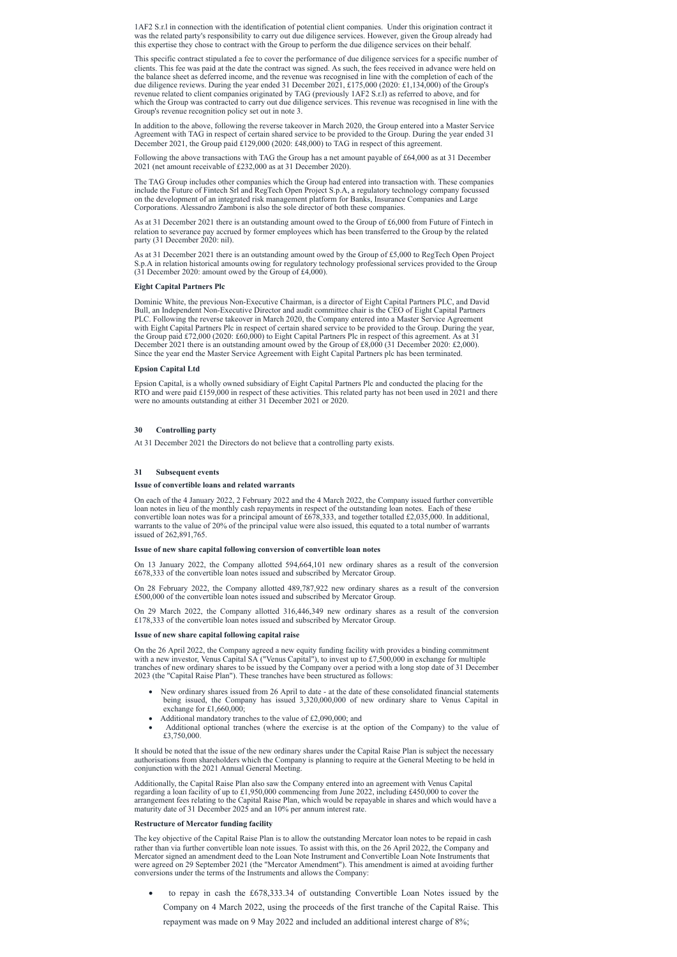1AF2 S.r.l in connection with the identification of potential client companies. Under this origination contract it was the related party's responsibility to carry out due diligence services. However, given the Group already had this expertise they chose to contract with the Group to perform the due diligence services on their behalf.

This specific contract stipulated a fee to cover the performance of due diligence services for a specific number of clients. This fee was paid at the date the contract was signed. As such, the fees received in advance were held on the balance sheet as deferred income, and the revenue was recognised in line with the completion of each of the due diligence reviews. During the year ended 31 December 2021, £175,000 (2020: £1,134,000) of the Group's revenue related to client companies originated by TAG (previously 1AF2 S.r.l) as referred to above, and for which the Group was contracted to carry out due diligence services. This revenue was recognised in line with the Group's revenue recognition policy set out in note 3.

In addition to the above, following the reverse takeover in March 2020, the Group entered into a Master Service Agreement with TAG in respect of certain shared service to be provided to the Group. During the year ended 31 December 2021, the Group paid £129,000 (2020: £48,000) to TAG in respect of this agreement.

Following the above transactions with TAG the Group has a net amount payable of £64,000 as at 31 December 2021 (net amount receivable of £232,000 as at 31 December 2020).

The TAG Group includes other companies which the Group had entered into transaction with. These companies include the Future of Fintech Srl and RegTech Open Project S.p.A, a regulatory technology company focussed on the development of an integrated risk management platform for Banks, Insurance Companies and Large Corporations. Alessandro Zamboni is also the sole director of both these companies.

As at 31 December 2021 there is an outstanding amount owed to the Group of £6,000 from Future of Fintech in relation to severance pay accrued by former employees which has been transferred to the Group by the related party (31 December 2020: nil).

As at 31 December 2021 there is an outstanding amount owed by the Group of £5,000 to RegTech Open Project S.p.A in relation historical amounts owing for regulatory technology professional services provided to the Group (31 December 2020: amount owed by the Group of £4,000).

# **Eight Capital Partners Plc**

- New ordinary shares issued from 26 April to date at the date of these consolidated financial statements being issued, the Company has issued 3,320,000,000 of new ordinary share to Venus Capital in exchange for £1,660,000;
- Additional mandatory tranches to the value of £2,090,000; and
- Additional optional tranches (where the exercise is at the option of the Company) to the value of £3,750,000.

Dominic White, the previous Non-Executive Chairman, is a director of Eight Capital Partners PLC, and David Bull, an Independent Non-Executive Director and audit committee chair is the CEO of Eight Capital Partners PLC. Following the reverse takeover in March 2020, the Company entered into a Master Service Agreement with Eight Capital Partners Plc in respect of certain shared service to be provided to the Group. During the year, the Group paid £72,000 (2020: £60,000) to Eight Capital Partners Plc in respect of this agreement. As at 31 December 2021 there is an outstanding amount owed by the Group of £8,000 (31 December 2020: £2,000). Since the year end the Master Service Agreement with Eight Capital Partners plc has been terminated.

### **Epsion Capital Ltd**

Epsion Capital, is a wholly owned subsidiary of Eight Capital Partners Plc and conducted the placing for the RTO and were paid £159,000 in respect of these activities. This related party has not been used in 2021 and there were no amounts outstanding at either 31 December 2021 or 2020.

# **30 Controlling party**

• to repay in cash the £678,333.34 of outstanding Convertible Loan Notes issued by the Company on 4 March 2022, using the proceeds of the first tranche of the Capital Raise. This repayment was made on 9 May 2022 and included an additional interest charge of 8%;

At 31 December 2021 the Directors do not believe that a controlling party exists.

# **31 Subsequent events**

### **Issue of convertible loans and related warrants**

On each of the 4 January 2022, 2 February 2022 and the 4 March 2022, the Company issued further convertible loan notes in lieu of the monthly cash repayments in respect of the outstanding loan notes. Each of these convertible loan notes was for a principal amount of £678,333, and together totalled £2,035,000. In additional, warrants to the value of 20% of the principal value were also issued, this equated to a total number of warrants issued of 262,891,765.

### **Issue of new share capital following conversion of convertible loan notes**

On 13 January 2022, the Company allotted 594,664,101 new ordinary shares as a result of the conversion £678,333 of the convertible loan notes issued and subscribed by Mercator Group.

On 28 February 2022, the Company allotted 489,787,922 new ordinary shares as a result of the conversion £500,000 of the convertible loan notes issued and subscribed by Mercator Group.

On 29 March 2022, the Company allotted 316,446,349 new ordinary shares as a result of the conversion £178,333 of the convertible loan notes issued and subscribed by Mercator Group.

# **Issue of new share capital following capital raise**

On the 26 April 2022, the Company agreed a new equity funding facility with provides a binding commitment with a new investor, Venus Capital SA ("Venus Capital"), to invest up to £7,500,000 in exchange for multiple tranches of new ordinary shares to be issued by the Company over a period with a long stop date of 31 December 2023 (the "Capital Raise Plan"). These tranches have been structured as follows:

It should be noted that the issue of the new ordinary shares under the Capital Raise Plan is subject the necessary authorisations from shareholders which the Company is planning to require at the General Meeting to be held in conjunction with the 2021 Annual General Meeting.

Additionally, the Capital Raise Plan also saw the Company entered into an agreement with Venus Capital regarding a loan facility of up to £1,950,000 commencing from June 2022, including £450,000 to cover the arrangement fees relating to the Capital Raise Plan, which would be repayable in shares and which would have a maturity date of 31 December 2025 and an 10% per annum interest rate.

# **Restructure of Mercator funding facility**

The key objective of the Capital Raise Plan is to allow the outstanding Mercator loan notes to be repaid in cash rather than via further convertible loan note issues. To assist with this, on the 26 April 2022, the Company and Mercator signed an amendment deed to the Loan Note Instrument and Convertible Loan Note Instruments that were agreed on 29 September 2021 (the "Mercator Amendment"). This amendment is aimed at avoiding further conversions under the terms of the Instruments and allows the Company: